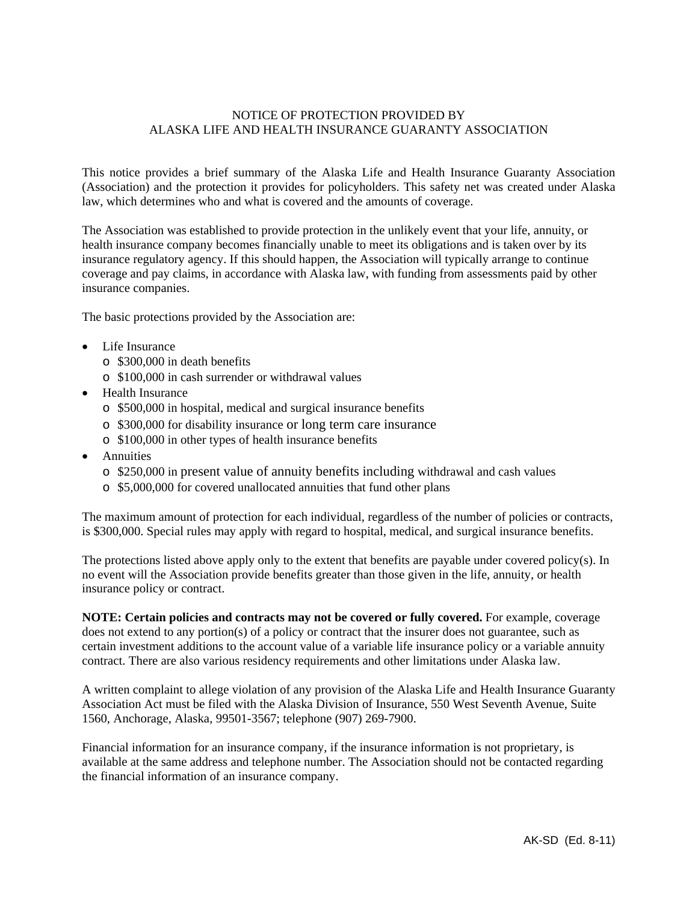# NOTICE OF PROTECTION PROVIDED BY ALASKA LIFE AND HEALTH INSURANCE GUARANTY ASSOCIATION

This notice provides a brief summary of the Alaska Life and Health Insurance Guaranty Association (Association) and the protection it provides for policyholders. This safety net was created under Alaska law, which determines who and what is covered and the amounts of coverage.

The Association was established to provide protection in the unlikely event that your life, annuity, or health insurance company becomes financially unable to meet its obligations and is taken over by its insurance regulatory agency. If this should happen, the Association will typically arrange to continue coverage and pay claims, in accordance with Alaska law, with funding from assessments paid by other insurance companies.

The basic protections provided by the Association are:

- Life Insurance
	- o \$300,000 in death benefits
	- o \$100,000 in cash surrender or withdrawal values
- Health Insurance
	- o \$500,000 in hospital, medical and surgical insurance benefits
	- o \$300,000 for disability insurance or long term care insurance
	- o \$100,000 in other types of health insurance benefits
- Annuities
	- o \$250,000 in present value of annuity benefits including withdrawal and cash values
	- o \$5,000,000 for covered unallocated annuities that fund other plans

The maximum amount of protection for each individual, regardless of the number of policies or contracts, is \$300,000. Special rules may apply with regard to hospital, medical, and surgical insurance benefits.

The protections listed above apply only to the extent that benefits are payable under covered policy(s). In no event will the Association provide benefits greater than those given in the life, annuity, or health insurance policy or contract.

**NOTE: Certain policies and contracts may not be covered or fully covered.** For example, coverage does not extend to any portion(s) of a policy or contract that the insurer does not guarantee, such as certain investment additions to the account value of a variable life insurance policy or a variable annuity contract. There are also various residency requirements and other limitations under Alaska law.

A written complaint to allege violation of any provision of the Alaska Life and Health Insurance Guaranty Association Act must be filed with the Alaska Division of Insurance, 550 West Seventh Avenue, Suite 1560, Anchorage, Alaska, 99501-3567; telephone (907) 269-7900.

Financial information for an insurance company, if the insurance information is not proprietary, is available at the same address and telephone number. The Association should not be contacted regarding the financial information of an insurance company.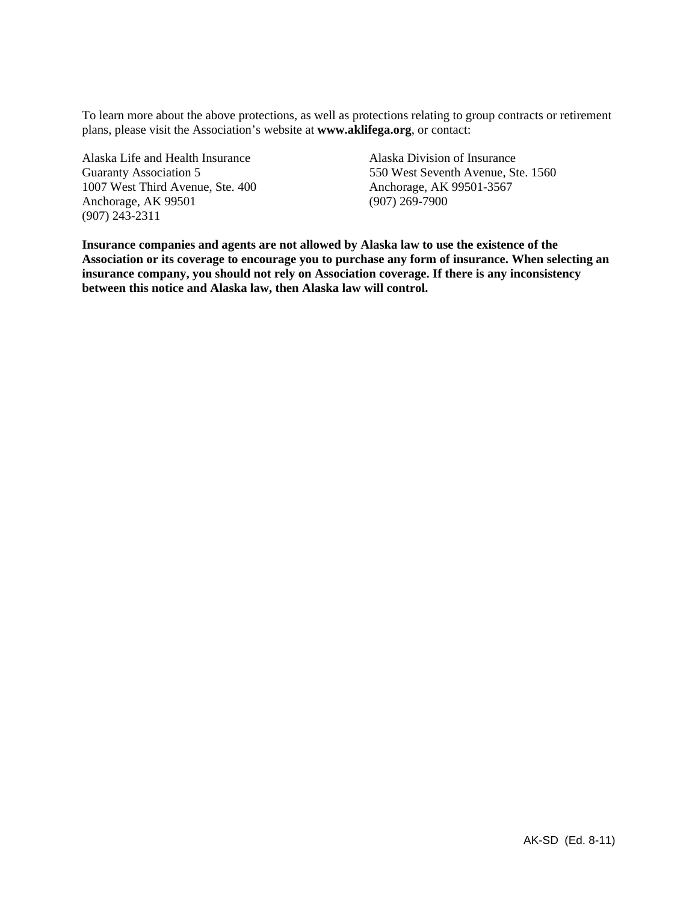To learn more about the above protections, as well as protections relating to group contracts or retirement plans, please visit the Association's website at **www.aklifega.org**, or contact:

Alaska Life and Health Insurance Alaska Division of Insurance 1007 West Third Avenue, Ste. 400 Anchorage, AK 99501-3567 Anchorage, AK 99501 (907) 269-7900 (907) 243-2311

Guaranty Association 5 550 West Seventh Avenue, Ste. 1560

**Insurance companies and agents are not allowed by Alaska law to use the existence of the Association or its coverage to encourage you to purchase any form of insurance. When selecting an insurance company, you should not rely on Association coverage. If there is any inconsistency between this notice and Alaska law, then Alaska law will control.**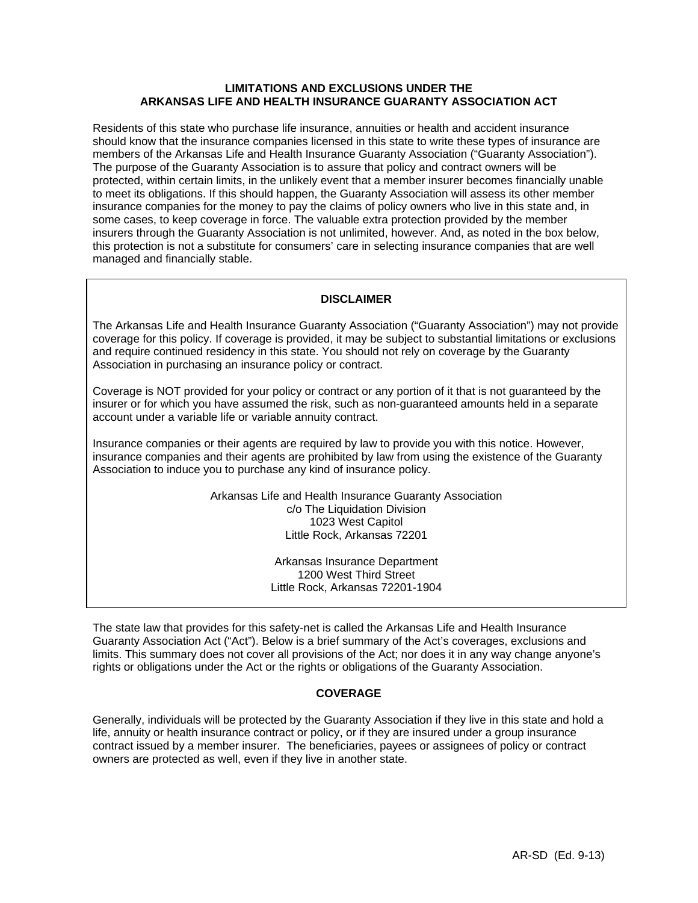# **LIMITATIONS AND EXCLUSIONS UNDER THE ARKANSAS LIFE AND HEALTH INSURANCE GUARANTY ASSOCIATION ACT**

Residents of this state who purchase life insurance, annuities or health and accident insurance should know that the insurance companies licensed in this state to write these types of insurance are members of the Arkansas Life and Health Insurance Guaranty Association ("Guaranty Association"). The purpose of the Guaranty Association is to assure that policy and contract owners will be protected, within certain limits, in the unlikely event that a member insurer becomes financially unable to meet its obligations. If this should happen, the Guaranty Association will assess its other member insurance companies for the money to pay the claims of policy owners who live in this state and, in some cases, to keep coverage in force. The valuable extra protection provided by the member insurers through the Guaranty Association is not unlimited, however. And, as noted in the box below, this protection is not a substitute for consumers' care in selecting insurance companies that are well managed and financially stable.

# **DISCLAIMER**

The Arkansas Life and Health Insurance Guaranty Association ("Guaranty Association") may not provide coverage for this policy. If coverage is provided, it may be subject to substantial limitations or exclusions and require continued residency in this state. You should not rely on coverage by the Guaranty Association in purchasing an insurance policy or contract.

Coverage is NOT provided for your policy or contract or any portion of it that is not guaranteed by the insurer or for which you have assumed the risk, such as non-guaranteed amounts held in a separate account under a variable life or variable annuity contract.

Insurance companies or their agents are required by law to provide you with this notice. However, insurance companies and their agents are prohibited by law from using the existence of the Guaranty Association to induce you to purchase any kind of insurance policy.

> Arkansas Life and Health Insurance Guaranty Association c/o The Liquidation Division 1023 West Capitol Little Rock, Arkansas 72201

> > Arkansas Insurance Department 1200 West Third Street Little Rock, Arkansas 72201-1904

The state law that provides for this safety-net is called the Arkansas Life and Health Insurance Guaranty Association Act ("Act"). Below is a brief summary of the Act's coverages, exclusions and limits. This summary does not cover all provisions of the Act; nor does it in any way change anyone's rights or obligations under the Act or the rights or obligations of the Guaranty Association.

## **COVERAGE**

Generally, individuals will be protected by the Guaranty Association if they live in this state and hold a life, annuity or health insurance contract or policy, or if they are insured under a group insurance contract issued by a member insurer. The beneficiaries, payees or assignees of policy or contract owners are protected as well, even if they live in another state.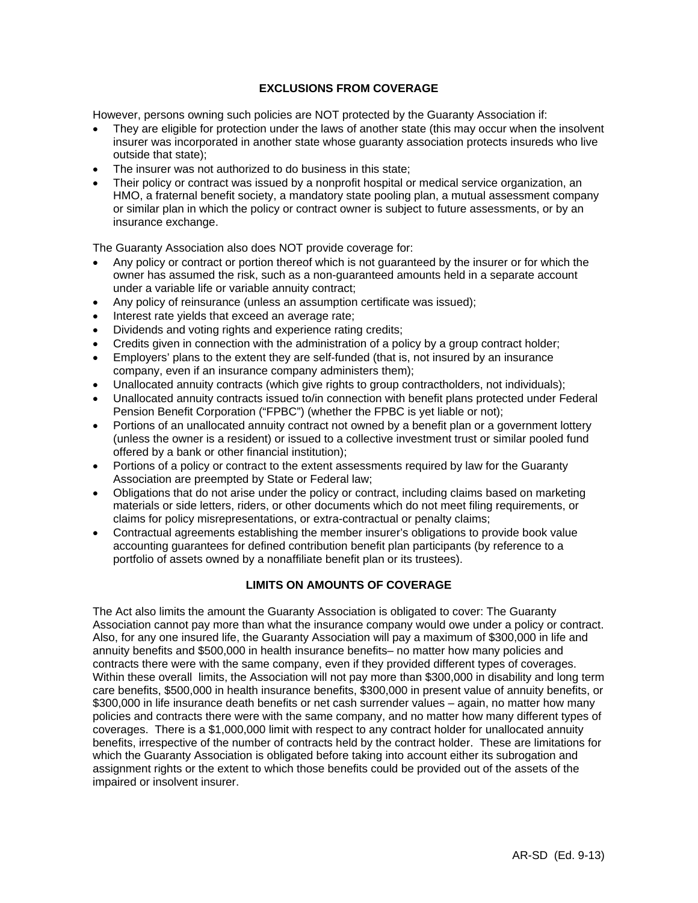# **EXCLUSIONS FROM COVERAGE**

However, persons owning such policies are NOT protected by the Guaranty Association if:

- They are eligible for protection under the laws of another state (this may occur when the insolvent insurer was incorporated in another state whose guaranty association protects insureds who live outside that state);
- The insurer was not authorized to do business in this state;
- Their policy or contract was issued by a nonprofit hospital or medical service organization, an HMO, a fraternal benefit society, a mandatory state pooling plan, a mutual assessment company or similar plan in which the policy or contract owner is subject to future assessments, or by an insurance exchange.

The Guaranty Association also does NOT provide coverage for:

- Any policy or contract or portion thereof which is not guaranteed by the insurer or for which the owner has assumed the risk, such as a non-guaranteed amounts held in a separate account under a variable life or variable annuity contract;
- Any policy of reinsurance (unless an assumption certificate was issued);
- Interest rate yields that exceed an average rate;
- Dividends and voting rights and experience rating credits;
- Credits given in connection with the administration of a policy by a group contract holder;
- Employers' plans to the extent they are self-funded (that is, not insured by an insurance company, even if an insurance company administers them);
- Unallocated annuity contracts (which give rights to group contractholders, not individuals);
- Unallocated annuity contracts issued to/in connection with benefit plans protected under Federal Pension Benefit Corporation ("FPBC") (whether the FPBC is yet liable or not);
- Portions of an unallocated annuity contract not owned by a benefit plan or a government lottery (unless the owner is a resident) or issued to a collective investment trust or similar pooled fund offered by a bank or other financial institution);
- Portions of a policy or contract to the extent assessments required by law for the Guaranty Association are preempted by State or Federal law;
- Obligations that do not arise under the policy or contract, including claims based on marketing materials or side letters, riders, or other documents which do not meet filing requirements, or claims for policy misrepresentations, or extra-contractual or penalty claims;
- Contractual agreements establishing the member insurer's obligations to provide book value accounting guarantees for defined contribution benefit plan participants (by reference to a portfolio of assets owned by a nonaffiliate benefit plan or its trustees).

# **LIMITS ON AMOUNTS OF COVERAGE**

The Act also limits the amount the Guaranty Association is obligated to cover: The Guaranty Association cannot pay more than what the insurance company would owe under a policy or contract. Also, for any one insured life, the Guaranty Association will pay a maximum of \$300,000 in life and annuity benefits and \$500,000 in health insurance benefits– no matter how many policies and contracts there were with the same company, even if they provided different types of coverages. Within these overall limits, the Association will not pay more than \$300,000 in disability and long term care benefits, \$500,000 in health insurance benefits, \$300,000 in present value of annuity benefits, or \$300,000 in life insurance death benefits or net cash surrender values – again, no matter how many policies and contracts there were with the same company, and no matter how many different types of coverages. There is a \$1,000,000 limit with respect to any contract holder for unallocated annuity benefits, irrespective of the number of contracts held by the contract holder. These are limitations for which the Guaranty Association is obligated before taking into account either its subrogation and assignment rights or the extent to which those benefits could be provided out of the assets of the impaired or insolvent insurer.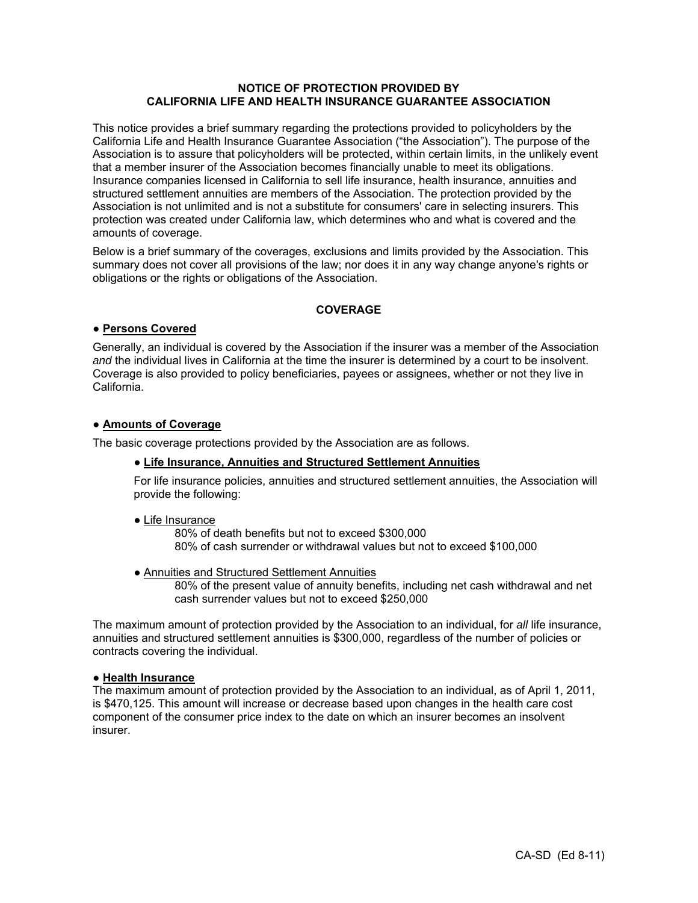# **NOTICE OF PROTECTION PROVIDED BY CALIFORNIA LIFE AND HEALTH INSURANCE GUARANTEE ASSOCIATION**

This notice provides a brief summary regarding the protections provided to policyholders by the California Life and Health Insurance Guarantee Association ("the Association"). The purpose of the Association is to assure that policyholders will be protected, within certain limits, in the unlikely event that a member insurer of the Association becomes financially unable to meet its obligations. Insurance companies licensed in California to sell life insurance, health insurance, annuities and structured settlement annuities are members of the Association. The protection provided by the Association is not unlimited and is not a substitute for consumers' care in selecting insurers. This protection was created under California law, which determines who and what is covered and the amounts of coverage.

Below is a brief summary of the coverages, exclusions and limits provided by the Association. This summary does not cover all provisions of the law; nor does it in any way change anyone's rights or obligations or the rights or obligations of the Association.

# **COVERAGE**

# **● Persons Covered**

Generally, an individual is covered by the Association if the insurer was a member of the Association *and* the individual lives in California at the time the insurer is determined by a court to be insolvent. Coverage is also provided to policy beneficiaries, payees or assignees, whether or not they live in California.

## **● Amounts of Coverage**

The basic coverage protections provided by the Association are as follows.

## **● Life Insurance, Annuities and Structured Settlement Annuities**

For life insurance policies, annuities and structured settlement annuities, the Association will provide the following:

## **●** Life Insurance

80% of death benefits but not to exceed \$300,000 80% of cash surrender or withdrawal values but not to exceed \$100,000

**●** Annuities and Structured Settlement Annuities

80% of the present value of annuity benefits, including net cash withdrawal and net cash surrender values but not to exceed \$250,000

The maximum amount of protection provided by the Association to an individual, for *all* life insurance, annuities and structured settlement annuities is \$300,000, regardless of the number of policies or contracts covering the individual.

## **● Health Insurance**

The maximum amount of protection provided by the Association to an individual, as of April 1, 2011, is \$470,125. This amount will increase or decrease based upon changes in the health care cost component of the consumer price index to the date on which an insurer becomes an insolvent insurer.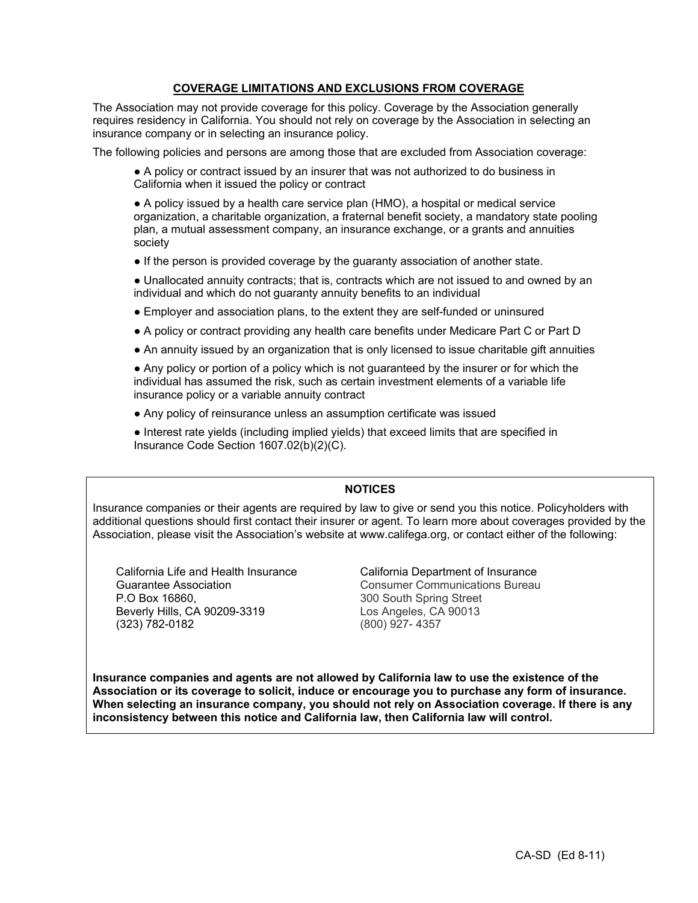# **COVERAGE LIMITATIONS AND EXCLUSIONS FROM COVERAGE**

The Association may not provide coverage for this policy. Coverage by the Association generally requires residency in California. You should not rely on coverage by the Association in selecting an insurance company or in selecting an insurance policy.

The following policies and persons are among those that are excluded from Association coverage:

● A policy or contract issued by an insurer that was not authorized to do business in California when it issued the policy or contract

● A policy issued by a health care service plan (HMO), a hospital or medical service organization, a charitable organization, a fraternal benefit society, a mandatory state pooling plan, a mutual assessment company, an insurance exchange, or a grants and annuities society

● If the person is provided coverage by the guaranty association of another state.

● Unallocated annuity contracts; that is, contracts which are not issued to and owned by an individual and which do not guaranty annuity benefits to an individual

- Employer and association plans, to the extent they are self-funded or uninsured
- A policy or contract providing any health care benefits under Medicare Part C or Part D
- An annuity issued by an organization that is only licensed to issue charitable gift annuities

● Any policy or portion of a policy which is not guaranteed by the insurer or for which the individual has assumed the risk, such as certain investment elements of a variable life insurance policy or a variable annuity contract

● Any policy of reinsurance unless an assumption certificate was issued

● Interest rate yields (including implied yields) that exceed limits that are specified in Insurance Code Section 1607.02(b)(2)(C).

# **NOTICES**

Insurance companies or their agents are required by law to give or send you this notice. Policyholders with additional questions should first contact their insurer or agent. To learn more about coverages provided by the Association, please visit the Association's website at www.califega.org, or contact either of the following:

California Life and Health Insurance Guarantee Association P.O Box 16860, Beverly Hills, CA 90209-3319 (323) 782-0182

California Department of Insurance Consumer Communications Bureau 300 South Spring Street Los Angeles, CA 90013 (800) 927- 4357

**Insurance companies and agents are not allowed by California law to use the existence of the Association or its coverage to solicit, induce or encourage you to purchase any form of insurance. When selecting an insurance company, you should not rely on Association coverage. If there is any inconsistency between this notice and California law, then California law will control.**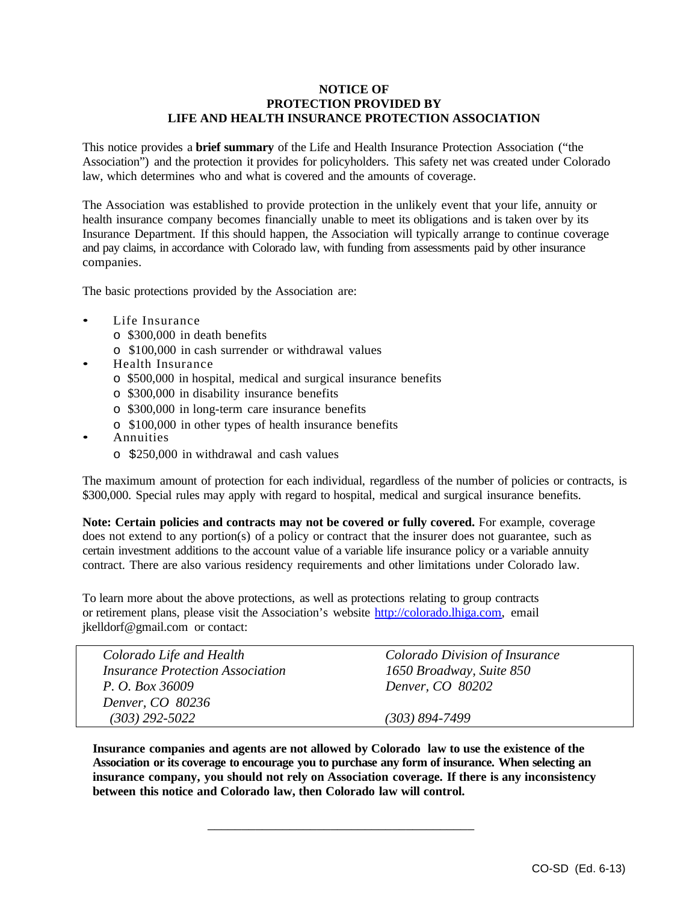# **NOTICE OF PROTECTION PROVIDED BY LIFE AND HEALTH INSURANCE PROTECTION ASSOCIATION**

This notice provides a **brief summary** of the Life and Health Insurance Protection Association ("the Association") and the protection it provides for policyholders. This safety net was created under Colorado law, which determines who and what is covered and the amounts of coverage.

The Association was established to provide protection in the unlikely event that your life, annuity or health insurance company becomes financially unable to meet its obligations and is taken over by its Insurance Department. If this should happen, the Association will typically arrange to continue coverage and pay claims, in accordance with Colorado law, with funding from assessments paid by other insurance companies.

The basic protections provided by the Association are:

- Life Insurance
	- o \$300,000 in death benefits
	- o \$100,000 in cash surrender or withdrawal values
- Health Insurance
	- o \$500,000 in hospital, medical and surgical insurance benefits
	- o \$300,000 in disability insurance benefits
	- o \$300,000 in long-term care insurance benefits
	- o \$100,000 in other types of health insurance benefits
- Annuities
	- o \$250,000 in withdrawal and cash values

The maximum amount of protection for each individual, regardless of the number of policies or contracts, is \$300,000. Special rules may apply with regard to hospital, medical and surgical insurance benefits.

**Note: Certain policies and contracts may not be covered or fully covered.** For example, coverage does not extend to any portion(s) of a policy or contract that the insurer does not guarantee, such as certain investment additions to the account value of a variable life insurance policy or a variable annuity contract. There are also various residency requirements and other limitations under Colorado law.

To learn more about the above protections, as well as protections relating to group contracts or retirement plans, please visit the Association's website http://colorado.lhiga.com, email jkelldorf@gmail.com or contact:

| Colorado Life and Health                       | Colorado Division of Insurance |
|------------------------------------------------|--------------------------------|
| <i><b>Insurance Protection Association</b></i> | 1650 Broadway, Suite 850       |
| P. O. Box 36009                                | Denver, CO 80202               |
| Denver, CO 80236                               |                                |
| $(303) 292 - 5022$                             | $(303) 894 - 7499$             |

**Insurance companies and agents are not allowed by Colorado law to use the existence of the Association or its coverage to encourage you to purchase any form of insurance. When selecting an insurance company, you should not rely on Association coverage. If there is any inconsistency between this notice and Colorado law, then Colorado law will control.** 

\_\_\_\_\_\_\_\_\_\_\_\_\_\_\_\_\_\_\_\_\_\_\_\_\_\_\_\_\_\_\_\_\_\_\_\_\_\_\_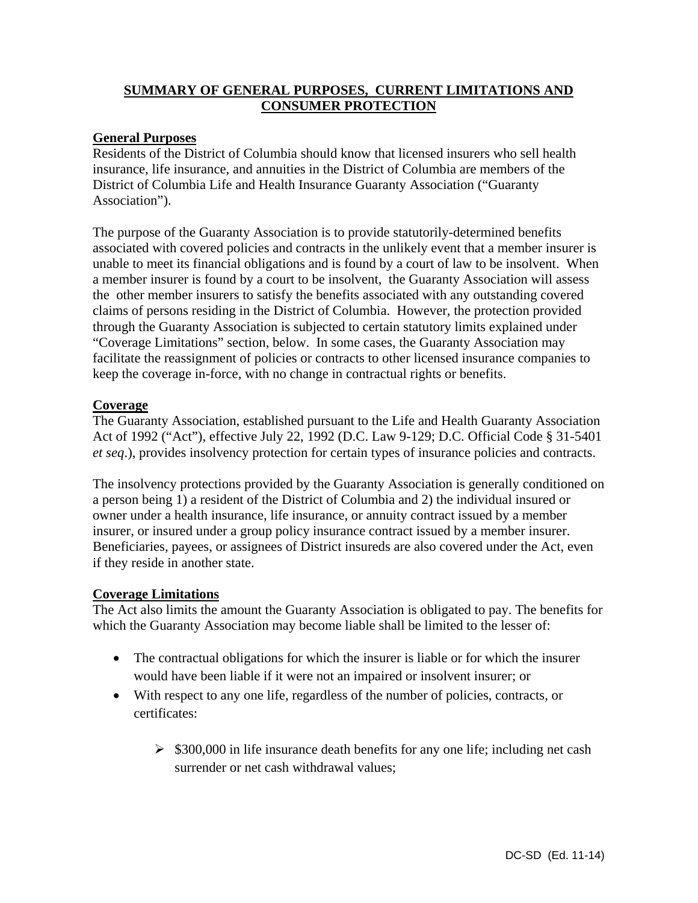# **SUMMARY OF GENERAL PURPOSES, CURRENT LIMITATIONS AND CONSUMER PROTECTION**

# **General Purposes**

Residents of the District of Columbia should know that licensed insurers who sell health insurance, life insurance, and annuities in the District of Columbia are members of the District of Columbia Life and Health Insurance Guaranty Association ("Guaranty Association").

The purpose of the Guaranty Association is to provide statutorily-determined benefits associated with covered policies and contracts in the unlikely event that a member insurer is unable to meet its financial obligations and is found by a court of law to be insolvent. When a member insurer is found by a court to be insolvent, the Guaranty Association will assess the other member insurers to satisfy the benefits associated with any outstanding covered claims of persons residing in the District of Columbia. However, the protection provided through the Guaranty Association is subjected to certain statutory limits explained under "Coverage Limitations" section, below. In some cases, the Guaranty Association may facilitate the reassignment of policies or contracts to other licensed insurance companies to keep the coverage in-force, with no change in contractual rights or benefits.

# **Coverage**

The Guaranty Association, established pursuant to the Life and Health Guaranty Association Act of 1992 ("Act"), effective July 22, 1992 (D.C. Law 9-129; D.C. Official Code § 31-5401 *et seq*.), provides insolvency protection for certain types of insurance policies and contracts.

The insolvency protections provided by the Guaranty Association is generally conditioned on a person being 1) a resident of the District of Columbia and 2) the individual insured or owner under a health insurance, life insurance, or annuity contract issued by a member insurer, or insured under a group policy insurance contract issued by a member insurer. Beneficiaries, payees, or assignees of District insureds are also covered under the Act, even if they reside in another state.

# **Coverage Limitations**

The Act also limits the amount the Guaranty Association is obligated to pay. The benefits for which the Guaranty Association may become liable shall be limited to the lesser of:

- The contractual obligations for which the insurer is liable or for which the insurer would have been liable if it were not an impaired or insolvent insurer; or
- With respect to any one life, regardless of the number of policies, contracts, or certificates:
	- $\geq$  \$300,000 in life insurance death benefits for any one life; including net cash surrender or net cash withdrawal values;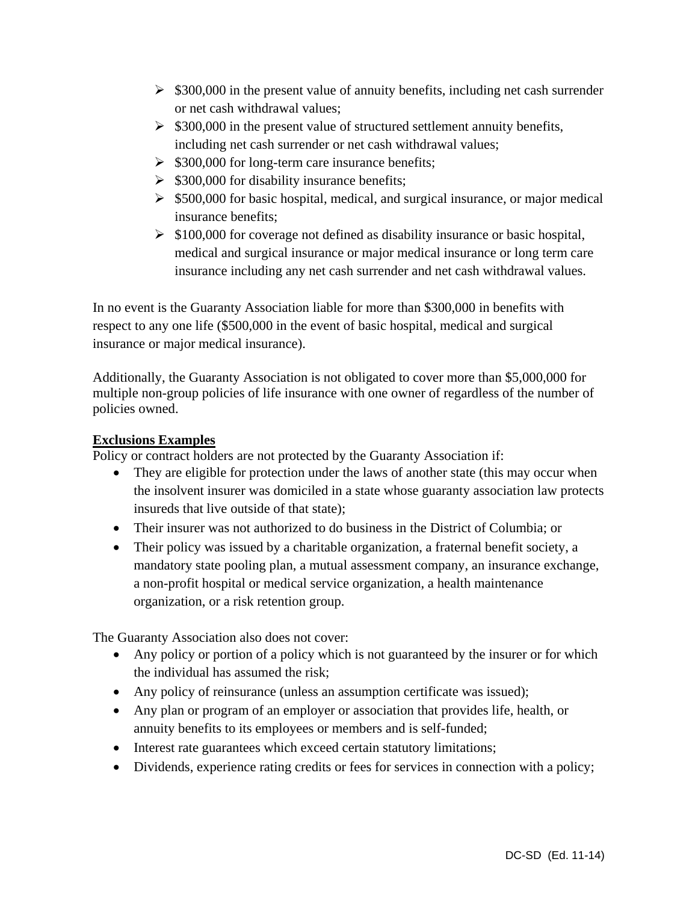- $\geq$  \$300,000 in the present value of annuity benefits, including net cash surrender or net cash withdrawal values;
- $\geq$  \$300,000 in the present value of structured settlement annuity benefits, including net cash surrender or net cash withdrawal values;
- $\geq$  \$300,000 for long-term care insurance benefits;
- $\geq$  \$300,000 for disability insurance benefits;
- $\geq$  \$500,000 for basic hospital, medical, and surgical insurance, or major medical insurance benefits;
- $\geq$  \$100,000 for coverage not defined as disability insurance or basic hospital, medical and surgical insurance or major medical insurance or long term care insurance including any net cash surrender and net cash withdrawal values.

In no event is the Guaranty Association liable for more than \$300,000 in benefits with respect to any one life (\$500,000 in the event of basic hospital, medical and surgical insurance or major medical insurance).

Additionally, the Guaranty Association is not obligated to cover more than \$5,000,000 for multiple non-group policies of life insurance with one owner of regardless of the number of policies owned.

# **Exclusions Examples**

Policy or contract holders are not protected by the Guaranty Association if:

- They are eligible for protection under the laws of another state (this may occur when the insolvent insurer was domiciled in a state whose guaranty association law protects insureds that live outside of that state);
- Their insurer was not authorized to do business in the District of Columbia; or
- Their policy was issued by a charitable organization, a fraternal benefit society, a mandatory state pooling plan, a mutual assessment company, an insurance exchange, a non-profit hospital or medical service organization, a health maintenance organization, or a risk retention group.

The Guaranty Association also does not cover:

- Any policy or portion of a policy which is not guaranteed by the insurer or for which the individual has assumed the risk;
- Any policy of reinsurance (unless an assumption certificate was issued);
- Any plan or program of an employer or association that provides life, health, or annuity benefits to its employees or members and is self-funded;
- Interest rate guarantees which exceed certain statutory limitations;
- Dividends, experience rating credits or fees for services in connection with a policy;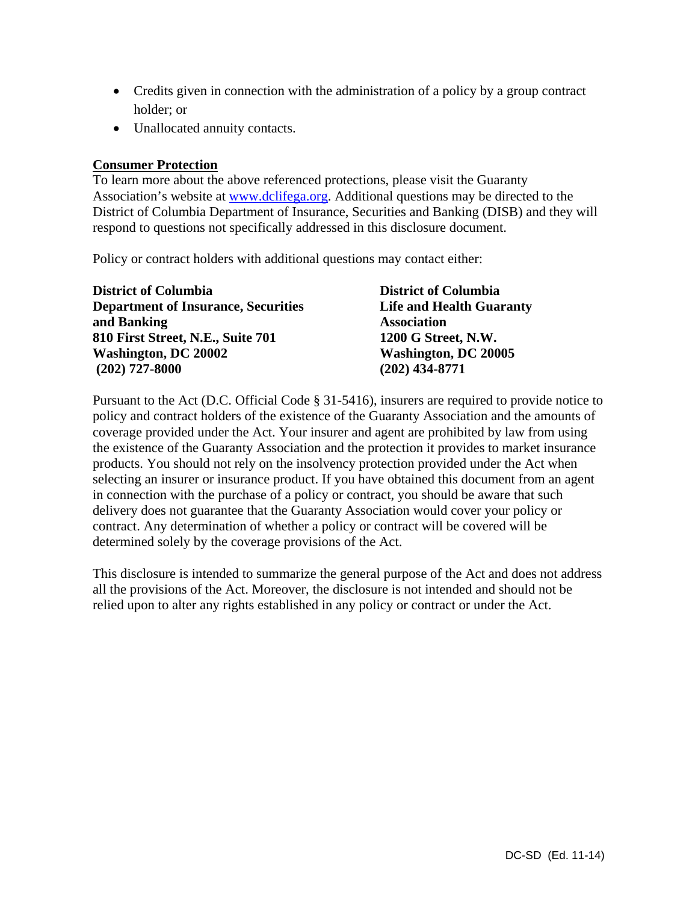- Credits given in connection with the administration of a policy by a group contract holder; or
- Unallocated annuity contacts.

# **Consumer Protection**

To learn more about the above referenced protections, please visit the Guaranty Association's website at www.dclifega.org. Additional questions may be directed to the District of Columbia Department of Insurance, Securities and Banking (DISB) and they will respond to questions not specifically addressed in this disclosure document.

Policy or contract holders with additional questions may contact either:

| <b>District of Columbia</b>                | <b>District of Columbia</b>     |
|--------------------------------------------|---------------------------------|
| <b>Department of Insurance, Securities</b> | <b>Life and Health Guaranty</b> |
| and Banking                                | <b>Association</b>              |
| 810 First Street, N.E., Suite 701          | 1200 G Street, N.W.             |
| Washington, DC 20002                       | <b>Washington, DC 20005</b>     |
| $(202)$ 727-8000                           | $(202)$ 434-8771                |

Pursuant to the Act (D.C. Official Code § 31-5416), insurers are required to provide notice to policy and contract holders of the existence of the Guaranty Association and the amounts of coverage provided under the Act. Your insurer and agent are prohibited by law from using the existence of the Guaranty Association and the protection it provides to market insurance products. You should not rely on the insolvency protection provided under the Act when selecting an insurer or insurance product. If you have obtained this document from an agent in connection with the purchase of a policy or contract, you should be aware that such delivery does not guarantee that the Guaranty Association would cover your policy or contract. Any determination of whether a policy or contract will be covered will be determined solely by the coverage provisions of the Act.

This disclosure is intended to summarize the general purpose of the Act and does not address all the provisions of the Act. Moreover, the disclosure is not intended and should not be relied upon to alter any rights established in any policy or contract or under the Act.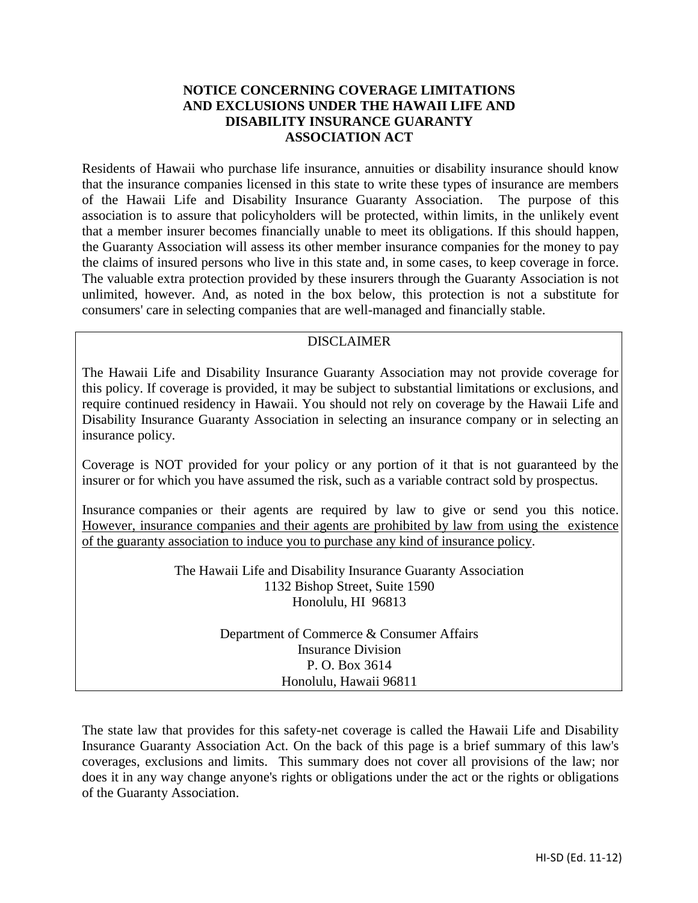# **NOTICE CONCERNING COVERAGE LIMITATIONS AND EXCLUSIONS UNDER THE HAWAII LIFE AND DISABILITY INSURANCE GUARANTY ASSOCIATION ACT**

Residents of Hawaii who purchase life insurance, annuities or disability insurance should know that the insurance companies licensed in this state to write these types of insurance are members of the Hawaii Life and Disability Insurance Guaranty Association. The purpose of this association is to assure that policyholders will be protected, within limits, in the unlikely event that a member insurer becomes financially unable to meet its obligations. If this should happen, the Guaranty Association will assess its other member insurance companies for the money to pay the claims of insured persons who live in this state and, in some cases, to keep coverage in force. The valuable extra protection provided by these insurers through the Guaranty Association is not unlimited, however. And, as noted in the box below, this protection is not a substitute for consumers' care in selecting companies that are well-managed and financially stable.

# DISCLAIMER

The Hawaii Life and Disability Insurance Guaranty Association may not provide coverage for this policy. If coverage is provided, it may be subject to substantial limitations or exclusions, and require continued residency in Hawaii. You should not rely on coverage by the Hawaii Life and Disability Insurance Guaranty Association in selecting an insurance company or in selecting an insurance policy.

Coverage is NOT provided for your policy or any portion of it that is not guaranteed by the insurer or for which you have assumed the risk, such as a variable contract sold by prospectus.

Insurance companies or their agents are required by law to give or send you this notice. However, insurance companies and their agents are prohibited by law from using the existence of the guaranty association to induce you to purchase any kind of insurance policy.

> The Hawaii Life and Disability Insurance Guaranty Association 1132 Bishop Street, Suite 1590 Honolulu, HI 96813

> > Department of Commerce & Consumer Affairs Insurance Division P. O. Box 3614 Honolulu, Hawaii 96811

The state law that provides for this safety-net coverage is called the Hawaii Life and Disability Insurance Guaranty Association Act. On the back of this page is a brief summary of this law's coverages, exclusions and limits. This summary does not cover all provisions of the law; nor does it in any way change anyone's rights or obligations under the act or the rights or obligations of the Guaranty Association.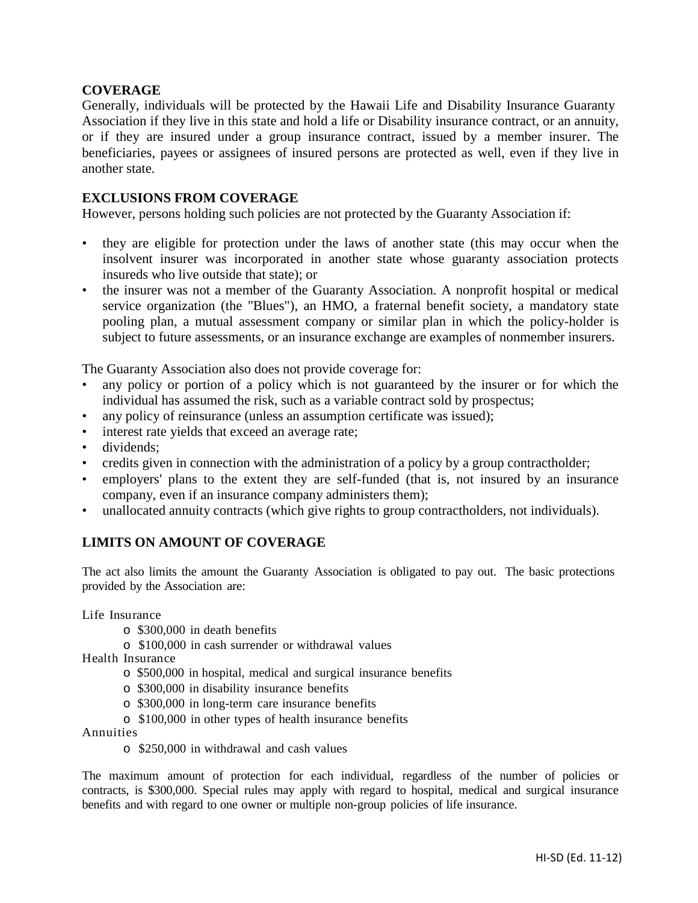# **COVERAGE**

Generally, individuals will be protected by the Hawaii Life and Disability Insurance Guaranty Association if they live in this state and hold a life or Disability insurance contract, or an annuity, or if they are insured under a group insurance contract, issued by a member insurer. The beneficiaries, payees or assignees of insured persons are protected as well, even if they live in another state.

# **EXCLUSIONS FROM COVERAGE**

However, persons holding such policies are not protected by the Guaranty Association if:

- they are eligible for protection under the laws of another state (this may occur when the insolvent insurer was incorporated in another state whose guaranty association protects insureds who live outside that state); or
- the insurer was not a member of the Guaranty Association. A nonprofit hospital or medical service organization (the "Blues"), an HMO, a fraternal benefit society, a mandatory state pooling plan, a mutual assessment company or similar plan in which the policy-holder is subject to future assessments, or an insurance exchange are examples of nonmember insurers.

The Guaranty Association also does not provide coverage for:

- any policy or portion of a policy which is not guaranteed by the insurer or for which the individual has assumed the risk, such as a variable contract sold by prospectus;
- any policy of reinsurance (unless an assumption certificate was issued);
- interest rate yields that exceed an average rate;
- dividends;
- credits given in connection with the administration of a policy by a group contractholder;
- employers' plans to the extent they are self-funded (that is, not insured by an insurance company, even if an insurance company administers them);
- unallocated annuity contracts (which give rights to group contractholders, not individuals).

# **LIMITS ON AMOUNT OF COVERAGE**

The act also limits the amount the Guaranty Association is obligated to pay out. The basic protections provided by the Association are:

Life Insurance

- o \$300,000 in death benefits
- o \$100,000 in cash surrender or withdrawal values

Health Insurance

- o \$500,000 in hospital, medical and surgical insurance benefits
- o \$300,000 in disability insurance benefits
- o \$300,000 in long-term care insurance benefits
- o \$100,000 in other types of health insurance benefits

Annuities

o \$250,000 in withdrawal and cash values

The maximum amount of protection for each individual, regardless of the number of policies or contracts, is \$300,000. Special rules may apply with regard to hospital, medical and surgical insurance benefits and with regard to one owner or multiple non-group policies of life insurance.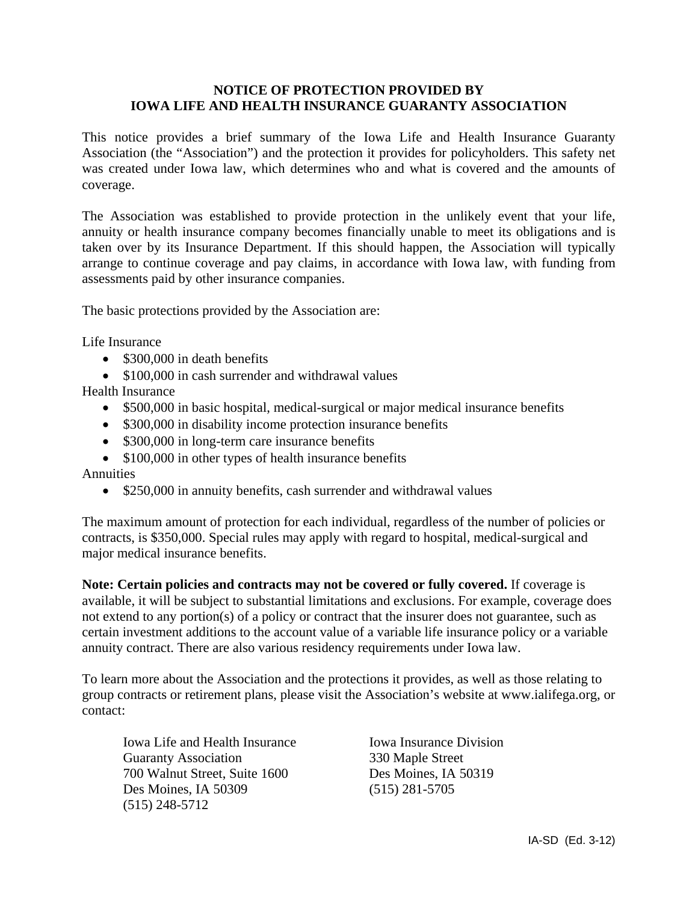# **NOTICE OF PROTECTION PROVIDED BY IOWA LIFE AND HEALTH INSURANCE GUARANTY ASSOCIATION**

This notice provides a brief summary of the Iowa Life and Health Insurance Guaranty Association (the "Association") and the protection it provides for policyholders. This safety net was created under Iowa law, which determines who and what is covered and the amounts of coverage.

The Association was established to provide protection in the unlikely event that your life, annuity or health insurance company becomes financially unable to meet its obligations and is taken over by its Insurance Department. If this should happen, the Association will typically arrange to continue coverage and pay claims, in accordance with Iowa law, with funding from assessments paid by other insurance companies.

The basic protections provided by the Association are:

Life Insurance

- \$300,000 in death benefits
- \$100,000 in cash surrender and withdrawal values

Health Insurance

- \$500,000 in basic hospital, medical-surgical or major medical insurance benefits
- \$300,000 in disability income protection insurance benefits
- \$300,000 in long-term care insurance benefits
- \$100,000 in other types of health insurance benefits

Annuities

• \$250,000 in annuity benefits, cash surrender and withdrawal values

The maximum amount of protection for each individual, regardless of the number of policies or contracts, is \$350,000. Special rules may apply with regard to hospital, medical-surgical and major medical insurance benefits.

**Note: Certain policies and contracts may not be covered or fully covered.** If coverage is available, it will be subject to substantial limitations and exclusions. For example, coverage does not extend to any portion(s) of a policy or contract that the insurer does not guarantee, such as certain investment additions to the account value of a variable life insurance policy or a variable annuity contract. There are also various residency requirements under Iowa law.

To learn more about the Association and the protections it provides, as well as those relating to group contracts or retirement plans, please visit the Association's website at www.ialifega.org, or contact:

Iowa Life and Health Insurance Iowa Insurance Division Guaranty Association 330 Maple Street 700 Walnut Street, Suite 1600 Des Moines, IA 50319 Des Moines, IA 50309 (515) 281-5705 (515) 248-5712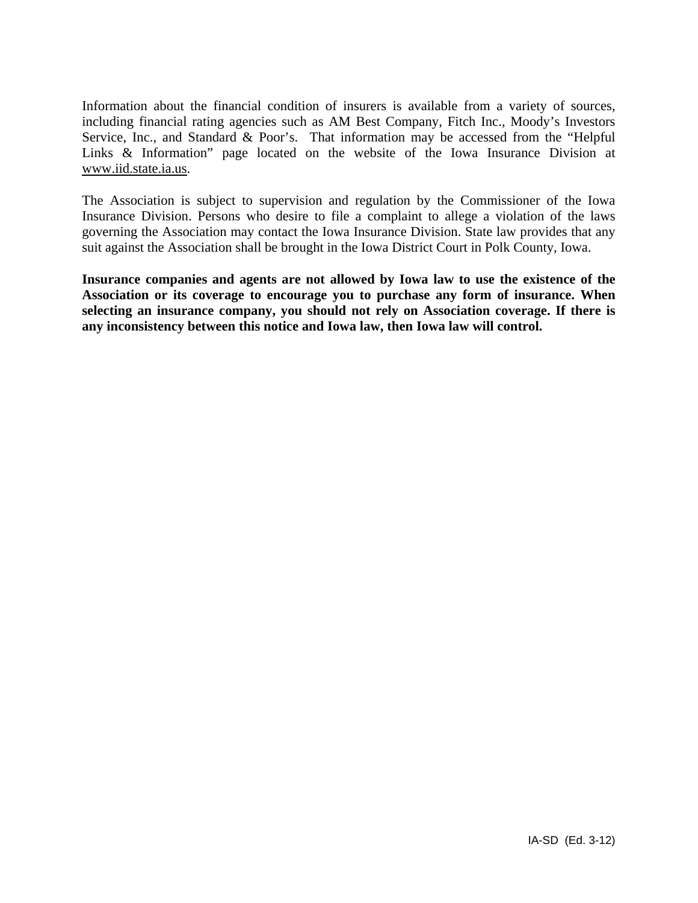Information about the financial condition of insurers is available from a variety of sources, including financial rating agencies such as AM Best Company, Fitch Inc., Moody's Investors Service, Inc., and Standard & Poor's. That information may be accessed from the "Helpful Links & Information" page located on the website of the Iowa Insurance Division at www.iid.state.ia.us.

The Association is subject to supervision and regulation by the Commissioner of the Iowa Insurance Division. Persons who desire to file a complaint to allege a violation of the laws governing the Association may contact the Iowa Insurance Division. State law provides that any suit against the Association shall be brought in the Iowa District Court in Polk County, Iowa.

**Insurance companies and agents are not allowed by Iowa law to use the existence of the Association or its coverage to encourage you to purchase any form of insurance. When selecting an insurance company, you should not rely on Association coverage. If there is any inconsistency between this notice and Iowa law, then Iowa law will control.**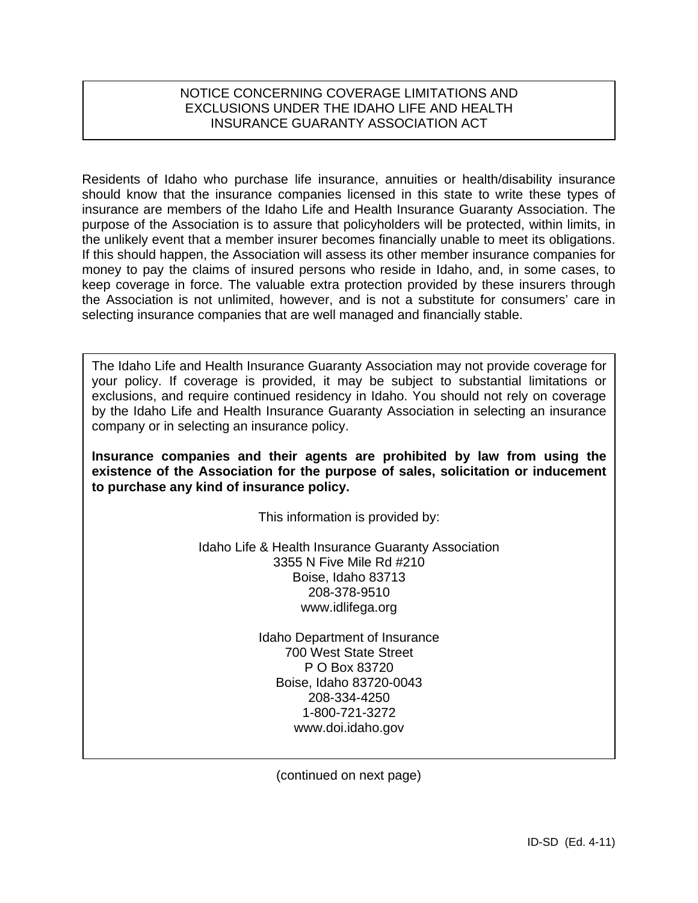# NOTICE CONCERNING COVERAGE LIMITATIONS AND EXCLUSIONS UNDER THE IDAHO LIFE AND HEALTH INSURANCE GUARANTY ASSOCIATION ACT

Residents of Idaho who purchase life insurance, annuities or health/disability insurance should know that the insurance companies licensed in this state to write these types of insurance are members of the Idaho Life and Health Insurance Guaranty Association. The purpose of the Association is to assure that policyholders will be protected, within limits, in the unlikely event that a member insurer becomes financially unable to meet its obligations. If this should happen, the Association will assess its other member insurance companies for money to pay the claims of insured persons who reside in Idaho, and, in some cases, to keep coverage in force. The valuable extra protection provided by these insurers through the Association is not unlimited, however, and is not a substitute for consumers' care in selecting insurance companies that are well managed and financially stable.

The Idaho Life and Health Insurance Guaranty Association may not provide coverage for your policy. If coverage is provided, it may be subject to substantial limitations or exclusions, and require continued residency in Idaho. You should not rely on coverage by the Idaho Life and Health Insurance Guaranty Association in selecting an insurance company or in selecting an insurance policy.

**Insurance companies and their agents are prohibited by law from using the existence of the Association for the purpose of sales, solicitation or inducement to purchase any kind of insurance policy.** 

This information is provided by:

Idaho Life & Health Insurance Guaranty Association 3355 N Five Mile Rd #210 Boise, Idaho 83713 208-378-9510 www.idlifega.org

> Idaho Department of Insurance 700 West State Street P O Box 83720 Boise, Idaho 83720-0043 208-334-4250 1-800-721-3272 www.doi.idaho.gov

(continued on next page)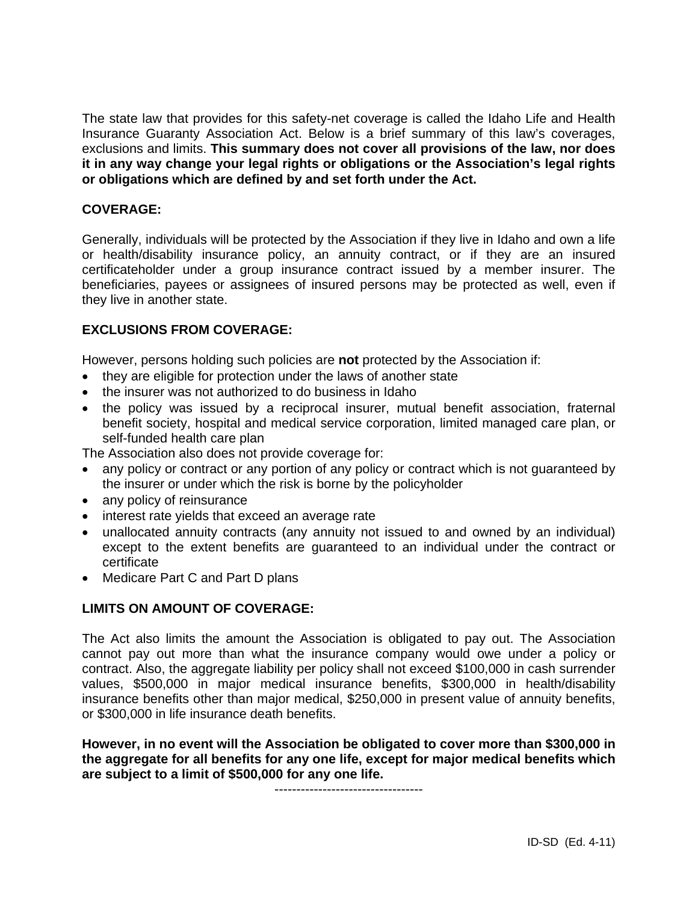The state law that provides for this safety-net coverage is called the Idaho Life and Health Insurance Guaranty Association Act. Below is a brief summary of this law's coverages, exclusions and limits. **This summary does not cover all provisions of the law, nor does it in any way change your legal rights or obligations or the Association's legal rights or obligations which are defined by and set forth under the Act.** 

# **COVERAGE:**

Generally, individuals will be protected by the Association if they live in Idaho and own a life or health/disability insurance policy, an annuity contract, or if they are an insured certificateholder under a group insurance contract issued by a member insurer. The beneficiaries, payees or assignees of insured persons may be protected as well, even if they live in another state.

# **EXCLUSIONS FROM COVERAGE:**

However, persons holding such policies are **not** protected by the Association if:

- they are eligible for protection under the laws of another state
- the insurer was not authorized to do business in Idaho
- the policy was issued by a reciprocal insurer, mutual benefit association, fraternal benefit society, hospital and medical service corporation, limited managed care plan, or self-funded health care plan

The Association also does not provide coverage for:

- any policy or contract or any portion of any policy or contract which is not guaranteed by the insurer or under which the risk is borne by the policyholder
- any policy of reinsurance
- interest rate yields that exceed an average rate
- unallocated annuity contracts (any annuity not issued to and owned by an individual) except to the extent benefits are guaranteed to an individual under the contract or certificate
- Medicare Part C and Part D plans

# **LIMITS ON AMOUNT OF COVERAGE:**

The Act also limits the amount the Association is obligated to pay out. The Association cannot pay out more than what the insurance company would owe under a policy or contract. Also, the aggregate liability per policy shall not exceed \$100,000 in cash surrender values, \$500,000 in major medical insurance benefits, \$300,000 in health/disability insurance benefits other than major medical, \$250,000 in present value of annuity benefits, or \$300,000 in life insurance death benefits.

**However, in no event will the Association be obligated to cover more than \$300,000 in the aggregate for all benefits for any one life, except for major medical benefits which are subject to a limit of \$500,000 for any one life.** 

----------------------------------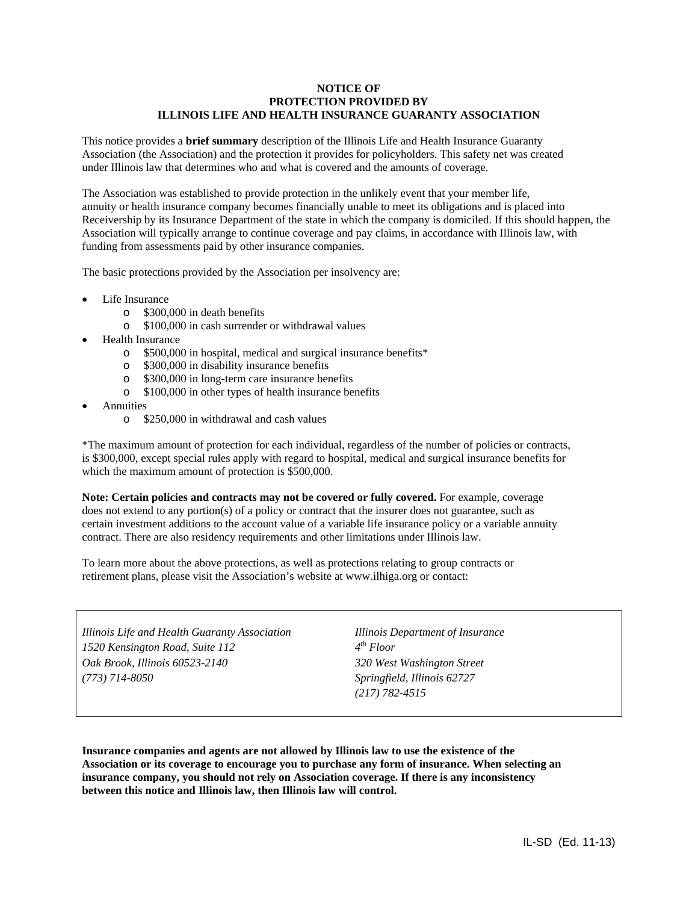#### **NOTICE OF PROTECTION PROVIDED BY ILLINOIS LIFE AND HEALTH INSURANCE GUARANTY ASSOCIATION**

This notice provides a **brief summary** description of the Illinois Life and Health Insurance Guaranty Association (the Association) and the protection it provides for policyholders. This safety net was created under Illinois law that determines who and what is covered and the amounts of coverage.

The Association was established to provide protection in the unlikely event that your member life, annuity or health insurance company becomes financially unable to meet its obligations and is placed into Receivership by its Insurance Department of the state in which the company is domiciled. If this should happen, the Association will typically arrange to continue coverage and pay claims, in accordance with Illinois law, with funding from assessments paid by other insurance companies.

The basic protections provided by the Association per insolvency are:

- Life Insurance
	- o \$300,000 in death benefits
	- o \$100,000 in cash surrender or withdrawal values
- Health Insurance
	- o \$500,000 in hospital, medical and surgical insurance benefits\*
	- o \$300,000 in disability insurance benefits
	- o \$300,000 in long-term care insurance benefits
	- o \$100,000 in other types of health insurance benefits
- Annuities
	- o \$250,000 in withdrawal and cash values

\*The maximum amount of protection for each individual, regardless of the number of policies or contracts, is \$300,000, except special rules apply with regard to hospital, medical and surgical insurance benefits for which the maximum amount of protection is \$500,000.

**Note: Certain policies and contracts may not be covered or fully covered.** For example, coverage does not extend to any portion(s) of a policy or contract that the insurer does not guarantee, such as certain investment additions to the account value of a variable life insurance policy or a variable annuity contract. There are also residency requirements and other limitations under Illinois law.

To learn more about the above protections, as well as protections relating to group contracts or retirement plans, please visit the Association's website at www.ilhiga.org or contact:

*Illinois Life and Health Guaranty Association 1520 Kensington Road, Suite 112 Oak Brook, Illinois 60523-2140 (773) 714-8050* 

*Illinois Department of Insurance 4th Floor 320 West Washington Street Springfield, Illinois 62727 (217) 782-4515* 

**Insurance companies and agents are not allowed by Illinois law to use the existence of the Association or its coverage to encourage you to purchase any form of insurance. When selecting an insurance company, you should not rely on Association coverage. If there is any inconsistency between this notice and Illinois law, then Illinois law will control.**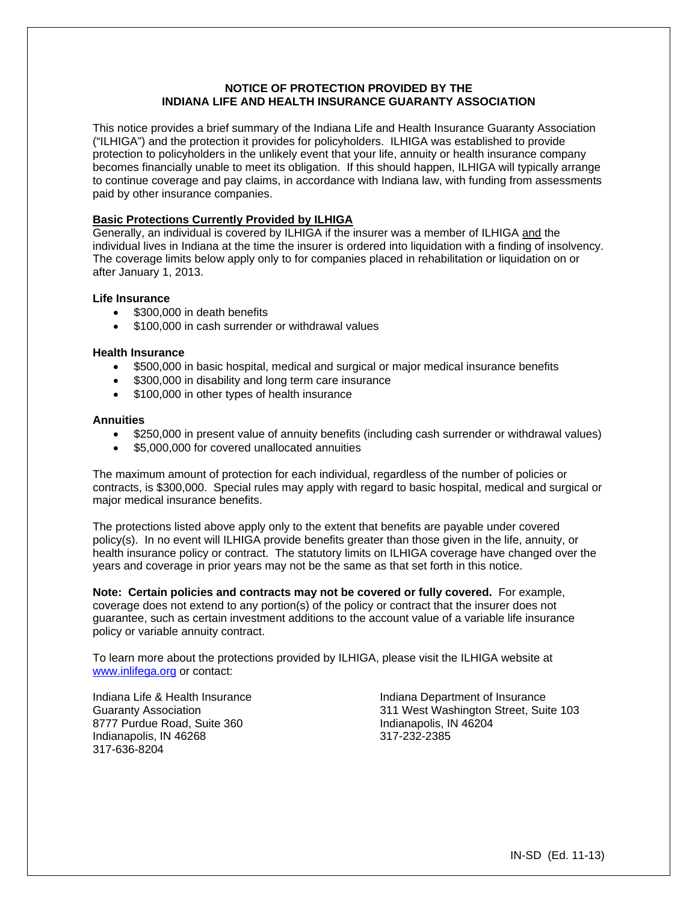# **NOTICE OF PROTECTION PROVIDED BY THE INDIANA LIFE AND HEALTH INSURANCE GUARANTY ASSOCIATION**

This notice provides a brief summary of the Indiana Life and Health Insurance Guaranty Association ("ILHIGA") and the protection it provides for policyholders. ILHIGA was established to provide protection to policyholders in the unlikely event that your life, annuity or health insurance company becomes financially unable to meet its obligation. If this should happen, ILHIGA will typically arrange to continue coverage and pay claims, in accordance with Indiana law, with funding from assessments paid by other insurance companies.

## **Basic Protections Currently Provided by ILHIGA**

Generally, an individual is covered by ILHIGA if the insurer was a member of ILHIGA and the individual lives in Indiana at the time the insurer is ordered into liquidation with a finding of insolvency. The coverage limits below apply only to for companies placed in rehabilitation or liquidation on or after January 1, 2013.

## **Life Insurance**

- \$300,000 in death benefits
- \$100,000 in cash surrender or withdrawal values

## **Health Insurance**

- \$500,000 in basic hospital, medical and surgical or major medical insurance benefits
- \$300,000 in disability and long term care insurance
- \$100,000 in other types of health insurance

## **Annuities**

- \$250,000 in present value of annuity benefits (including cash surrender or withdrawal values)
- \$5,000,000 for covered unallocated annuities

The maximum amount of protection for each individual, regardless of the number of policies or contracts, is \$300,000. Special rules may apply with regard to basic hospital, medical and surgical or major medical insurance benefits.

The protections listed above apply only to the extent that benefits are payable under covered policy(s). In no event will ILHIGA provide benefits greater than those given in the life, annuity, or health insurance policy or contract. The statutory limits on ILHIGA coverage have changed over the years and coverage in prior years may not be the same as that set forth in this notice.

**Note: Certain policies and contracts may not be covered or fully covered.** For example, coverage does not extend to any portion(s) of the policy or contract that the insurer does not guarantee, such as certain investment additions to the account value of a variable life insurance policy or variable annuity contract.

To learn more about the protections provided by ILHIGA, please visit the ILHIGA website at www.inlifega.org or contact:

8777 Purdue Road, Suite 360 Indianapolis, IN 46204<br>Indianapolis, IN 46268 Indianapolis, IN 46204 Indianapolis, IN 46268 317-636-8204

Indiana Life & Health Insurance **Indiana Department of Insurance** Guaranty Association 311 West Washington Street, Suite 103

IN-SD (Ed. 11-13)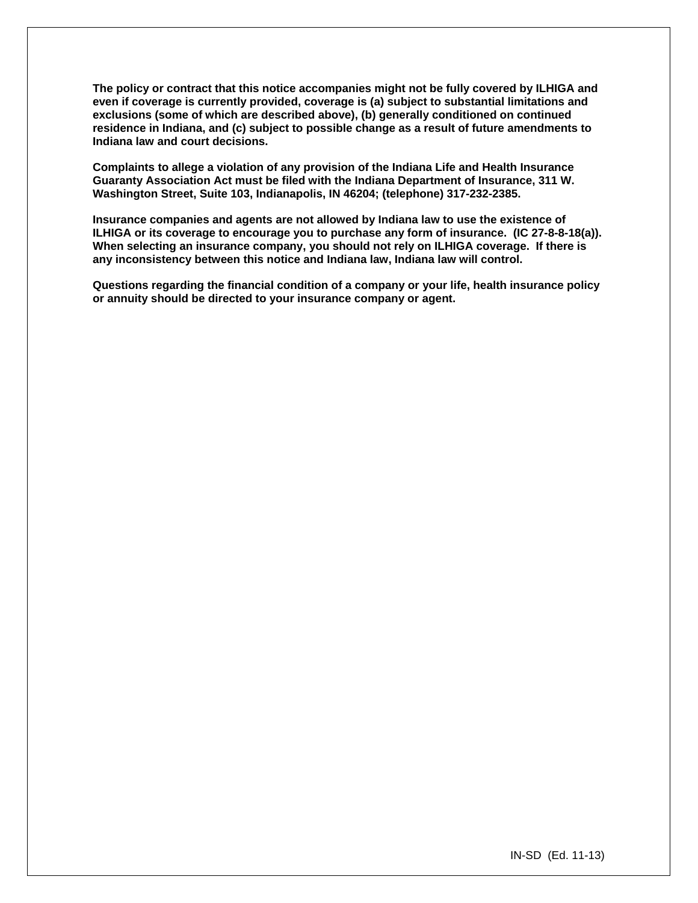**The policy or contract that this notice accompanies might not be fully covered by ILHIGA and even if coverage is currently provided, coverage is (a) subject to substantial limitations and exclusions (some of which are described above), (b) generally conditioned on continued residence in Indiana, and (c) subject to possible change as a result of future amendments to Indiana law and court decisions.** 

**Complaints to allege a violation of any provision of the Indiana Life and Health Insurance Guaranty Association Act must be filed with the Indiana Department of Insurance, 311 W. Washington Street, Suite 103, Indianapolis, IN 46204; (telephone) 317-232-2385.** 

**Insurance companies and agents are not allowed by Indiana law to use the existence of ILHIGA or its coverage to encourage you to purchase any form of insurance. (IC 27-8-8-18(a)). When selecting an insurance company, you should not rely on ILHIGA coverage. If there is any inconsistency between this notice and Indiana law, Indiana law will control.** 

**Questions regarding the financial condition of a company or your life, health insurance policy or annuity should be directed to your insurance company or agent.**

IN-SD (Ed. 11-13)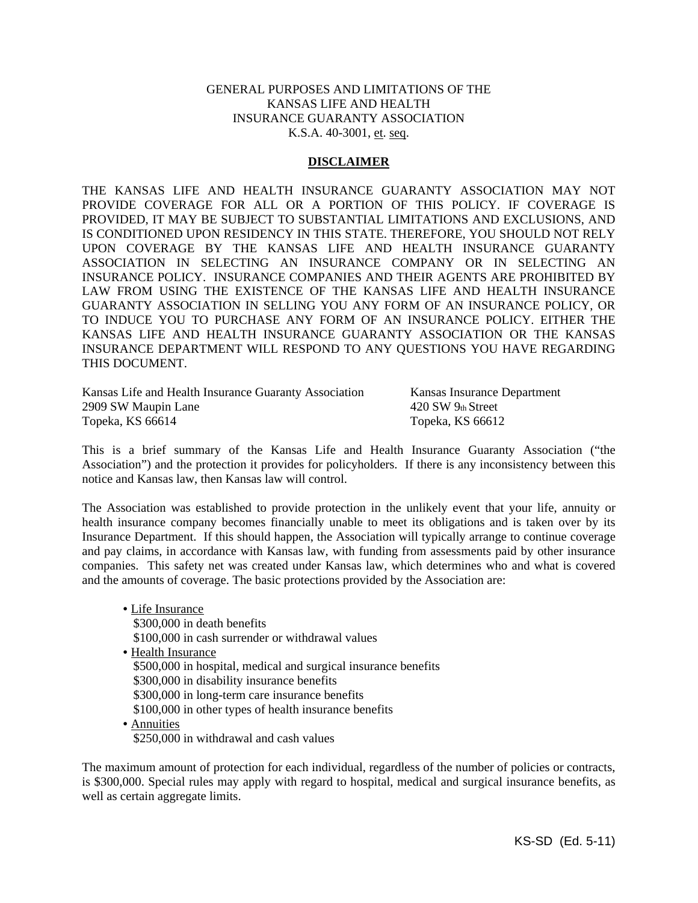# GENERAL PURPOSES AND LIMITATIONS OF THE KANSAS LIFE AND HEALTH INSURANCE GUARANTY ASSOCIATION K.S.A. 40-3001, et. seq.

## **DISCLAIMER**

THE KANSAS LIFE AND HEALTH INSURANCE GUARANTY ASSOCIATION MAY NOT PROVIDE COVERAGE FOR ALL OR A PORTION OF THIS POLICY. IF COVERAGE IS PROVIDED, IT MAY BE SUBJECT TO SUBSTANTIAL LIMITATIONS AND EXCLUSIONS, AND IS CONDITIONED UPON RESIDENCY IN THIS STATE. THEREFORE, YOU SHOULD NOT RELY UPON COVERAGE BY THE KANSAS LIFE AND HEALTH INSURANCE GUARANTY ASSOCIATION IN SELECTING AN INSURANCE COMPANY OR IN SELECTING AN INSURANCE POLICY. INSURANCE COMPANIES AND THEIR AGENTS ARE PROHIBITED BY LAW FROM USING THE EXISTENCE OF THE KANSAS LIFE AND HEALTH INSURANCE GUARANTY ASSOCIATION IN SELLING YOU ANY FORM OF AN INSURANCE POLICY, OR TO INDUCE YOU TO PURCHASE ANY FORM OF AN INSURANCE POLICY. EITHER THE KANSAS LIFE AND HEALTH INSURANCE GUARANTY ASSOCIATION OR THE KANSAS INSURANCE DEPARTMENT WILL RESPOND TO ANY QUESTIONS YOU HAVE REGARDING THIS DOCUMENT.

Kansas Life and Health Insurance Guaranty Association Kansas Insurance Department 2909 SW Maupin Lane 420 SW 9th Street Topeka, KS 66614 Topeka, KS 66612

This is a brief summary of the Kansas Life and Health Insurance Guaranty Association ("the Association") and the protection it provides for policyholders. If there is any inconsistency between this notice and Kansas law, then Kansas law will control.

The Association was established to provide protection in the unlikely event that your life, annuity or health insurance company becomes financially unable to meet its obligations and is taken over by its Insurance Department. If this should happen, the Association will typically arrange to continue coverage and pay claims, in accordance with Kansas law, with funding from assessments paid by other insurance companies. This safety net was created under Kansas law, which determines who and what is covered and the amounts of coverage. The basic protections provided by the Association are:

• Life Insurance \$300,000 in death benefits \$100,000 in cash surrender or withdrawal values • Health Insurance \$500,000 in hospital, medical and surgical insurance benefits \$300,000 in disability insurance benefits \$300,000 in long-term care insurance benefits \$100,000 in other types of health insurance benefits • Annuities \$250,000 in withdrawal and cash values

The maximum amount of protection for each individual, regardless of the number of policies or contracts, is \$300,000. Special rules may apply with regard to hospital, medical and surgical insurance benefits, as well as certain aggregate limits.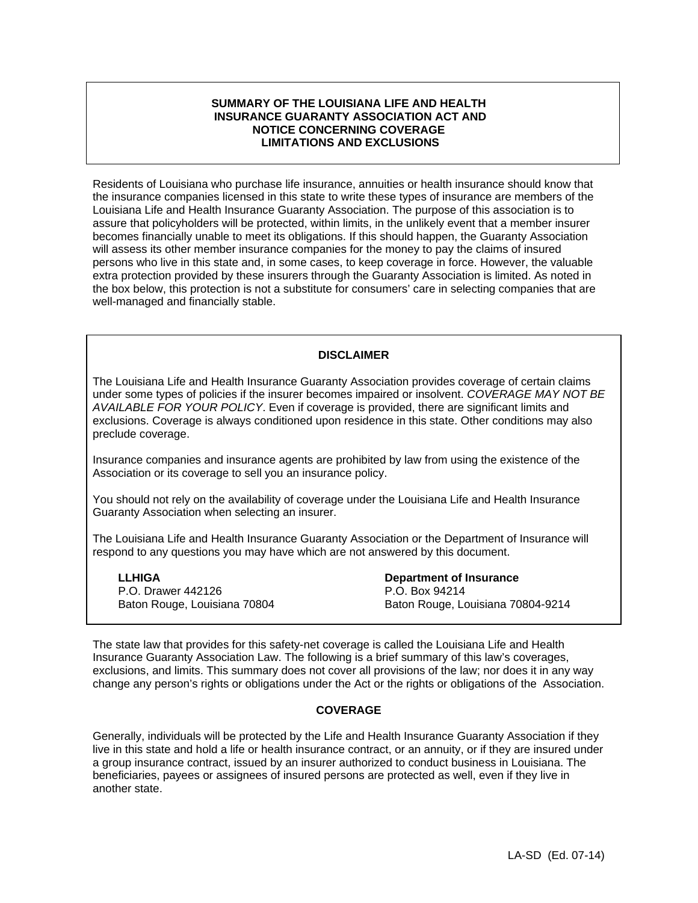## **SUMMARY OF THE LOUISIANA LIFE AND HEALTH INSURANCE GUARANTY ASSOCIATION ACT AND NOTICE CONCERNING COVERAGE LIMITATIONS AND EXCLUSIONS**

Residents of Louisiana who purchase life insurance, annuities or health insurance should know that the insurance companies licensed in this state to write these types of insurance are members of the Louisiana Life and Health Insurance Guaranty Association. The purpose of this association is to assure that policyholders will be protected, within limits, in the unlikely event that a member insurer becomes financially unable to meet its obligations. If this should happen, the Guaranty Association will assess its other member insurance companies for the money to pay the claims of insured persons who live in this state and, in some cases, to keep coverage in force. However, the valuable extra protection provided by these insurers through the Guaranty Association is limited. As noted in the box below, this protection is not a substitute for consumers' care in selecting companies that are well-managed and financially stable.

## **DISCLAIMER**

The Louisiana Life and Health Insurance Guaranty Association provides coverage of certain claims under some types of policies if the insurer becomes impaired or insolvent. *COVERAGE MAY NOT BE AVAILABLE FOR YOUR POLICY*. Even if coverage is provided, there are significant limits and exclusions. Coverage is always conditioned upon residence in this state. Other conditions may also preclude coverage.

Insurance companies and insurance agents are prohibited by law from using the existence of the Association or its coverage to sell you an insurance policy.

You should not rely on the availability of coverage under the Louisiana Life and Health Insurance Guaranty Association when selecting an insurer.

The Louisiana Life and Health Insurance Guaranty Association or the Department of Insurance will respond to any questions you may have which are not answered by this document.

**LLHIGA**  P.O. Drawer 442126 Baton Rouge, Louisiana 70804 **Department of Insurance** P.O. Box 94214 Baton Rouge, Louisiana 70804-9214

The state law that provides for this safety-net coverage is called the Louisiana Life and Health Insurance Guaranty Association Law. The following is a brief summary of this law's coverages, exclusions, and limits. This summary does not cover all provisions of the law; nor does it in any way change any person's rights or obligations under the Act or the rights or obligations of the Association.

## **COVERAGE**

Generally, individuals will be protected by the Life and Health Insurance Guaranty Association if they live in this state and hold a life or health insurance contract, or an annuity, or if they are insured under a group insurance contract, issued by an insurer authorized to conduct business in Louisiana. The beneficiaries, payees or assignees of insured persons are protected as well, even if they live in another state.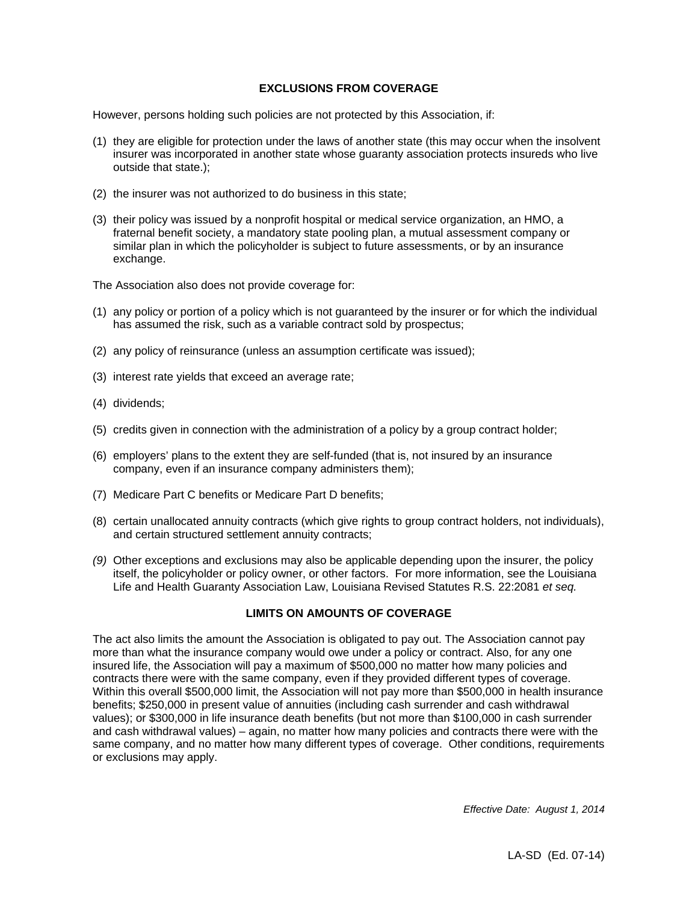# **EXCLUSIONS FROM COVERAGE**

However, persons holding such policies are not protected by this Association, if:

- (1) they are eligible for protection under the laws of another state (this may occur when the insolvent insurer was incorporated in another state whose guaranty association protects insureds who live outside that state.);
- (2) the insurer was not authorized to do business in this state;
- (3) their policy was issued by a nonprofit hospital or medical service organization, an HMO, a fraternal benefit society, a mandatory state pooling plan, a mutual assessment company or similar plan in which the policyholder is subject to future assessments, or by an insurance exchange.

The Association also does not provide coverage for:

- (1) any policy or portion of a policy which is not guaranteed by the insurer or for which the individual has assumed the risk, such as a variable contract sold by prospectus;
- (2) any policy of reinsurance (unless an assumption certificate was issued);
- (3) interest rate yields that exceed an average rate;
- (4) dividends;
- (5) credits given in connection with the administration of a policy by a group contract holder;
- (6) employers' plans to the extent they are self-funded (that is, not insured by an insurance company, even if an insurance company administers them);
- (7) Medicare Part C benefits or Medicare Part D benefits;
- (8) certain unallocated annuity contracts (which give rights to group contract holders, not individuals), and certain structured settlement annuity contracts;
- *(9)* Other exceptions and exclusions may also be applicable depending upon the insurer, the policy itself, the policyholder or policy owner, or other factors. For more information, see the Louisiana Life and Health Guaranty Association Law, Louisiana Revised Statutes R.S. 22:2081 *et seq.*

## **LIMITS ON AMOUNTS OF COVERAGE**

The act also limits the amount the Association is obligated to pay out. The Association cannot pay more than what the insurance company would owe under a policy or contract. Also, for any one insured life, the Association will pay a maximum of \$500,000 no matter how many policies and contracts there were with the same company, even if they provided different types of coverage. Within this overall \$500,000 limit, the Association will not pay more than \$500,000 in health insurance benefits; \$250,000 in present value of annuities (including cash surrender and cash withdrawal values); or \$300,000 in life insurance death benefits (but not more than \$100,000 in cash surrender and cash withdrawal values) – again, no matter how many policies and contracts there were with the same company, and no matter how many different types of coverage. Other conditions, requirements or exclusions may apply.

*Effective Date: August 1, 2014*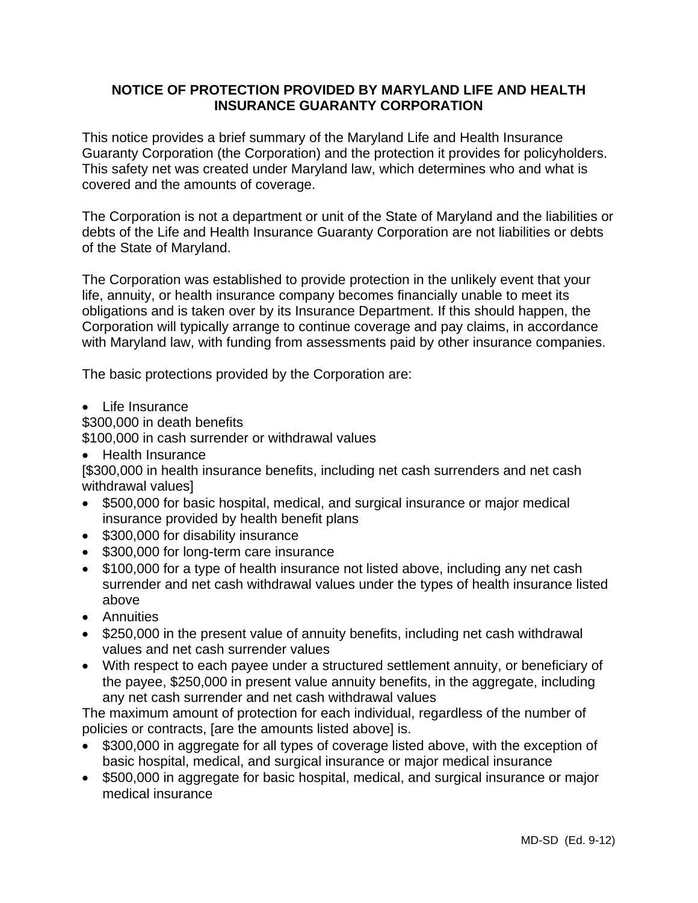# **NOTICE OF PROTECTION PROVIDED BY MARYLAND LIFE AND HEALTH INSURANCE GUARANTY CORPORATION**

This notice provides a brief summary of the Maryland Life and Health Insurance Guaranty Corporation (the Corporation) and the protection it provides for policyholders. This safety net was created under Maryland law, which determines who and what is covered and the amounts of coverage.

The Corporation is not a department or unit of the State of Maryland and the liabilities or debts of the Life and Health Insurance Guaranty Corporation are not liabilities or debts of the State of Maryland.

The Corporation was established to provide protection in the unlikely event that your life, annuity, or health insurance company becomes financially unable to meet its obligations and is taken over by its Insurance Department. If this should happen, the Corporation will typically arrange to continue coverage and pay claims, in accordance with Maryland law, with funding from assessments paid by other insurance companies.

The basic protections provided by the Corporation are:

• Life Insurance

\$300,000 in death benefits

\$100,000 in cash surrender or withdrawal values

Health Insurance

[\$300,000 in health insurance benefits, including net cash surrenders and net cash withdrawal values]

- \$500,000 for basic hospital, medical, and surgical insurance or major medical insurance provided by health benefit plans
- \$300,000 for disability insurance
- \$300,000 for long-term care insurance
- \$100,000 for a type of health insurance not listed above, including any net cash surrender and net cash withdrawal values under the types of health insurance listed above
- **•** Annuities
- \$250,000 in the present value of annuity benefits, including net cash withdrawal values and net cash surrender values
- With respect to each payee under a structured settlement annuity, or beneficiary of the payee, \$250,000 in present value annuity benefits, in the aggregate, including any net cash surrender and net cash withdrawal values

The maximum amount of protection for each individual, regardless of the number of policies or contracts, [are the amounts listed above] is.

- \$300,000 in aggregate for all types of coverage listed above, with the exception of basic hospital, medical, and surgical insurance or major medical insurance
- \$500,000 in aggregate for basic hospital, medical, and surgical insurance or major medical insurance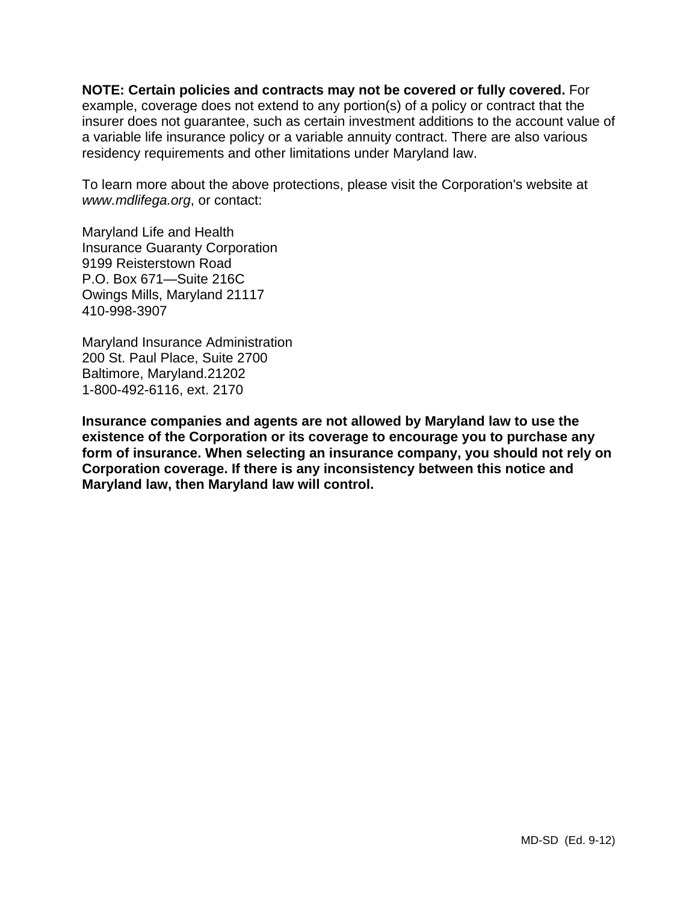**NOTE: Certain policies and contracts may not be covered or fully covered.** For example, coverage does not extend to any portion(s) of a policy or contract that the insurer does not guarantee, such as certain investment additions to the account value of a variable life insurance policy or a variable annuity contract. There are also various residency requirements and other limitations under Maryland law.

To learn more about the above protections, please visit the Corporation's website at *www.mdlifega.org*, or contact:

Maryland Life and Health Insurance Guaranty Corporation 9199 Reisterstown Road P.O. Box 671—Suite 216C Owings Mills, Maryland 21117 410-998-3907

Maryland Insurance Administration 200 St. Paul Place, Suite 2700 Baltimore, Maryland.21202 1-800-492-6116, ext. 2170

**Insurance companies and agents are not allowed by Maryland law to use the existence of the Corporation or its coverage to encourage you to purchase any form of insurance. When selecting an insurance company, you should not rely on Corporation coverage. If there is any inconsistency between this notice and Maryland law, then Maryland law will control.**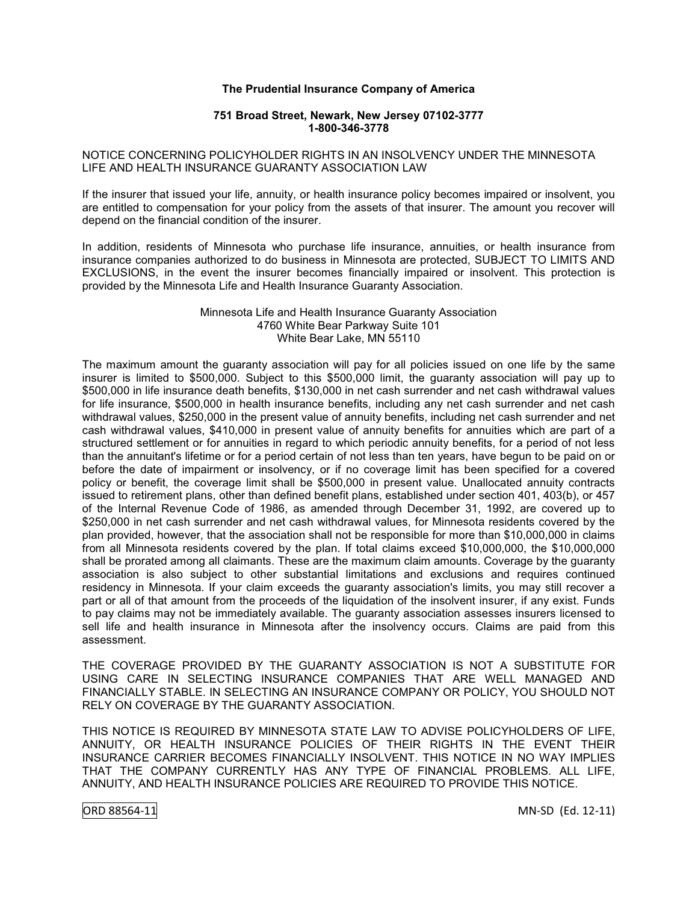#### **The Prudential Insurance Company of America**

#### **751 Broad Street, Newark, New Jersey 07102-3777 1-800-346-3778**

#### NOTICE CONCERNING POLICYHOLDER RIGHTS IN AN INSOLVENCY UNDER THE MINNESOTA LIFE AND HEALTH INSURANCE GUARANTY ASSOCIATION LAW

If the insurer that issued your life, annuity, or health insurance policy becomes impaired or insolvent, you are entitled to compensation for your policy from the assets of that insurer. The amount you recover will depend on the financial condition of the insurer.

In addition, residents of Minnesota who purchase life insurance, annuities, or health insurance from insurance companies authorized to do business in Minnesota are protected, SUBJECT TO LIMITS AND EXCLUSIONS, in the event the insurer becomes financially impaired or insolvent. This protection is provided by the Minnesota Life and Health Insurance Guaranty Association.

#### Minnesota Life and Health Insurance Guaranty Association 4760 White Bear Parkway Suite 101 White Bear Lake, MN 55110

The maximum amount the guaranty association will pay for all policies issued on one life by the same insurer is limited to \$500,000. Subject to this \$500,000 limit, the guaranty association will pay up to \$500,000 in life insurance death benefits, \$130,000 in net cash surrender and net cash withdrawal values for life insurance, \$500,000 in health insurance benefits, including any net cash surrender and net cash withdrawal values, \$250,000 in the present value of annuity benefits, including net cash surrender and net cash withdrawal values, \$410,000 in present value of annuity benefits for annuities which are part of a structured settlement or for annuities in regard to which periodic annuity benefits, for a period of not less than the annuitant's lifetime or for a period certain of not less than ten years, have begun to be paid on or before the date of impairment or insolvency, or if no coverage limit has been specified for a covered policy or benefit, the coverage limit shall be \$500,000 in present value. Unallocated annuity contracts issued to retirement plans, other than defined benefit plans, established under section 401, 403(b), or 457 of the Internal Revenue Code of 1986, as amended through December 31, 1992, are covered up to \$250,000 in net cash surrender and net cash withdrawal values, for Minnesota residents covered by the plan provided, however, that the association shall not be responsible for more than \$10,000,000 in claims from all Minnesota residents covered by the plan. If total claims exceed \$10,000,000, the \$10,000,000 shall be prorated among all claimants. These are the maximum claim amounts. Coverage by the guaranty association is also subject to other substantial limitations and exclusions and requires continued residency in Minnesota. If your claim exceeds the guaranty association's limits, you may still recover a part or all of that amount from the proceeds of the liquidation of the insolvent insurer, if any exist. Funds to pay claims may not be immediately available. The guaranty association assesses insurers licensed to sell life and health insurance in Minnesota after the insolvency occurs. Claims are paid from this assessment.

THE COVERAGE PROVIDED BY THE GUARANTY ASSOCIATION IS NOT A SUBSTITUTE FOR USING CARE IN SELECTING INSURANCE COMPANIES THAT ARE WELL MANAGED AND FINANCIALLY STABLE. IN SELECTING AN INSURANCE COMPANY OR POLICY, YOU SHOULD NOT RELY ON COVERAGE BY THE GUARANTY ASSOCIATION.

THIS NOTICE IS REQUIRED BY MINNESOTA STATE LAW TO ADVISE POLICYHOLDERS OF LIFE, ANNUITY, OR HEALTH INSURANCE POLICIES OF THEIR RIGHTS IN THE EVENT THEIR INSURANCE CARRIER BECOMES FINANCIALLY INSOLVENT. THIS NOTICE IN NO WAY IMPLIES THAT THE COMPANY CURRENTLY HAS ANY TYPE OF FINANCIAL PROBLEMS. ALL LIFE, ANNUITY, AND HEALTH INSURANCE POLICIES ARE REQUIRED TO PROVIDE THIS NOTICE.

ORD 88564-11 MN-SD (Ed. 12-11)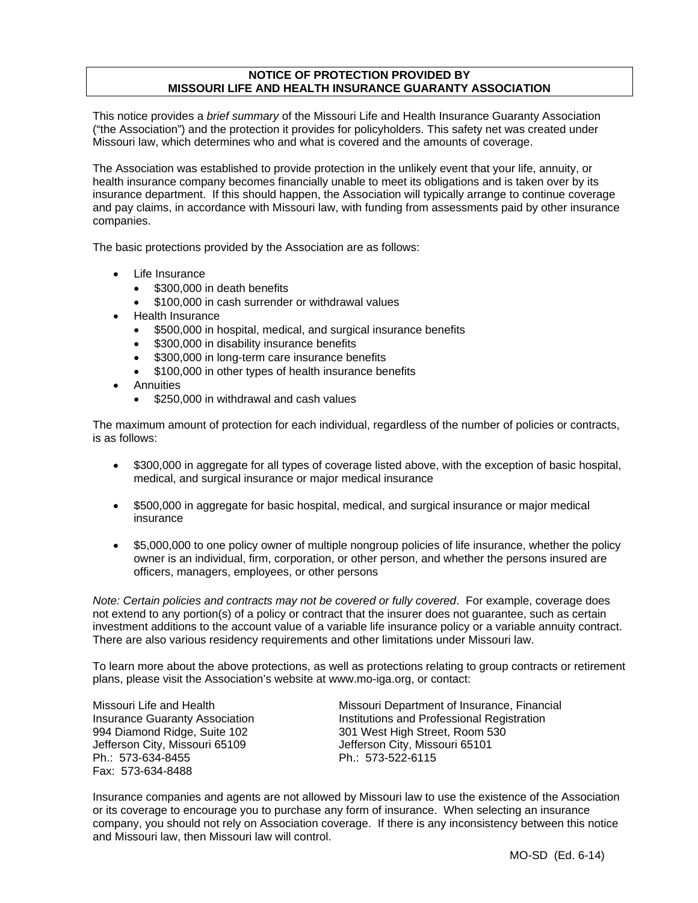# **NOTICE OF PROTECTION PROVIDED BY MISSOURI LIFE AND HEALTH INSURANCE GUARANTY ASSOCIATION**

This notice provides a *brief summary* of the Missouri Life and Health Insurance Guaranty Association ("the Association") and the protection it provides for policyholders. This safety net was created under Missouri law, which determines who and what is covered and the amounts of coverage.

The Association was established to provide protection in the unlikely event that your life, annuity, or health insurance company becomes financially unable to meet its obligations and is taken over by its insurance department. If this should happen, the Association will typically arrange to continue coverage and pay claims, in accordance with Missouri law, with funding from assessments paid by other insurance companies.

The basic protections provided by the Association are as follows:

- Life Insurance
	- \$300,000 in death benefits
	- \$100,000 in cash surrender or withdrawal values
- Health Insurance
	- \$500,000 in hospital, medical, and surgical insurance benefits
	- \$300,000 in disability insurance benefits
	- \$300,000 in long-term care insurance benefits
	- \$100,000 in other types of health insurance benefits
- Annuities
	- \$250,000 in withdrawal and cash values

The maximum amount of protection for each individual, regardless of the number of policies or contracts, is as follows:

- \$300,000 in aggregate for all types of coverage listed above, with the exception of basic hospital, medical, and surgical insurance or major medical insurance
- \$500,000 in aggregate for basic hospital, medical, and surgical insurance or major medical insurance
- \$5,000,000 to one policy owner of multiple nongroup policies of life insurance, whether the policy owner is an individual, firm, corporation, or other person, and whether the persons insured are officers, managers, employees, or other persons

*Note: Certain policies and contracts may not be covered or fully covered*. For example, coverage does not extend to any portion(s) of a policy or contract that the insurer does not guarantee, such as certain investment additions to the account value of a variable life insurance policy or a variable annuity contract. There are also various residency requirements and other limitations under Missouri law.

To learn more about the above protections, as well as protections relating to group contracts or retirement plans, please visit the Association's website at www.mo-iga.org, or contact:

Jefferson City, Missouri 65109 Jefferson City, Missouri 65101 Ph.: 573-634-8455 Ph.: 573-522-6115 Fax: 573-634-8488

Missouri Life and Health Missouri Department of Insurance, Financial Insurance Guaranty Association **Institutions and Professional Registration** 994 Diamond Ridge, Suite 102 301 West High Street, Room 530

Insurance companies and agents are not allowed by Missouri law to use the existence of the Association or its coverage to encourage you to purchase any form of insurance. When selecting an insurance company, you should not rely on Association coverage. If there is any inconsistency between this notice and Missouri law, then Missouri law will control.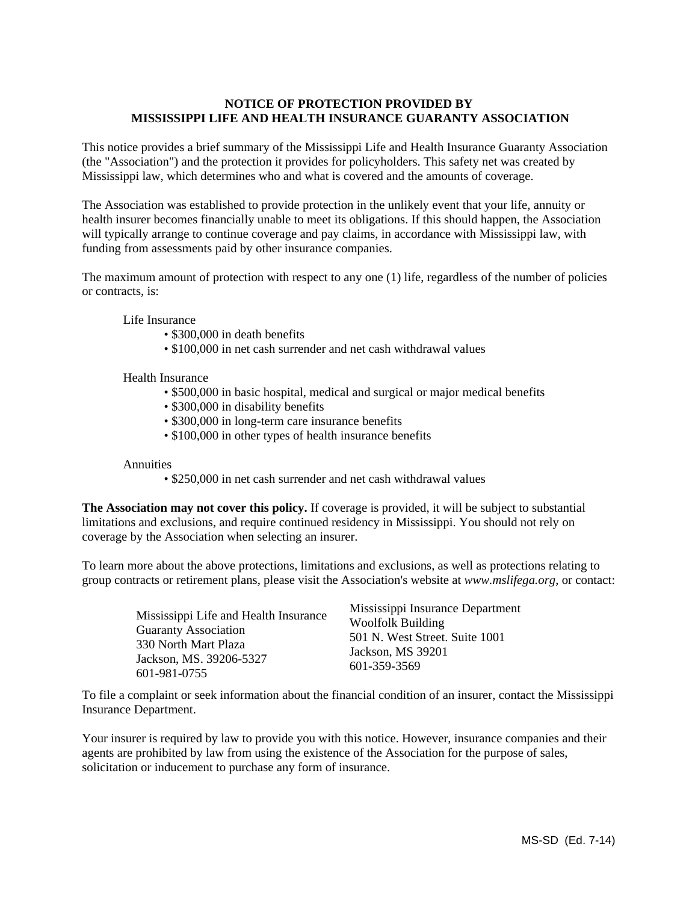# **NOTICE OF PROTECTION PROVIDED BY MISSISSIPPI LIFE AND HEALTH INSURANCE GUARANTY ASSOCIATION**

This notice provides a brief summary of the Mississippi Life and Health Insurance Guaranty Association (the "Association") and the protection it provides for policyholders. This safety net was created by Mississippi law, which determines who and what is covered and the amounts of coverage.

The Association was established to provide protection in the unlikely event that your life, annuity or health insurer becomes financially unable to meet its obligations. If this should happen, the Association will typically arrange to continue coverage and pay claims, in accordance with Mississippi law, with funding from assessments paid by other insurance companies.

The maximum amount of protection with respect to any one (1) life, regardless of the number of policies or contracts, is:

Life Insurance

- \$300,000 in death benefits
- \$100,000 in net cash surrender and net cash withdrawal values

Health Insurance

- \$500,000 in basic hospital, medical and surgical or major medical benefits
- \$300,000 in disability benefits
- \$300,000 in long-term care insurance benefits
- \$100,000 in other types of health insurance benefits

Annuities

• \$250,000 in net cash surrender and net cash withdrawal values

**The Association may not cover this policy.** If coverage is provided, it will be subject to substantial limitations and exclusions, and require continued residency in Mississippi. You should not rely on coverage by the Association when selecting an insurer.

To learn more about the above protections, limitations and exclusions, as well as protections relating to group contracts or retirement plans, please visit the Association's website at *www.mslifega.org*, or contact:

| Mississippi Life and Health Insurance<br><b>Guaranty Association</b><br>330 North Mart Plaza<br>Jackson, MS. 39206-5327 | Mississippi Insurance Department<br><b>Woolfolk Building</b><br>501 N. West Street. Suite 1001<br>Jackson, MS 39201<br>601-359-3569 |
|-------------------------------------------------------------------------------------------------------------------------|-------------------------------------------------------------------------------------------------------------------------------------|
| 601-981-0755                                                                                                            |                                                                                                                                     |

To file a complaint or seek information about the financial condition of an insurer, contact the Mississippi Insurance Department.

Your insurer is required by law to provide you with this notice. However, insurance companies and their agents are prohibited by law from using the existence of the Association for the purpose of sales, solicitation or inducement to purchase any form of insurance.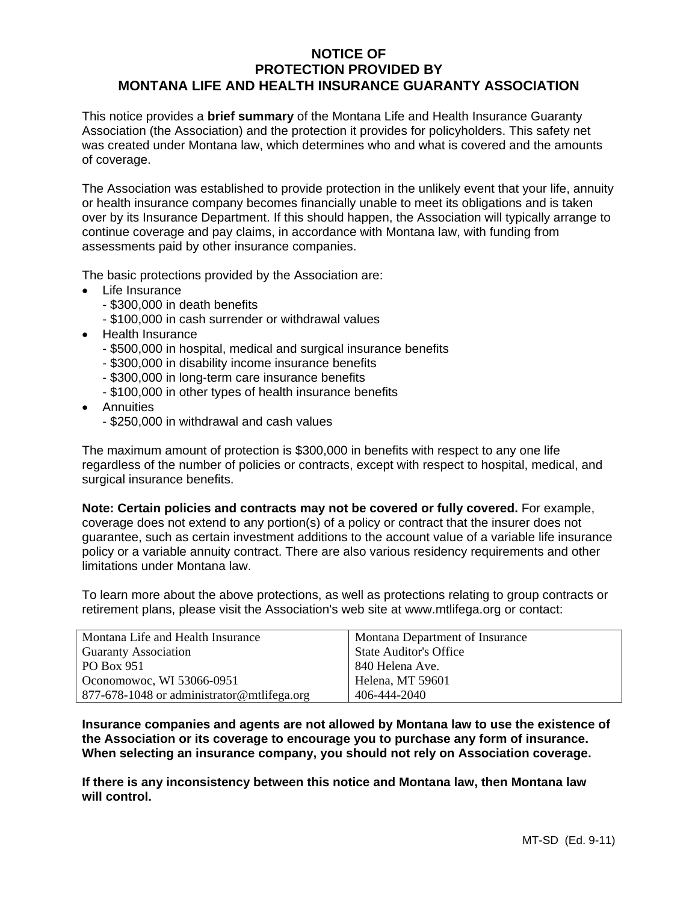# **NOTICE OF PROTECTION PROVIDED BY MONTANA LIFE AND HEALTH INSURANCE GUARANTY ASSOCIATION**

This notice provides a **brief summary** of the Montana Life and Health Insurance Guaranty Association (the Association) and the protection it provides for policyholders. This safety net was created under Montana law, which determines who and what is covered and the amounts of coverage.

The Association was established to provide protection in the unlikely event that your life, annuity or health insurance company becomes financially unable to meet its obligations and is taken over by its Insurance Department. If this should happen, the Association will typically arrange to continue coverage and pay claims, in accordance with Montana law, with funding from assessments paid by other insurance companies.

The basic protections provided by the Association are:

- Life Insurance
	- \$300,000 in death benefits
	- \$100,000 in cash surrender or withdrawal values
- Health Insurance
	- \$500,000 in hospital, medical and surgical insurance benefits
	- \$300,000 in disability income insurance benefits
	- \$300,000 in long-term care insurance benefits
	- \$100,000 in other types of health insurance benefits
- Annuities
	- \$250,000 in withdrawal and cash values

The maximum amount of protection is \$300,000 in benefits with respect to any one life regardless of the number of policies or contracts, except with respect to hospital, medical, and surgical insurance benefits.

**Note: Certain policies and contracts may not be covered or fully covered.** For example, coverage does not extend to any portion(s) of a policy or contract that the insurer does not guarantee, such as certain investment additions to the account value of a variable life insurance policy or a variable annuity contract. There are also various residency requirements and other limitations under Montana law.

To learn more about the above protections, as well as protections relating to group contracts or retirement plans, please visit the Association's web site at www.mtlifega.org or contact:

| Montana Life and Health Insurance          | Montana Department of Insurance |
|--------------------------------------------|---------------------------------|
| <b>Guaranty Association</b>                | <b>State Auditor's Office</b>   |
| PO Box 951                                 | 840 Helena Ave.                 |
| Oconomowoc, WI 53066-0951                  | Helena, MT 59601                |
| 877-678-1048 or administrator@mtlifega.org | 406-444-2040                    |

**Insurance companies and agents are not allowed by Montana law to use the existence of the Association or its coverage to encourage you to purchase any form of insurance. When selecting an insurance company, you should not rely on Association coverage.** 

**If there is any inconsistency between this notice and Montana law, then Montana law will control.**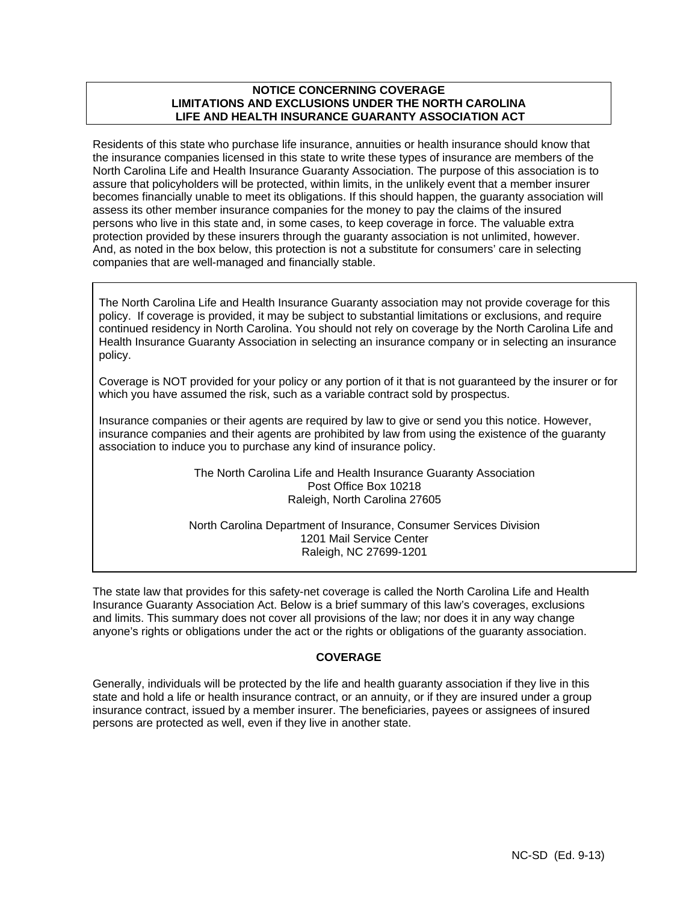# **NOTICE CONCERNING COVERAGE LIMITATIONS AND EXCLUSIONS UNDER THE NORTH CAROLINA LIFE AND HEALTH INSURANCE GUARANTY ASSOCIATION ACT**

Residents of this state who purchase life insurance, annuities or health insurance should know that the insurance companies licensed in this state to write these types of insurance are members of the North Carolina Life and Health Insurance Guaranty Association. The purpose of this association is to assure that policyholders will be protected, within limits, in the unlikely event that a member insurer becomes financially unable to meet its obligations. If this should happen, the guaranty association will assess its other member insurance companies for the money to pay the claims of the insured persons who live in this state and, in some cases, to keep coverage in force. The valuable extra protection provided by these insurers through the guaranty association is not unlimited, however. And, as noted in the box below, this protection is not a substitute for consumers' care in selecting companies that are well-managed and financially stable.

The North Carolina Life and Health Insurance Guaranty association may not provide coverage for this policy. If coverage is provided, it may be subject to substantial limitations or exclusions, and require continued residency in North Carolina. You should not rely on coverage by the North Carolina Life and Health Insurance Guaranty Association in selecting an insurance company or in selecting an insurance policy.

Coverage is NOT provided for your policy or any portion of it that is not guaranteed by the insurer or for which you have assumed the risk, such as a variable contract sold by prospectus.

Insurance companies or their agents are required by law to give or send you this notice. However, insurance companies and their agents are prohibited by law from using the existence of the guaranty association to induce you to purchase any kind of insurance policy.

# The North Carolina Life and Health Insurance Guaranty Association Post Office Box 10218 Raleigh, North Carolina 27605

North Carolina Department of Insurance, Consumer Services Division 1201 Mail Service Center Raleigh, NC 27699-1201

The state law that provides for this safety-net coverage is called the North Carolina Life and Health Insurance Guaranty Association Act. Below is a brief summary of this law's coverages, exclusions and limits. This summary does not cover all provisions of the law; nor does it in any way change anyone's rights or obligations under the act or the rights or obligations of the guaranty association.

# **COVERAGE**

Generally, individuals will be protected by the life and health guaranty association if they live in this state and hold a life or health insurance contract, or an annuity, or if they are insured under a group insurance contract, issued by a member insurer. The beneficiaries, payees or assignees of insured persons are protected as well, even if they live in another state.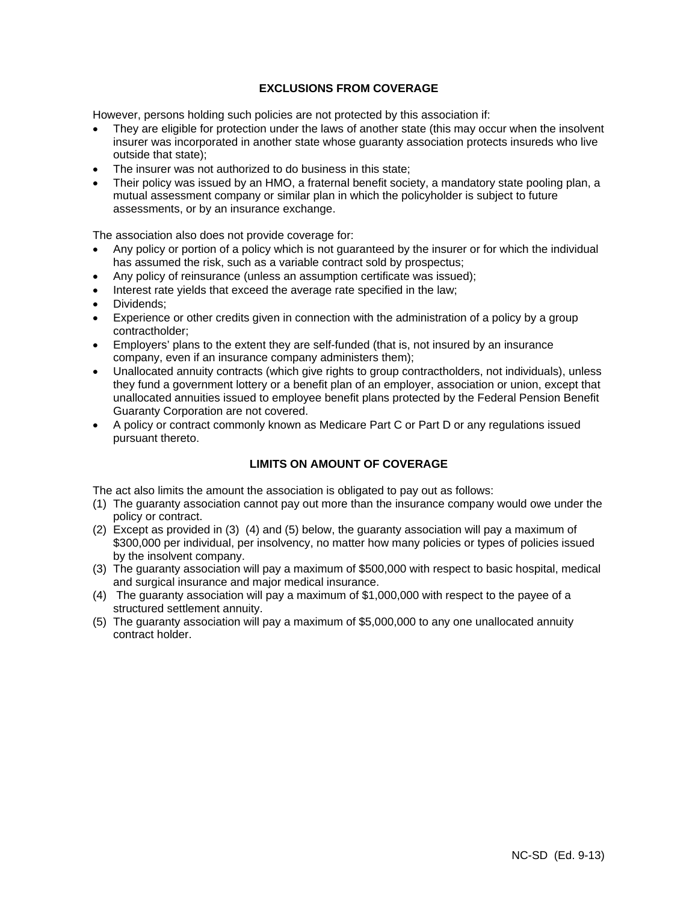# **EXCLUSIONS FROM COVERAGE**

However, persons holding such policies are not protected by this association if:

- They are eligible for protection under the laws of another state (this may occur when the insolvent insurer was incorporated in another state whose guaranty association protects insureds who live outside that state);
- The insurer was not authorized to do business in this state;
- Their policy was issued by an HMO, a fraternal benefit society, a mandatory state pooling plan, a mutual assessment company or similar plan in which the policyholder is subject to future assessments, or by an insurance exchange.

The association also does not provide coverage for:

- Any policy or portion of a policy which is not guaranteed by the insurer or for which the individual has assumed the risk, such as a variable contract sold by prospectus;
- Any policy of reinsurance (unless an assumption certificate was issued);
- Interest rate yields that exceed the average rate specified in the law;
- Dividends;
- Experience or other credits given in connection with the administration of a policy by a group contractholder;
- Employers' plans to the extent they are self-funded (that is, not insured by an insurance company, even if an insurance company administers them);
- Unallocated annuity contracts (which give rights to group contractholders, not individuals), unless they fund a government lottery or a benefit plan of an employer, association or union, except that unallocated annuities issued to employee benefit plans protected by the Federal Pension Benefit Guaranty Corporation are not covered.
- A policy or contract commonly known as Medicare Part C or Part D or any regulations issued pursuant thereto.

# **LIMITS ON AMOUNT OF COVERAGE**

The act also limits the amount the association is obligated to pay out as follows:

- (1) The guaranty association cannot pay out more than the insurance company would owe under the policy or contract.
- (2) Except as provided in (3) (4) and (5) below, the guaranty association will pay a maximum of \$300,000 per individual, per insolvency, no matter how many policies or types of policies issued by the insolvent company.
- (3) The guaranty association will pay a maximum of \$500,000 with respect to basic hospital, medical and surgical insurance and major medical insurance.
- (4) The guaranty association will pay a maximum of \$1,000,000 with respect to the payee of a structured settlement annuity.
- (5) The guaranty association will pay a maximum of \$5,000,000 to any one unallocated annuity contract holder.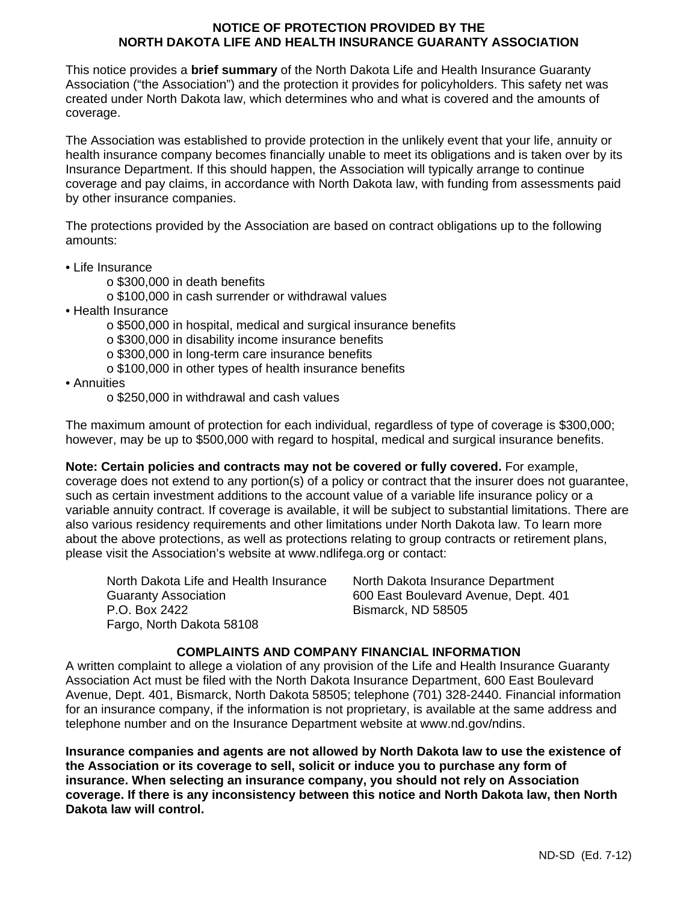# **NOTICE OF PROTECTION PROVIDED BY THE NORTH DAKOTA LIFE AND HEALTH INSURANCE GUARANTY ASSOCIATION**

This notice provides a **brief summary** of the North Dakota Life and Health Insurance Guaranty Association ("the Association") and the protection it provides for policyholders. This safety net was created under North Dakota law, which determines who and what is covered and the amounts of coverage.

The Association was established to provide protection in the unlikely event that your life, annuity or health insurance company becomes financially unable to meet its obligations and is taken over by its Insurance Department. If this should happen, the Association will typically arrange to continue coverage and pay claims, in accordance with North Dakota law, with funding from assessments paid by other insurance companies.

The protections provided by the Association are based on contract obligations up to the following amounts:

- Life Insurance
	- o \$300,000 in death benefits
	- o \$100,000 in cash surrender or withdrawal values
- Health Insurance
	- o \$500,000 in hospital, medical and surgical insurance benefits
	- o \$300,000 in disability income insurance benefits
	- o \$300,000 in long-term care insurance benefits
	- o \$100,000 in other types of health insurance benefits
- Annuities
	- o \$250,000 in withdrawal and cash values

The maximum amount of protection for each individual, regardless of type of coverage is \$300,000; however, may be up to \$500,000 with regard to hospital, medical and surgical insurance benefits.

**Note: Certain policies and contracts may not be covered or fully covered.** For example, coverage does not extend to any portion(s) of a policy or contract that the insurer does not guarantee, such as certain investment additions to the account value of a variable life insurance policy or a variable annuity contract. If coverage is available, it will be subject to substantial limitations. There are also various residency requirements and other limitations under North Dakota law. To learn more about the above protections, as well as protections relating to group contracts or retirement plans, please visit the Association's website at www.ndlifega.org or contact:

North Dakota Life and Health Insurance North Dakota Insurance Department Guaranty Association 600 East Boulevard Avenue, Dept. 401 P.O. Box 2422 **Bismarck, ND 58505** Fargo, North Dakota 58108

# **COMPLAINTS AND COMPANY FINANCIAL INFORMATION**

A written complaint to allege a violation of any provision of the Life and Health Insurance Guaranty Association Act must be filed with the North Dakota Insurance Department, 600 East Boulevard Avenue, Dept. 401, Bismarck, North Dakota 58505; telephone (701) 328-2440. Financial information for an insurance company, if the information is not proprietary, is available at the same address and telephone number and on the Insurance Department website at www.nd.gov/ndins.

**Insurance companies and agents are not allowed by North Dakota law to use the existence of the Association or its coverage to sell, solicit or induce you to purchase any form of insurance. When selecting an insurance company, you should not rely on Association coverage. If there is any inconsistency between this notice and North Dakota law, then North Dakota law will control.**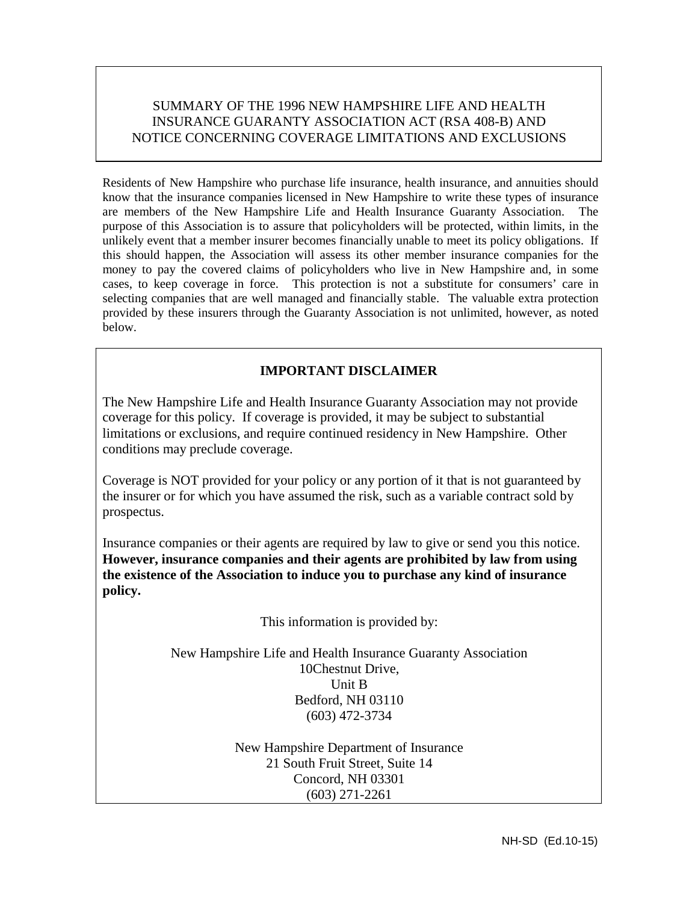# SUMMARY OF THE 1996 NEW HAMPSHIRE LIFE AND HEALTH INSURANCE GUARANTY ASSOCIATION ACT (RSA 408-B) AND NOTICE CONCERNING COVERAGE LIMITATIONS AND EXCLUSIONS

Residents of New Hampshire who purchase life insurance, health insurance, and annuities should know that the insurance companies licensed in New Hampshire to write these types of insurance are members of the New Hampshire Life and Health Insurance Guaranty Association. The purpose of this Association is to assure that policyholders will be protected, within limits, in the unlikely event that a member insurer becomes financially unable to meet its policy obligations. If this should happen, the Association will assess its other member insurance companies for the money to pay the covered claims of policyholders who live in New Hampshire and, in some cases, to keep coverage in force. This protection is not a substitute for consumers' care in selecting companies that are well managed and financially stable. The valuable extra protection provided by these insurers through the Guaranty Association is not unlimited, however, as noted below.

# **IMPORTANT DISCLAIMER**

The New Hampshire Life and Health Insurance Guaranty Association may not provide coverage for this policy. If coverage is provided, it may be subject to substantial limitations or exclusions, and require continued residency in New Hampshire. Other conditions may preclude coverage.

Coverage is NOT provided for your policy or any portion of it that is not guaranteed by the insurer or for which you have assumed the risk, such as a variable contract sold by prospectus.

Insurance companies or their agents are required by law to give or send you this notice. **However, insurance companies and their agents are prohibited by law from using the existence of the Association to induce you to purchase any kind of insurance policy.**

This information is provided by:

New Hampshire Life and Health Insurance Guaranty Association 10Chestnut Drive, Unit B Bedford, NH 03110 (603) 472-3734

> New Hampshire Department of Insurance 21 South Fruit Street, Suite 14 Concord, NH 03301 (603) 271-2261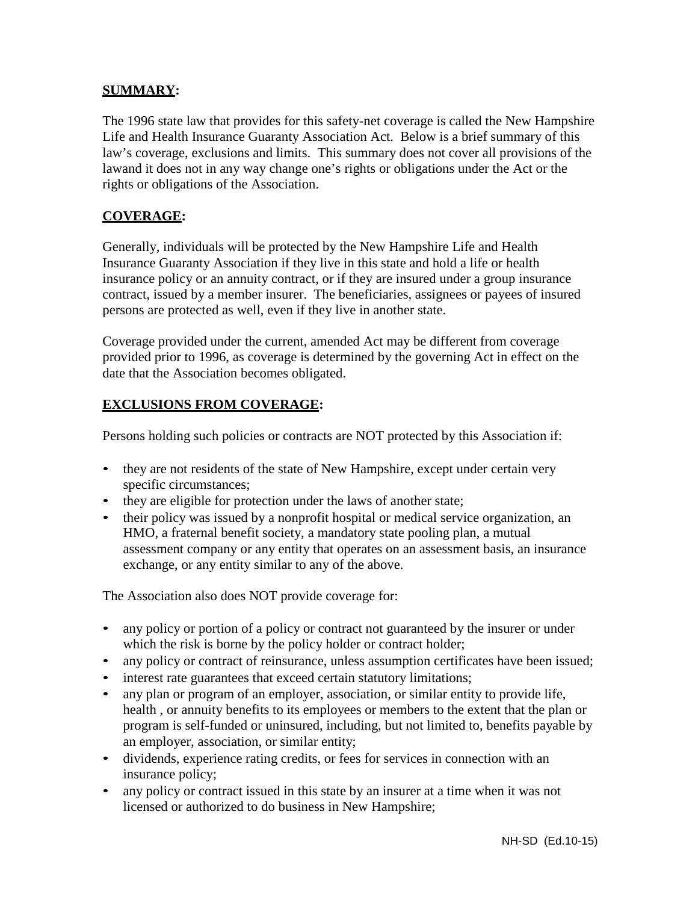# **SUMMARY:**

The 1996 state law that provides for this safety-net coverage is called the New Hampshire Life and Health Insurance Guaranty Association Act. Below is a brief summary of this law's coverage, exclusions and limits. This summary does not cover all provisions of the lawand it does not in any way change one's rights or obligations under the Act or the rights or obligations of the Association.

# **COVERAGE:**

Generally, individuals will be protected by the New Hampshire Life and Health Insurance Guaranty Association if they live in this state and hold a life or health insurance policy or an annuity contract, or if they are insured under a group insurance contract, issued by a member insurer. The beneficiaries, assignees or payees of insured persons are protected as well, even if they live in another state.

Coverage provided under the current, amended Act may be different from coverage provided prior to 1996, as coverage is determined by the governing Act in effect on the date that the Association becomes obligated.

# **EXCLUSIONS FROM COVERAGE:**

Persons holding such policies or contracts are NOT protected by this Association if:

- they are not residents of the state of New Hampshire, except under certain very specific circumstances;
- they are eligible for protection under the laws of another state;
- their policy was issued by a nonprofit hospital or medical service organization, an HMO, a fraternal benefit society, a mandatory state pooling plan, a mutual assessment company or any entity that operates on an assessment basis, an insurance exchange, or any entity similar to any of the above.

The Association also does NOT provide coverage for:

- any policy or portion of a policy or contract not guaranteed by the insurer or under which the risk is borne by the policy holder or contract holder;
- any policy or contract of reinsurance, unless assumption certificates have been issued;
- interest rate guarantees that exceed certain statutory limitations;
- any plan or program of an employer, association, or similar entity to provide life, health , or annuity benefits to its employees or members to the extent that the plan or program is self-funded or uninsured, including, but not limited to, benefits payable by an employer, association, or similar entity;
- dividends, experience rating credits, or fees for services in connection with an insurance policy;
- any policy or contract issued in this state by an insurer at a time when it was not licensed or authorized to do business in New Hampshire;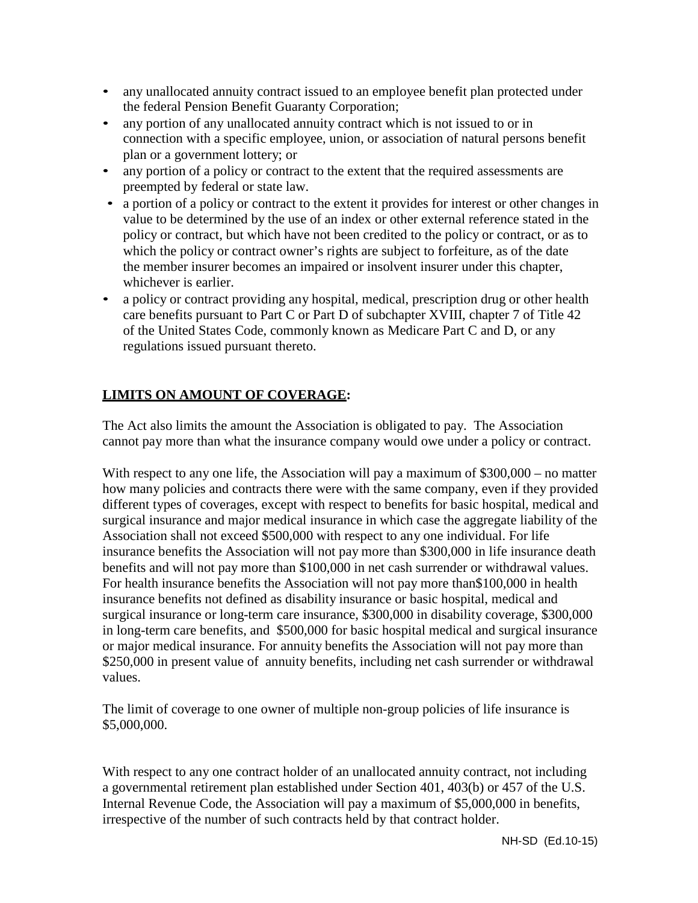- any unallocated annuity contract issued to an employee benefit plan protected under the federal Pension Benefit Guaranty Corporation;
- any portion of any unallocated annuity contract which is not issued to or in connection with a specific employee, union, or association of natural persons benefit plan or a government lottery; or
- any portion of a policy or contract to the extent that the required assessments are preempted by federal or state law.
- a portion of a policy or contract to the extent it provides for interest or other changes in value to be determined by the use of an index or other external reference stated in the policy or contract, but which have not been credited to the policy or contract, or as to which the policy or contract owner's rights are subject to forfeiture, as of the date the member insurer becomes an impaired or insolvent insurer under this chapter, whichever is earlier.
- a policy or contract providing any hospital, medical, prescription drug or other health care benefits pursuant to Part C or Part D of subchapter XVIII, chapter 7 of Title 42 of the United States Code, commonly known as Medicare Part C and D, or any regulations issued pursuant thereto.

# **LIMITS ON AMOUNT OF COVERAGE:**

The Act also limits the amount the Association is obligated to pay. The Association cannot pay more than what the insurance company would owe under a policy or contract.

With respect to any one life, the Association will pay a maximum of \$300,000 – no matter how many policies and contracts there were with the same company, even if they provided different types of coverages, except with respect to benefits for basic hospital, medical and surgical insurance and major medical insurance in which case the aggregate liability of the Association shall not exceed \$500,000 with respect to any one individual. For life insurance benefits the Association will not pay more than \$300,000 in life insurance death benefits and will not pay more than \$100,000 in net cash surrender or withdrawal values. For health insurance benefits the Association will not pay more than\$100,000 in health insurance benefits not defined as disability insurance or basic hospital, medical and surgical insurance or long-term care insurance, \$300,000 in disability coverage, \$300,000 in long-term care benefits, and \$500,000 for basic hospital medical and surgical insurance or major medical insurance. For annuity benefits the Association will not pay more than \$250,000 in present value of annuity benefits, including net cash surrender or withdrawal values.

The limit of coverage to one owner of multiple non-group policies of life insurance is \$5,000,000.

With respect to any one contract holder of an unallocated annuity contract, not including a governmental retirement plan established under Section 401, 403(b) or 457 of the U.S. Internal Revenue Code, the Association will pay a maximum of \$5,000,000 in benefits, irrespective of the number of such contracts held by that contract holder.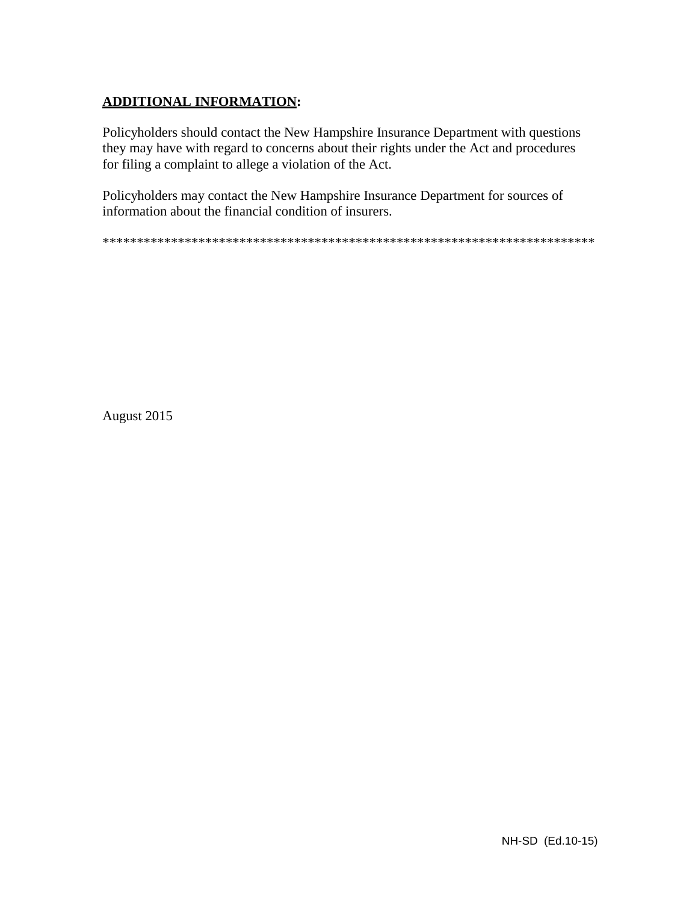# **ADDITIONAL INFORMATION:**

Policyholders should contact the New Hampshire Insurance Department with questions they may have with regard to concerns about their rights under the Act and procedures for filing a complaint to allege a violation of the Act.

Policyholders may contact the New Hampshire Insurance Department for sources of information about the financial condition of insurers.

\*\*\*\*\*\*\*\*\*\*\*\*\*\*\*\*\*\*\*\*\*\*\*\*\*\*\*\*\*\*\*\*\*\*\*\*\*\*\*\*\*\*\*\*\*\*\*\*\*\*\*\*\*\*\*\*\*\*\*\*\*\*\*\*\*\*\*\*\*\*\*\*

August 2015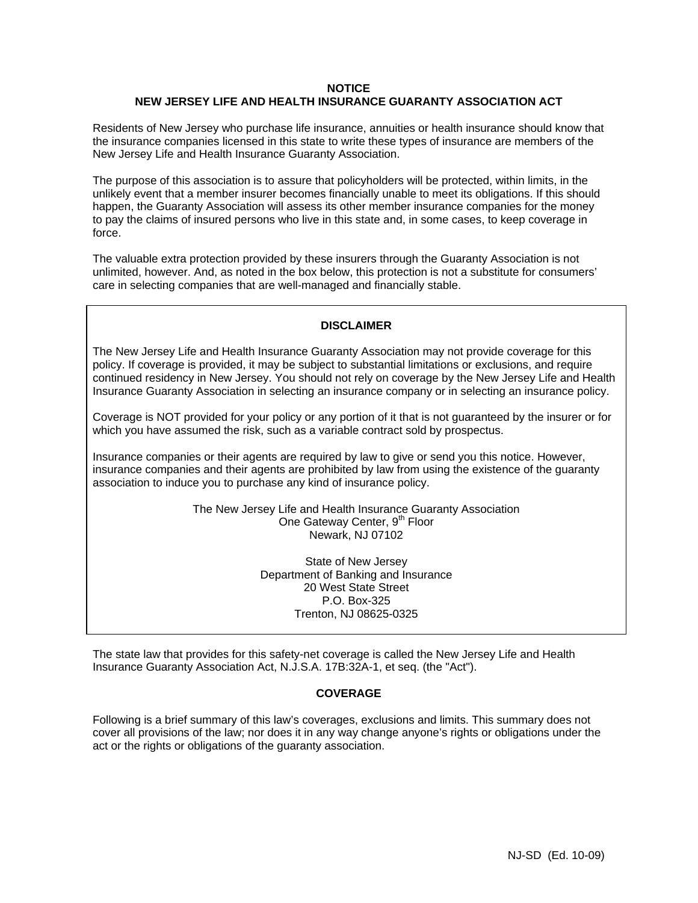#### **NOTICE NEW JERSEY LIFE AND HEALTH INSURANCE GUARANTY ASSOCIATION ACT**

Residents of New Jersey who purchase life insurance, annuities or health insurance should know that the insurance companies licensed in this state to write these types of insurance are members of the New Jersey Life and Health Insurance Guaranty Association.

The purpose of this association is to assure that policyholders will be protected, within limits, in the unlikely event that a member insurer becomes financially unable to meet its obligations. If this should happen, the Guaranty Association will assess its other member insurance companies for the money to pay the claims of insured persons who live in this state and, in some cases, to keep coverage in force.

The valuable extra protection provided by these insurers through the Guaranty Association is not unlimited, however. And, as noted in the box below, this protection is not a substitute for consumers' care in selecting companies that are well-managed and financially stable.

## **DISCLAIMER**

The New Jersey Life and Health Insurance Guaranty Association may not provide coverage for this policy. If coverage is provided, it may be subject to substantial limitations or exclusions, and require continued residency in New Jersey. You should not rely on coverage by the New Jersey Life and Health Insurance Guaranty Association in selecting an insurance company or in selecting an insurance policy.

Coverage is NOT provided for your policy or any portion of it that is not guaranteed by the insurer or for which you have assumed the risk, such as a variable contract sold by prospectus.

Insurance companies or their agents are required by law to give or send you this notice. However, insurance companies and their agents are prohibited by law from using the existence of the guaranty association to induce you to purchase any kind of insurance policy.

> The New Jersey Life and Health Insurance Guaranty Association One Gateway Center, 9<sup>th</sup> Floor Newark, NJ 07102

> > State of New Jersey Department of Banking and Insurance 20 West State Street P.O. Box-325 Trenton, NJ 08625-0325

The state law that provides for this safety-net coverage is called the New Jersey Life and Health Insurance Guaranty Association Act, N.J.S.A. 17B:32A-1, et seq. (the "Act").

## **COVERAGE**

Following is a brief summary of this law's coverages, exclusions and limits. This summary does not cover all provisions of the law; nor does it in any way change anyone's rights or obligations under the act or the rights or obligations of the guaranty association.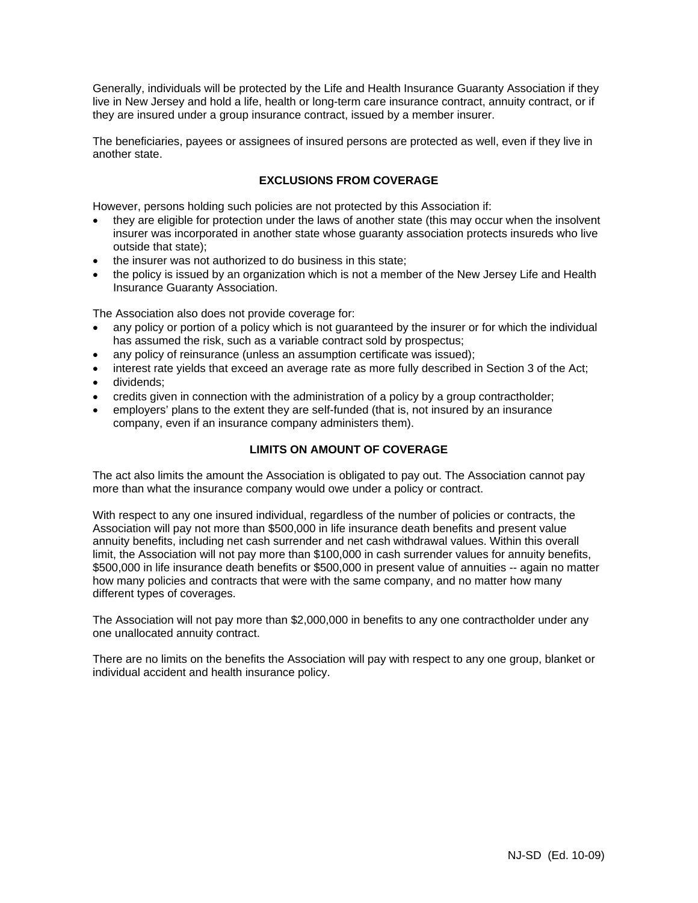Generally, individuals will be protected by the Life and Health Insurance Guaranty Association if they live in New Jersey and hold a life, health or long-term care insurance contract, annuity contract, or if they are insured under a group insurance contract, issued by a member insurer.

The beneficiaries, payees or assignees of insured persons are protected as well, even if they live in another state.

# **EXCLUSIONS FROM COVERAGE**

However, persons holding such policies are not protected by this Association if:

- they are eligible for protection under the laws of another state (this may occur when the insolvent insurer was incorporated in another state whose guaranty association protects insureds who live outside that state);
- the insurer was not authorized to do business in this state;
- the policy is issued by an organization which is not a member of the New Jersey Life and Health Insurance Guaranty Association.

The Association also does not provide coverage for:

- any policy or portion of a policy which is not guaranteed by the insurer or for which the individual has assumed the risk, such as a variable contract sold by prospectus;
- any policy of reinsurance (unless an assumption certificate was issued);
- interest rate yields that exceed an average rate as more fully described in Section 3 of the Act;
- dividends:
- credits given in connection with the administration of a policy by a group contractholder;
- employers' plans to the extent they are self-funded (that is, not insured by an insurance company, even if an insurance company administers them).

# **LIMITS ON AMOUNT OF COVERAGE**

The act also limits the amount the Association is obligated to pay out. The Association cannot pay more than what the insurance company would owe under a policy or contract.

With respect to any one insured individual, regardless of the number of policies or contracts, the Association will pay not more than \$500,000 in life insurance death benefits and present value annuity benefits, including net cash surrender and net cash withdrawal values. Within this overall limit, the Association will not pay more than \$100,000 in cash surrender values for annuity benefits, \$500,000 in life insurance death benefits or \$500,000 in present value of annuities -- again no matter how many policies and contracts that were with the same company, and no matter how many different types of coverages.

The Association will not pay more than \$2,000,000 in benefits to any one contractholder under any one unallocated annuity contract.

There are no limits on the benefits the Association will pay with respect to any one group, blanket or individual accident and health insurance policy.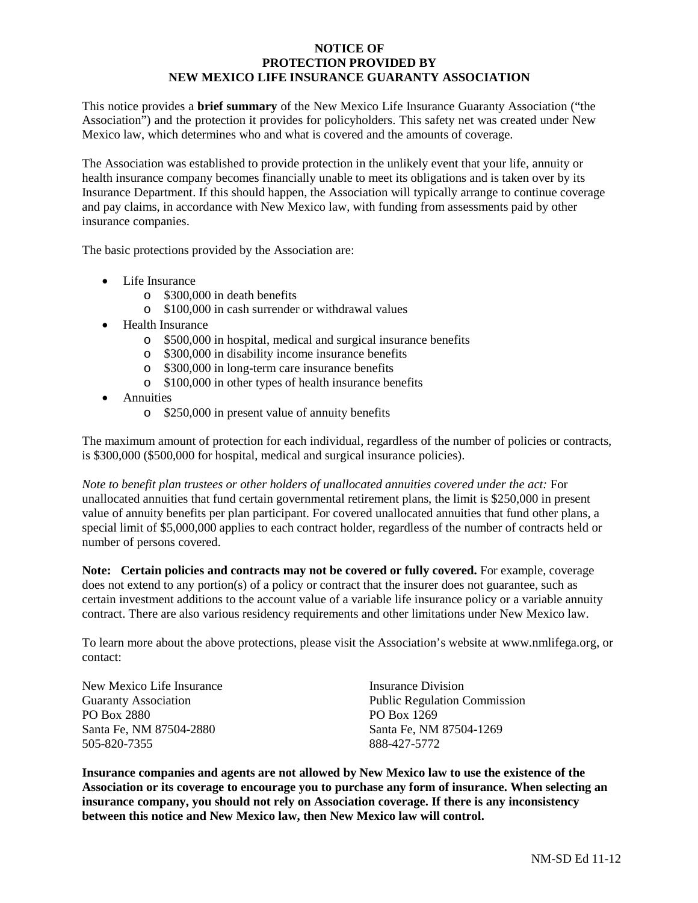# **NOTICE OF PROTECTION PROVIDED BY NEW MEXICO LIFE INSURANCE GUARANTY ASSOCIATION**

This notice provides a **brief summary** of the New Mexico Life Insurance Guaranty Association ("the Association") and the protection it provides for policyholders. This safety net was created under New Mexico law, which determines who and what is covered and the amounts of coverage.

The Association was established to provide protection in the unlikely event that your life, annuity or health insurance company becomes financially unable to meet its obligations and is taken over by its Insurance Department. If this should happen, the Association will typically arrange to continue coverage and pay claims, in accordance with New Mexico law, with funding from assessments paid by other insurance companies.

The basic protections provided by the Association are:

- Life Insurance
	- o \$300,000 in death benefits
	- o \$100,000 in cash surrender or withdrawal values
- Health Insurance
	- o \$500,000 in hospital, medical and surgical insurance benefits
	- o \$300,000 in disability income insurance benefits
	- o \$300,000 in long-term care insurance benefits
	- o \$100,000 in other types of health insurance benefits
- Annuities
	- o \$250,000 in present value of annuity benefits

The maximum amount of protection for each individual, regardless of the number of policies or contracts, is \$300,000 (\$500,000 for hospital, medical and surgical insurance policies).

*Note to benefit plan trustees or other holders of unallocated annuities covered under the act:* For unallocated annuities that fund certain governmental retirement plans, the limit is \$250,000 in present value of annuity benefits per plan participant. For covered unallocated annuities that fund other plans, a special limit of \$5,000,000 applies to each contract holder, regardless of the number of contracts held or number of persons covered.

**Note: Certain policies and contracts may not be covered or fully covered.** For example, coverage does not extend to any portion(s) of a policy or contract that the insurer does not guarantee, such as certain investment additions to the account value of a variable life insurance policy or a variable annuity contract. There are also various residency requirements and other limitations under New Mexico law.

To learn more about the above protections, please visit the Association's website at www.nmlifega.org, or contact:

| New Mexico Life Insurance   | Insurance Division                  |
|-----------------------------|-------------------------------------|
|                             |                                     |
| <b>Guaranty Association</b> | <b>Public Regulation Commission</b> |
| PO Box 2880                 | PO Box 1269                         |
| Santa Fe. NM 87504-2880     | Santa Fe, NM 87504-1269             |
| 505-820-7355                | 888-427-5772                        |

**Insurance companies and agents are not allowed by New Mexico law to use the existence of the Association or its coverage to encourage you to purchase any form of insurance. When selecting an insurance company, you should not rely on Association coverage. If there is any inconsistency between this notice and New Mexico law, then New Mexico law will control.**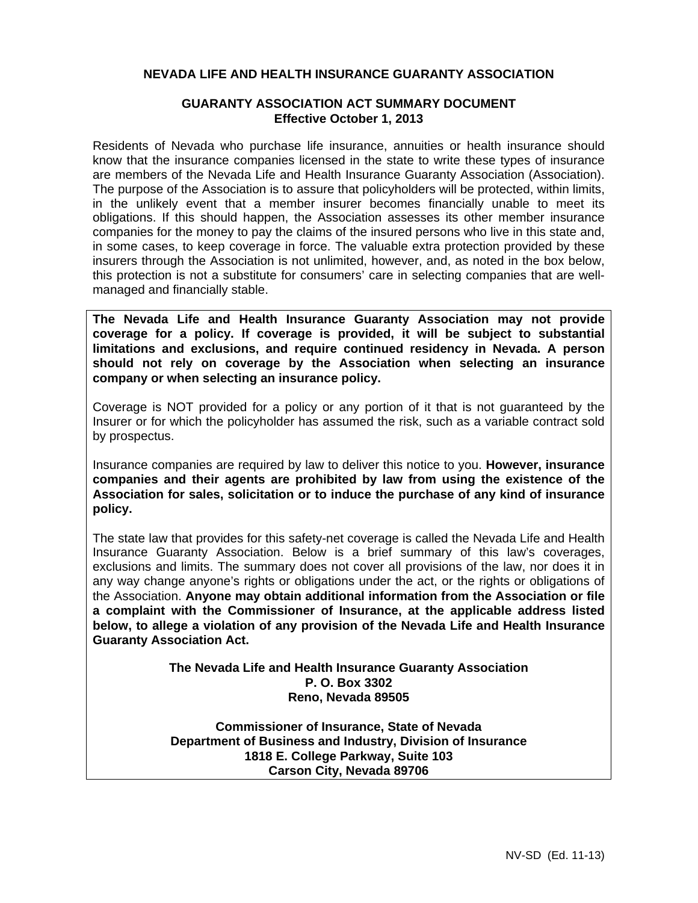# **NEVADA LIFE AND HEALTH INSURANCE GUARANTY ASSOCIATION**

# **GUARANTY ASSOCIATION ACT SUMMARY DOCUMENT Effective October 1, 2013**

Residents of Nevada who purchase life insurance, annuities or health insurance should know that the insurance companies licensed in the state to write these types of insurance are members of the Nevada Life and Health Insurance Guaranty Association (Association). The purpose of the Association is to assure that policyholders will be protected, within limits, in the unlikely event that a member insurer becomes financially unable to meet its obligations. If this should happen, the Association assesses its other member insurance companies for the money to pay the claims of the insured persons who live in this state and, in some cases, to keep coverage in force. The valuable extra protection provided by these insurers through the Association is not unlimited, however, and, as noted in the box below, this protection is not a substitute for consumers' care in selecting companies that are wellmanaged and financially stable.

**The Nevada Life and Health Insurance Guaranty Association may not provide coverage for a policy. If coverage is provided, it will be subject to substantial limitations and exclusions, and require continued residency in Nevada. A person should not rely on coverage by the Association when selecting an insurance company or when selecting an insurance policy.** 

Coverage is NOT provided for a policy or any portion of it that is not guaranteed by the Insurer or for which the policyholder has assumed the risk, such as a variable contract sold by prospectus.

Insurance companies are required by law to deliver this notice to you. **However, insurance companies and their agents are prohibited by law from using the existence of the Association for sales, solicitation or to induce the purchase of any kind of insurance policy.** 

The state law that provides for this safety-net coverage is called the Nevada Life and Health Insurance Guaranty Association. Below is a brief summary of this law's coverages, exclusions and limits. The summary does not cover all provisions of the law, nor does it in any way change anyone's rights or obligations under the act, or the rights or obligations of the Association. **Anyone may obtain additional information from the Association or file a complaint with the Commissioner of Insurance, at the applicable address listed below, to allege a violation of any provision of the Nevada Life and Health Insurance Guaranty Association Act.**

> **The Nevada Life and Health Insurance Guaranty Association P. O. Box 3302 Reno, Nevada 89505**

> **Commissioner of Insurance, State of Nevada Department of Business and Industry, Division of Insurance 1818 E. College Parkway, Suite 103 Carson City, Nevada 89706**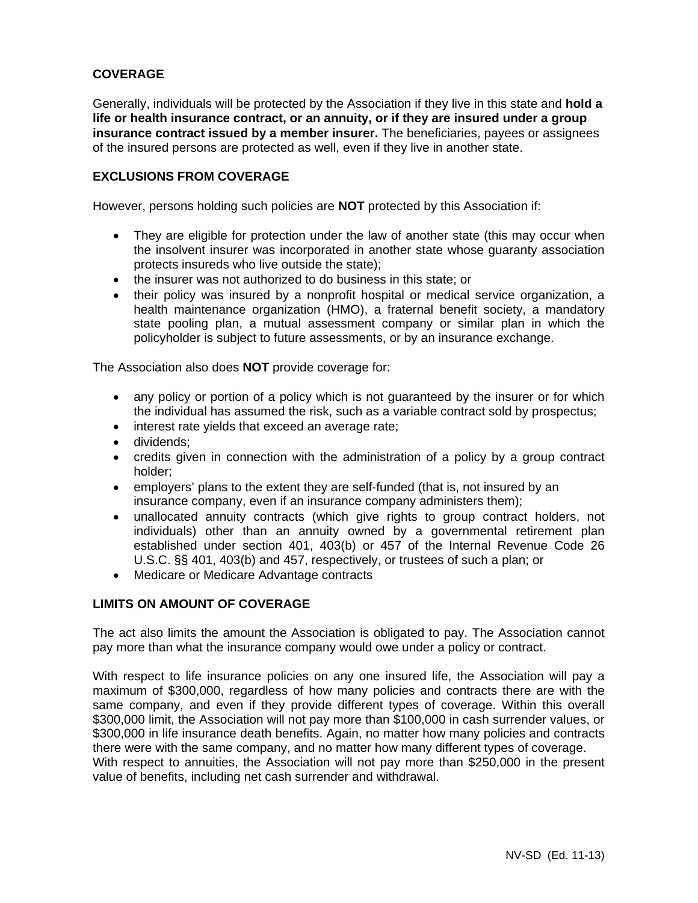# **COVERAGE**

Generally, individuals will be protected by the Association if they live in this state and **hold a life or health insurance contract, or an annuity, or if they are insured under a group insurance contract issued by a member insurer.** The beneficiaries, payees or assignees of the insured persons are protected as well, even if they live in another state.

# **EXCLUSIONS FROM COVERAGE**

However, persons holding such policies are **NOT** protected by this Association if:

- They are eligible for protection under the law of another state (this may occur when the insolvent insurer was incorporated in another state whose guaranty association protects insureds who live outside the state);
- the insurer was not authorized to do business in this state; or
- their policy was insured by a nonprofit hospital or medical service organization, a health maintenance organization (HMO), a fraternal benefit society, a mandatory state pooling plan, a mutual assessment company or similar plan in which the policyholder is subject to future assessments, or by an insurance exchange.

The Association also does **NOT** provide coverage for:

- any policy or portion of a policy which is not guaranteed by the insurer or for which the individual has assumed the risk, such as a variable contract sold by prospectus;
- interest rate yields that exceed an average rate;
- dividends:
- credits given in connection with the administration of a policy by a group contract holder;
- employers' plans to the extent they are self-funded (that is, not insured by an insurance company, even if an insurance company administers them);
- unallocated annuity contracts (which give rights to group contract holders, not individuals) other than an annuity owned by a governmental retirement plan established under section 401, 403(b) or 457 of the Internal Revenue Code 26 U.S.C. §§ 401, 403(b) and 457, respectively, or trustees of such a plan; or
- Medicare or Medicare Advantage contracts

# **LIMITS ON AMOUNT OF COVERAGE**

The act also limits the amount the Association is obligated to pay. The Association cannot pay more than what the insurance company would owe under a policy or contract.

With respect to life insurance policies on any one insured life, the Association will pay a maximum of \$300,000, regardless of how many policies and contracts there are with the same company, and even if they provide different types of coverage. Within this overall \$300,000 limit, the Association will not pay more than \$100,000 in cash surrender values, or \$300,000 in life insurance death benefits. Again, no matter how many policies and contracts there were with the same company, and no matter how many different types of coverage. With respect to annuities, the Association will not pay more than \$250,000 in the present value of benefits, including net cash surrender and withdrawal.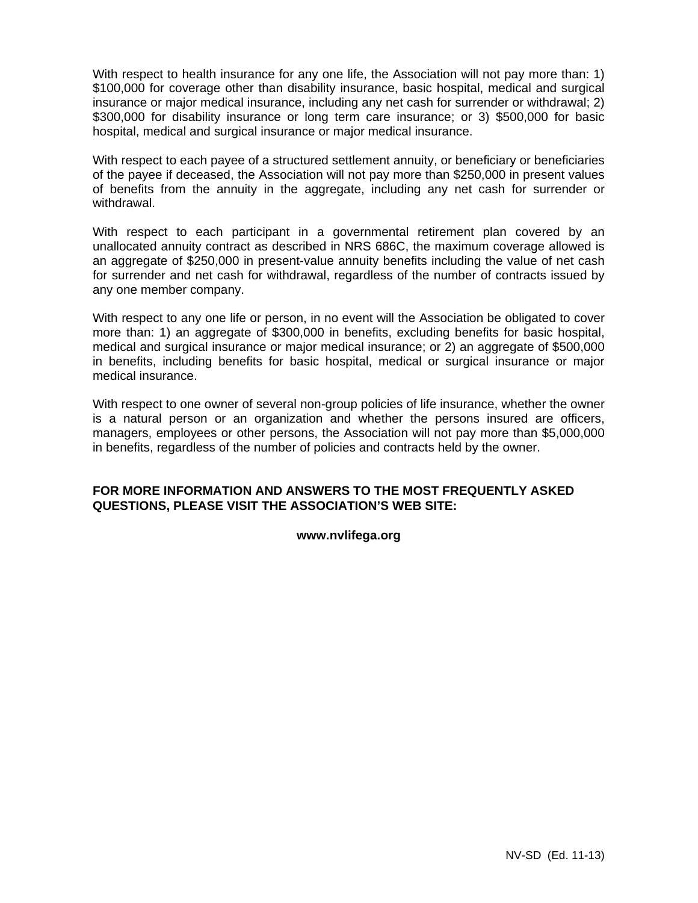With respect to health insurance for any one life, the Association will not pay more than: 1) \$100,000 for coverage other than disability insurance, basic hospital, medical and surgical insurance or major medical insurance, including any net cash for surrender or withdrawal; 2) \$300,000 for disability insurance or long term care insurance; or 3) \$500,000 for basic hospital, medical and surgical insurance or major medical insurance.

With respect to each payee of a structured settlement annuity, or beneficiary or beneficiaries of the payee if deceased, the Association will not pay more than \$250,000 in present values of benefits from the annuity in the aggregate, including any net cash for surrender or withdrawal.

With respect to each participant in a governmental retirement plan covered by an unallocated annuity contract as described in NRS 686C, the maximum coverage allowed is an aggregate of \$250,000 in present-value annuity benefits including the value of net cash for surrender and net cash for withdrawal, regardless of the number of contracts issued by any one member company.

With respect to any one life or person, in no event will the Association be obligated to cover more than: 1) an aggregate of \$300,000 in benefits, excluding benefits for basic hospital, medical and surgical insurance or major medical insurance; or 2) an aggregate of \$500,000 in benefits, including benefits for basic hospital, medical or surgical insurance or major medical insurance.

With respect to one owner of several non-group policies of life insurance, whether the owner is a natural person or an organization and whether the persons insured are officers, managers, employees or other persons, the Association will not pay more than \$5,000,000 in benefits, regardless of the number of policies and contracts held by the owner.

# **FOR MORE INFORMATION AND ANSWERS TO THE MOST FREQUENTLY ASKED QUESTIONS, PLEASE VISIT THE ASSOCIATION'S WEB SITE:**

# **www.nvlifega.org**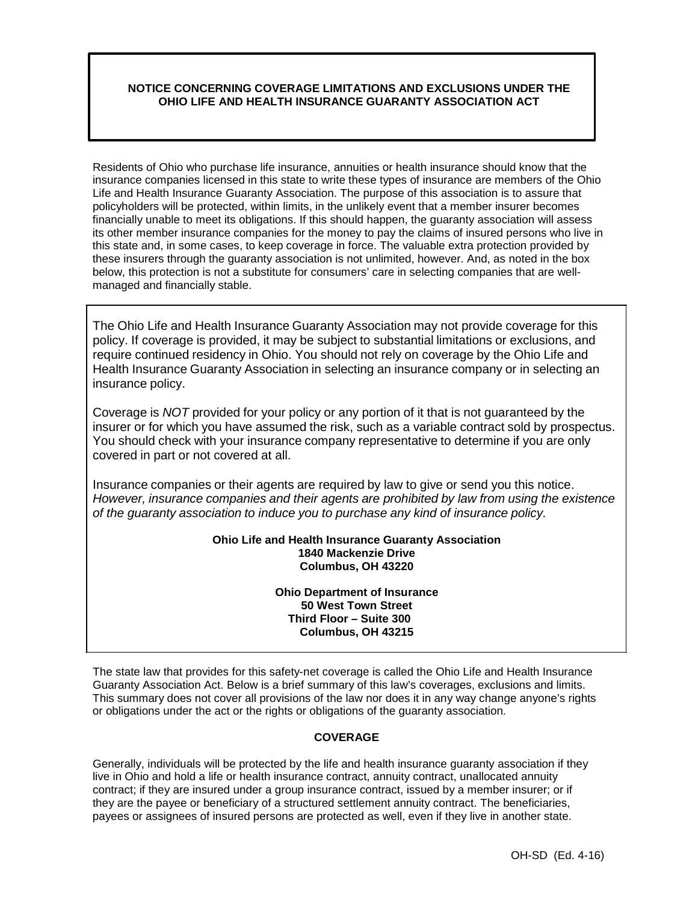# **NOTICE CONCERNING COVERAGE LIMITATIONS AND EXCLUSIONS UNDER THE OHIO LIFE AND HEALTH INSURANCE GUARANTY ASSOCIATION ACT**

Residents of Ohio who purchase life insurance, annuities or health insurance should know that the insurance companies licensed in this state to write these types of insurance are members of the Ohio Life and Health Insurance Guaranty Association. The purpose of this association is to assure that policyholders will be protected, within limits, in the unlikely event that a member insurer becomes financially unable to meet its obligations. If this should happen, the guaranty association will assess its other member insurance companies for the money to pay the claims of insured persons who live in this state and, in some cases, to keep coverage in force. The valuable extra protection provided by these insurers through the guaranty association is not unlimited, however. And, as noted in the box below, this protection is not a substitute for consumers' care in selecting companies that are wellmanaged and financially stable.

The Ohio Life and Health Insurance Guaranty Association may not provide coverage for this policy. If coverage is provided, it may be subject to substantial limitations or exclusions, and require continued residency in Ohio. You should not rely on coverage by the Ohio Life and Health Insurance Guaranty Association in selecting an insurance company or in selecting an insurance policy.

Coverage is *NOT* provided for your policy or any portion of it that is not guaranteed by the insurer or for which you have assumed the risk, such as a variable contract sold by prospectus. You should check with your insurance company representative to determine if you are only covered in part or not covered at all.

Insurance companies or their agents are required by law to give or send you this notice. *However, insurance companies and their agents are prohibited by law from using the existence of the guaranty association to induce you to purchase any kind of insurance policy.*

## **Ohio Life and Health Insurance Guaranty Association 1840 Mackenzie Drive Columbus, OH 43220**

**Ohio Department of Insurance 50 West Town Street Third Floor – Suite 300 Columbus, OH 43215**

The state law that provides for this safety-net coverage is called the Ohio Life and Health Insurance Guaranty Association Act. Below is a brief summary of this law's coverages, exclusions and limits. This summary does not cover all provisions of the law nor does it in any way change anyone's rights or obligations under the act or the rights or obligations of the guaranty association.

# **COVERAGE**

Generally, individuals will be protected by the life and health insurance guaranty association if they live in Ohio and hold a life or health insurance contract, annuity contract, unallocated annuity contract; if they are insured under a group insurance contract, issued by a member insurer; or if they are the payee or beneficiary of a structured settlement annuity contract. The beneficiaries, payees or assignees of insured persons are protected as well, even if they live in another state.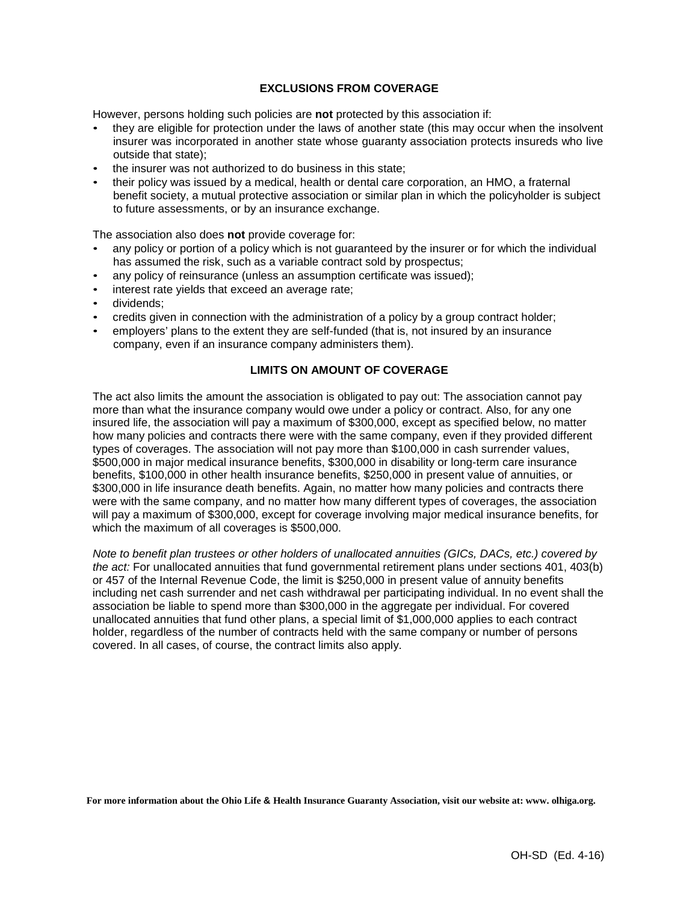# **EXCLUSIONS FROM COVERAGE**

However, persons holding such policies are **not** protected by this association if:

- they are eligible for protection under the laws of another state (this may occur when the insolvent insurer was incorporated in another state whose guaranty association protects insureds who live outside that state);
- the insurer was not authorized to do business in this state;
- their policy was issued by a medical, health or dental care corporation, an HMO, a fraternal benefit society, a mutual protective association or similar plan in which the policyholder is subject to future assessments, or by an insurance exchange.

The association also does **not** provide coverage for:

- any policy or portion of a policy which is not guaranteed by the insurer or for which the individual has assumed the risk, such as a variable contract sold by prospectus;
- any policy of reinsurance (unless an assumption certificate was issued);
- interest rate yields that exceed an average rate;
- dividends:
- credits given in connection with the administration of a policy by a group contract holder;
- employers' plans to the extent they are self-funded (that is, not insured by an insurance company, even if an insurance company administers them).

## **LIMITS ON AMOUNT OF COVERAGE**

The act also limits the amount the association is obligated to pay out: The association cannot pay more than what the insurance company would owe under a policy or contract. Also, for any one insured life, the association will pay a maximum of \$300,000, except as specified below, no matter how many policies and contracts there were with the same company, even if they provided different types of coverages. The association will not pay more than \$100,000 in cash surrender values, \$500,000 in major medical insurance benefits, \$300,000 in disability or long-term care insurance benefits, \$100,000 in other health insurance benefits, \$250,000 in present value of annuities, or \$300,000 in life insurance death benefits. Again, no matter how many policies and contracts there were with the same company, and no matter how many different types of coverages, the association will pay a maximum of \$300,000, except for coverage involving major medical insurance benefits, for which the maximum of all coverages is \$500,000.

*Note to benefit plan trustees or other holders of unallocated annuities (GICs, DACs, etc.) covered by the act:* For unallocated annuities that fund governmental retirement plans under sections 401, 403(b) or 457 of the Internal Revenue Code, the limit is \$250,000 in present value of annuity benefits including net cash surrender and net cash withdrawal per participating individual. In no event shall the association be liable to spend more than \$300,000 in the aggregate per individual. For covered unallocated annuities that fund other plans, a special limit of \$1,000,000 applies to each contract holder, regardless of the number of contracts held with the same company or number of persons covered. In all cases, of course, the contract limits also apply.

**For more information about the Ohio Life & Health Insurance Guaranty Association, visit our website at: www. olhiga.org.**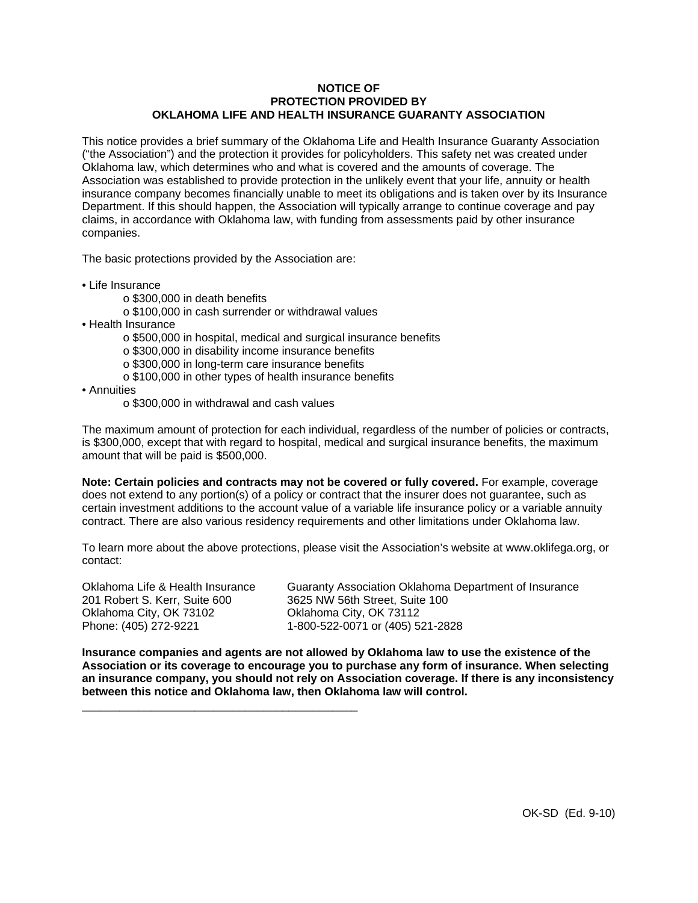#### **NOTICE OF PROTECTION PROVIDED BY OKLAHOMA LIFE AND HEALTH INSURANCE GUARANTY ASSOCIATION**

This notice provides a brief summary of the Oklahoma Life and Health Insurance Guaranty Association ("the Association") and the protection it provides for policyholders. This safety net was created under Oklahoma law, which determines who and what is covered and the amounts of coverage. The Association was established to provide protection in the unlikely event that your life, annuity or health insurance company becomes financially unable to meet its obligations and is taken over by its Insurance Department. If this should happen, the Association will typically arrange to continue coverage and pay claims, in accordance with Oklahoma law, with funding from assessments paid by other insurance companies.

The basic protections provided by the Association are:

- Life Insurance
	- o \$300,000 in death benefits
	- o \$100,000 in cash surrender or withdrawal values
- Health Insurance
	- o \$500,000 in hospital, medical and surgical insurance benefits
	- o \$300,000 in disability income insurance benefits
	- o \$300,000 in long-term care insurance benefits
	- o \$100,000 in other types of health insurance benefits
- Annuities
	- o \$300,000 in withdrawal and cash values

\_\_\_\_\_\_\_\_\_\_\_\_\_\_\_\_\_\_\_\_\_\_\_\_\_\_\_\_\_\_\_\_\_\_\_\_\_\_\_\_\_\_\_\_

The maximum amount of protection for each individual, regardless of the number of policies or contracts, is \$300,000, except that with regard to hospital, medical and surgical insurance benefits, the maximum amount that will be paid is \$500,000.

**Note: Certain policies and contracts may not be covered or fully covered.** For example, coverage does not extend to any portion(s) of a policy or contract that the insurer does not guarantee, such as certain investment additions to the account value of a variable life insurance policy or a variable annuity contract. There are also various residency requirements and other limitations under Oklahoma law.

To learn more about the above protections, please visit the Association's website at www.oklifega.org, or contact:

201 Robert S. Kerr, Suite 600 3625 NW 56th Street, Suite 100 Oklahoma City, OK 73102 Oklahoma City, OK 73112

Oklahoma Life & Health Insurance Guaranty Association Oklahoma Department of Insurance Phone: (405) 272-9221 1-800-522-0071 or (405) 521-2828

**Insurance companies and agents are not allowed by Oklahoma law to use the existence of the Association or its coverage to encourage you to purchase any form of insurance. When selecting an insurance company, you should not rely on Association coverage. If there is any inconsistency between this notice and Oklahoma law, then Oklahoma law will control.**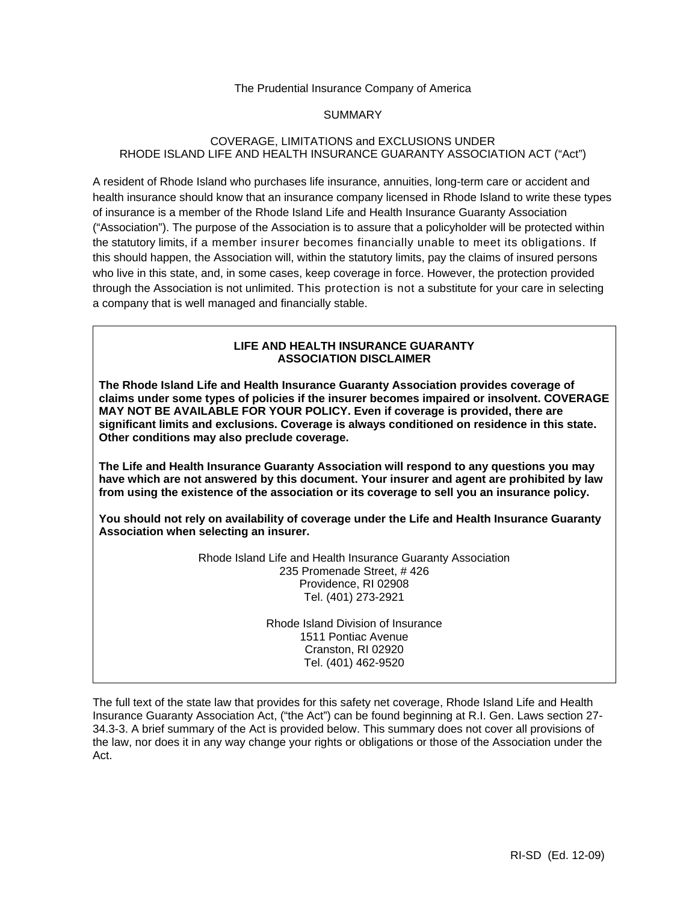## The Prudential Insurance Company of America

## SUMMARY

# COVERAGE, LIMITATIONS and EXCLUSIONS UNDER RHODE ISLAND LIFE AND HEALTH INSURANCE GUARANTY ASSOCIATION ACT ("Act")

A resident of Rhode Island who purchases life insurance, annuities, long-term care or accident and health insurance should know that an insurance company licensed in Rhode Island to write these types of insurance is a member of the Rhode Island Life and Health Insurance Guaranty Association ("Association"). The purpose of the Association is to assure that a policyholder will be protected within the statutory limits, if a member insurer becomes financially unable to meet its obligations. If this should happen, the Association will, within the statutory limits, pay the claims of insured persons who live in this state, and, in some cases, keep coverage in force. However, the protection provided through the Association is not unlimited. This protection is not a substitute for your care in selecting a company that is well managed and financially stable.

## **LIFE AND HEALTH INSURANCE GUARANTY ASSOCIATION DISCLAIMER**

**The Rhode Island Life and Health Insurance Guaranty Association provides coverage of claims under some types of policies if the insurer becomes impaired or insolvent. COVERAGE MAY NOT BE AVAILABLE FOR YOUR POLICY. Even if coverage is provided, there are significant limits and exclusions. Coverage is always conditioned on residence in this state. Other conditions may also preclude coverage.** 

**The Life and Health Insurance Guaranty Association will respond to any questions you may have which are not answered by this document. Your insurer and agent are prohibited by law from using the existence of the association or its coverage to sell you an insurance policy.** 

**You should not rely on availability of coverage under the Life and Health Insurance Guaranty Association when selecting an insurer.** 

> Rhode Island Life and Health Insurance Guaranty Association 235 Promenade Street, # 426 Providence, RI 02908 Tel. (401) 273-2921

> > Rhode Island Division of Insurance 1511 Pontiac Avenue Cranston, RI 02920 Tel. (401) 462-9520

The full text of the state law that provides for this safety net coverage, Rhode Island Life and Health Insurance Guaranty Association Act, ("the Act") can be found beginning at R.I. Gen. Laws section 27- 34.3-3. A brief summary of the Act is provided below. This summary does not cover all provisions of the law, nor does it in any way change your rights or obligations or those of the Association under the Act.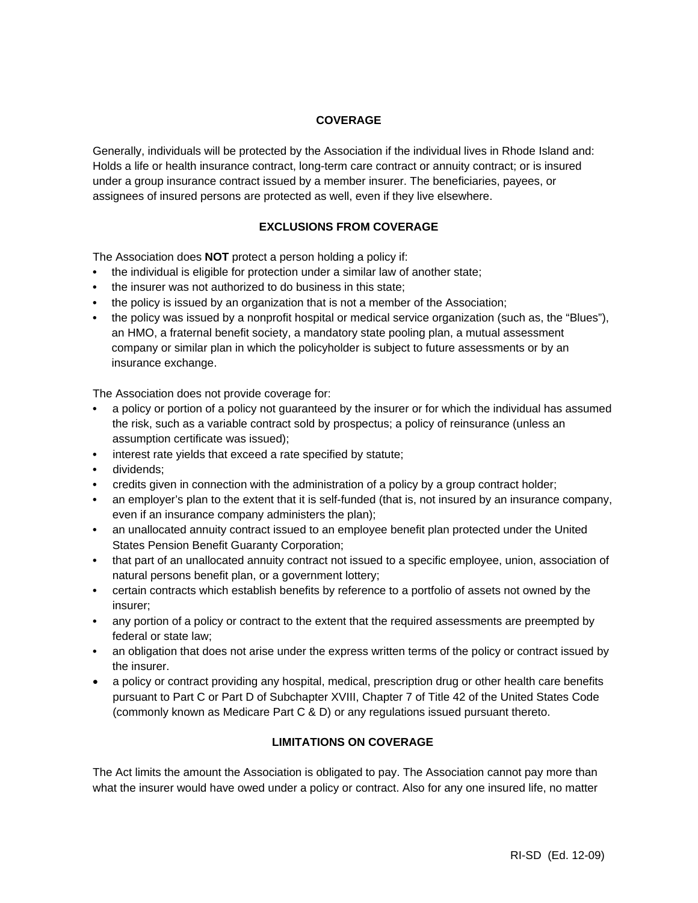# **COVERAGE**

Generally, individuals will be protected by the Association if the individual lives in Rhode Island and: Holds a life or health insurance contract, long-term care contract or annuity contract; or is insured under a group insurance contract issued by a member insurer. The beneficiaries, payees, or assignees of insured persons are protected as well, even if they live elsewhere.

# **EXCLUSIONS FROM COVERAGE**

The Association does **NOT** protect a person holding a policy if:

- **•** the individual is eligible for protection under a similar law of another state;
- **•** the insurer was not authorized to do business in this state;
- **•** the policy is issued by an organization that is not a member of the Association;
- **•** the policy was issued by a nonprofit hospital or medical service organization (such as, the "Blues"), an HMO, a fraternal benefit society, a mandatory state pooling plan, a mutual assessment company or similar plan in which the policyholder is subject to future assessments or by an insurance exchange.

The Association does not provide coverage for:

- **•** a policy or portion of a policy not guaranteed by the insurer or for which the individual has assumed the risk, such as a variable contract sold by prospectus; a policy of reinsurance (unless an assumption certificate was issued);
- **•** interest rate yields that exceed a rate specified by statute;
- **•** dividends;
- **•** credits given in connection with the administration of a policy by a group contract holder;
- **•** an employer's plan to the extent that it is self-funded (that is, not insured by an insurance company, even if an insurance company administers the plan);
- **•** an unallocated annuity contract issued to an employee benefit plan protected under the United States Pension Benefit Guaranty Corporation;
- that part of an unallocated annuity contract not issued to a specific employee, union, association of natural persons benefit plan, or a government lottery;
- **•** certain contracts which establish benefits by reference to a portfolio of assets not owned by the insurer;
- any portion of a policy or contract to the extent that the required assessments are preempted by federal or state law;
- **•** an obligation that does not arise under the express written terms of the policy or contract issued by the insurer.
- a policy or contract providing any hospital, medical, prescription drug or other health care benefits pursuant to Part C or Part D of Subchapter XVIII, Chapter 7 of Title 42 of the United States Code (commonly known as Medicare Part C & D) or any regulations issued pursuant thereto.

# **LIMITATIONS ON COVERAGE**

The Act limits the amount the Association is obligated to pay. The Association cannot pay more than what the insurer would have owed under a policy or contract. Also for any one insured life, no matter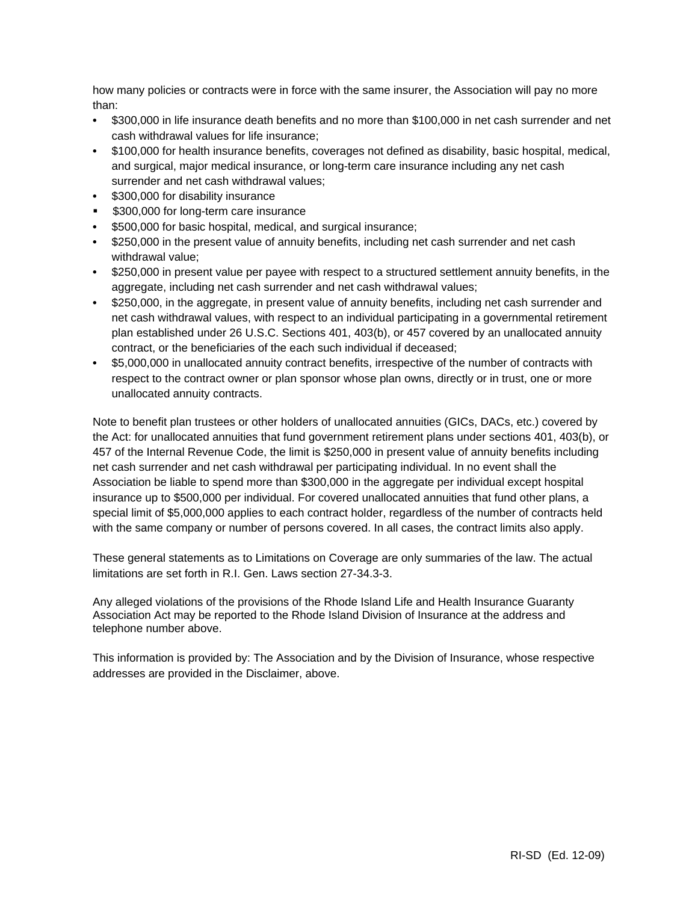how many policies or contracts were in force with the same insurer, the Association will pay no more than:

- **•** \$300,000 in life insurance death benefits and no more than \$100,000 in net cash surrender and net cash withdrawal values for life insurance;
- **•** \$100,000 for health insurance benefits, coverages not defined as disability, basic hospital, medical, and surgical, major medical insurance, or long-term care insurance including any net cash surrender and net cash withdrawal values;
- **•** \$300,000 for disability insurance
- **5300,000 for long-term care insurance**
- **•** \$500,000 for basic hospital, medical, and surgical insurance;
- **•** \$250,000 in the present value of annuity benefits, including net cash surrender and net cash withdrawal value;
- **•** \$250,000 in present value per payee with respect to a structured settlement annuity benefits, in the aggregate, including net cash surrender and net cash withdrawal values;
- **•** \$250,000, in the aggregate, in present value of annuity benefits, including net cash surrender and net cash withdrawal values, with respect to an individual participating in a governmental retirement plan established under 26 U.S.C. Sections 401, 403(b), or 457 covered by an unallocated annuity contract, or the beneficiaries of the each such individual if deceased;
- **•** \$5,000,000 in unallocated annuity contract benefits, irrespective of the number of contracts with respect to the contract owner or plan sponsor whose plan owns, directly or in trust, one or more unallocated annuity contracts.

Note to benefit plan trustees or other holders of unallocated annuities (GICs, DACs, etc.) covered by the Act: for unallocated annuities that fund government retirement plans under sections 401, 403(b), or 457 of the Internal Revenue Code, the limit is \$250,000 in present value of annuity benefits including net cash surrender and net cash withdrawal per participating individual. In no event shall the Association be liable to spend more than \$300,000 in the aggregate per individual except hospital insurance up to \$500,000 per individual. For covered unallocated annuities that fund other plans, a special limit of \$5,000,000 applies to each contract holder, regardless of the number of contracts held with the same company or number of persons covered. In all cases, the contract limits also apply.

These general statements as to Limitations on Coverage are only summaries of the law. The actual limitations are set forth in R.I. Gen. Laws section 27-34.3-3.

Any alleged violations of the provisions of the Rhode Island Life and Health Insurance Guaranty Association Act may be reported to the Rhode Island Division of Insurance at the address and telephone number above.

This information is provided by: The Association and by the Division of Insurance, whose respective addresses are provided in the Disclaimer, above.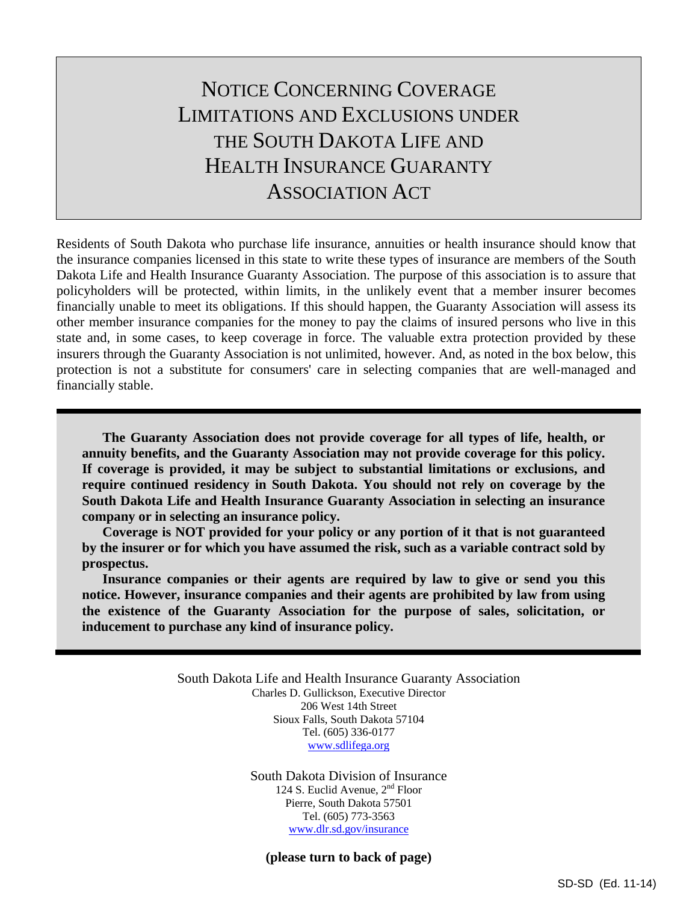# NOTICE CONCERNING COVERAGE LIMITATIONS AND EXCLUSIONS UNDER THE SOUTH DAKOTA LIFE AND HEALTH INSURANCE GUARANTY ASSOCIATION ACT

Residents of South Dakota who purchase life insurance, annuities or health insurance should know that the insurance companies licensed in this state to write these types of insurance are members of the South Dakota Life and Health Insurance Guaranty Association. The purpose of this association is to assure that policyholders will be protected, within limits, in the unlikely event that a member insurer becomes financially unable to meet its obligations. If this should happen, the Guaranty Association will assess its other member insurance companies for the money to pay the claims of insured persons who live in this state and, in some cases, to keep coverage in force. The valuable extra protection provided by these insurers through the Guaranty Association is not unlimited, however. And, as noted in the box below, this protection is not a substitute for consumers' care in selecting companies that are well-managed and financially stable.

**The Guaranty Association does not provide coverage for all types of life, health, or annuity benefits, and the Guaranty Association may not provide coverage for this policy. If coverage is provided, it may be subject to substantial limitations or exclusions, and require continued residency in South Dakota. You should not rely on coverage by the South Dakota Life and Health Insurance Guaranty Association in selecting an insurance company or in selecting an insurance policy.** 

**Coverage is NOT provided for your policy or any portion of it that is not guaranteed by the insurer or for which you have assumed the risk, such as a variable contract sold by prospectus.** 

**Insurance companies or their agents are required by law to give or send you this notice. However, insurance companies and their agents are prohibited by law from using the existence of the Guaranty Association for the purpose of sales, solicitation, or inducement to purchase any kind of insurance policy.**

> South Dakota Life and Health Insurance Guaranty Association Charles D. Gullickson, Executive Director 206 West 14th Street Sioux Falls, South Dakota 57104 Tel. (605) 336-0177 www.sdlifega.org

> > South Dakota Division of Insurance 124 S. Euclid Avenue, 2nd Floor Pierre, South Dakota 57501 Tel. (605) 773-3563 www.dlr.sd.gov/insurance

**(please turn to back of page)**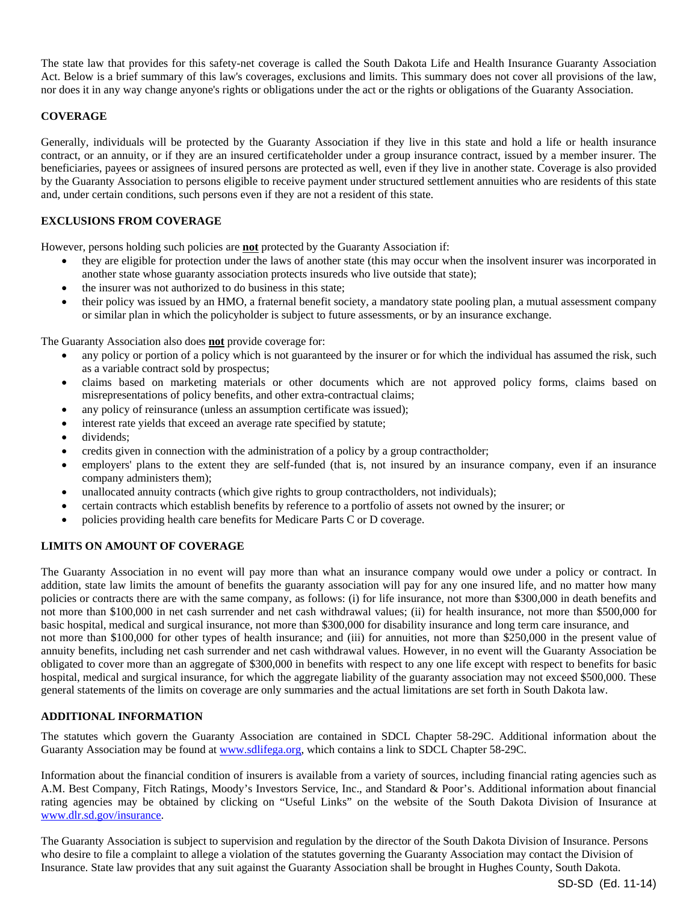The state law that provides for this safety-net coverage is called the South Dakota Life and Health Insurance Guaranty Association Act. Below is a brief summary of this law's coverages, exclusions and limits. This summary does not cover all provisions of the law, nor does it in any way change anyone's rights or obligations under the act or the rights or obligations of the Guaranty Association.

# **COVERAGE**

Generally, individuals will be protected by the Guaranty Association if they live in this state and hold a life or health insurance contract, or an annuity, or if they are an insured certificateholder under a group insurance contract, issued by a member insurer. The beneficiaries, payees or assignees of insured persons are protected as well, even if they live in another state. Coverage is also provided by the Guaranty Association to persons eligible to receive payment under structured settlement annuities who are residents of this state and, under certain conditions, such persons even if they are not a resident of this state.

## **EXCLUSIONS FROM COVERAGE**

However, persons holding such policies are **not** protected by the Guaranty Association if:

- they are eligible for protection under the laws of another state (this may occur when the insolvent insurer was incorporated in another state whose guaranty association protects insureds who live outside that state);
- the insurer was not authorized to do business in this state;
- their policy was issued by an HMO, a fraternal benefit society, a mandatory state pooling plan, a mutual assessment company or similar plan in which the policyholder is subject to future assessments, or by an insurance exchange.

The Guaranty Association also does **not** provide coverage for:

- any policy or portion of a policy which is not guaranteed by the insurer or for which the individual has assumed the risk, such as a variable contract sold by prospectus;
- claims based on marketing materials or other documents which are not approved policy forms, claims based on misrepresentations of policy benefits, and other extra-contractual claims;
- any policy of reinsurance (unless an assumption certificate was issued);
- interest rate yields that exceed an average rate specified by statute;
- dividends;
- credits given in connection with the administration of a policy by a group contractholder;
- employers' plans to the extent they are self-funded (that is, not insured by an insurance company, even if an insurance company administers them);
- unallocated annuity contracts (which give rights to group contractholders, not individuals);
- certain contracts which establish benefits by reference to a portfolio of assets not owned by the insurer; or
- policies providing health care benefits for Medicare Parts C or D coverage.

## **LIMITS ON AMOUNT OF COVERAGE**

The Guaranty Association in no event will pay more than what an insurance company would owe under a policy or contract. In addition, state law limits the amount of benefits the guaranty association will pay for any one insured life, and no matter how many policies or contracts there are with the same company, as follows: (i) for life insurance, not more than \$300,000 in death benefits and not more than \$100,000 in net cash surrender and net cash withdrawal values; (ii) for health insurance, not more than \$500,000 for basic hospital, medical and surgical insurance, not more than \$300,000 for disability insurance and long term care insurance, and not more than \$100,000 for other types of health insurance; and (iii) for annuities, not more than \$250,000 in the present value of annuity benefits, including net cash surrender and net cash withdrawal values. However, in no event will the Guaranty Association be obligated to cover more than an aggregate of \$300,000 in benefits with respect to any one life except with respect to benefits for basic hospital, medical and surgical insurance, for which the aggregate liability of the guaranty association may not exceed \$500,000. These general statements of the limits on coverage are only summaries and the actual limitations are set forth in South Dakota law.

## **ADDITIONAL INFORMATION**

The statutes which govern the Guaranty Association are contained in SDCL Chapter 58-29C. Additional information about the Guaranty Association may be found at www.sdlifega.org, which contains a link to SDCL Chapter 58-29C.

Information about the financial condition of insurers is available from a variety of sources, including financial rating agencies such as A.M. Best Company, Fitch Ratings, Moody's Investors Service, Inc., and Standard & Poor's. Additional information about financial rating agencies may be obtained by clicking on "Useful Links" on the website of the South Dakota Division of Insurance at www.dlr.sd.gov/insurance.

The Guaranty Association is subject to supervision and regulation by the director of the South Dakota Division of Insurance. Persons who desire to file a complaint to allege a violation of the statutes governing the Guaranty Association may contact the Division of Insurance. State law provides that any suit against the Guaranty Association shall be brought in Hughes County, South Dakota.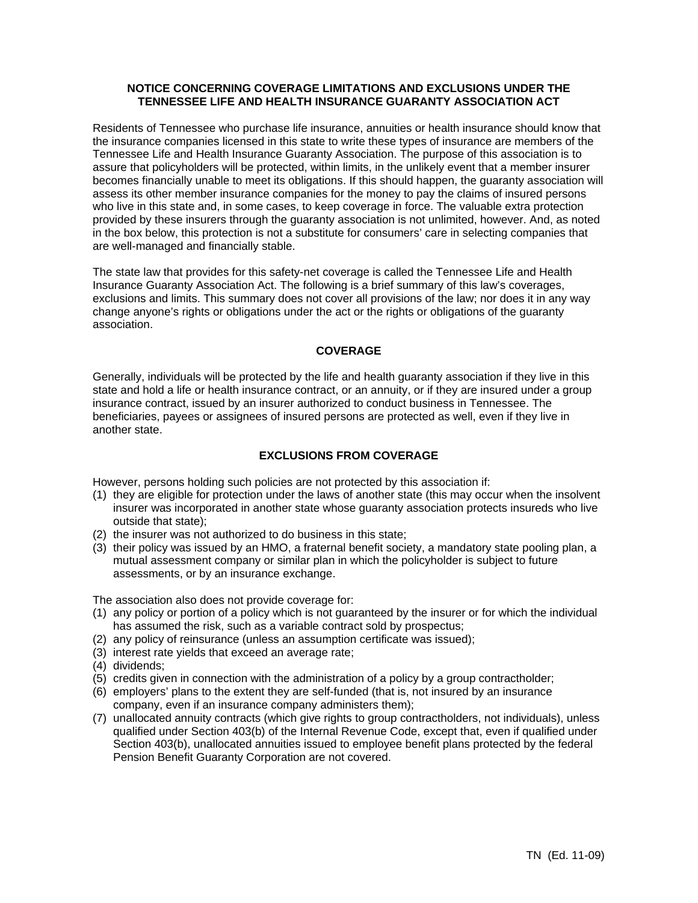## **NOTICE CONCERNING COVERAGE LIMITATIONS AND EXCLUSIONS UNDER THE TENNESSEE LIFE AND HEALTH INSURANCE GUARANTY ASSOCIATION ACT**

Residents of Tennessee who purchase life insurance, annuities or health insurance should know that the insurance companies licensed in this state to write these types of insurance are members of the Tennessee Life and Health Insurance Guaranty Association. The purpose of this association is to assure that policyholders will be protected, within limits, in the unlikely event that a member insurer becomes financially unable to meet its obligations. If this should happen, the guaranty association will assess its other member insurance companies for the money to pay the claims of insured persons who live in this state and, in some cases, to keep coverage in force. The valuable extra protection provided by these insurers through the guaranty association is not unlimited, however. And, as noted in the box below, this protection is not a substitute for consumers' care in selecting companies that are well-managed and financially stable.

The state law that provides for this safety-net coverage is called the Tennessee Life and Health Insurance Guaranty Association Act. The following is a brief summary of this law's coverages, exclusions and limits. This summary does not cover all provisions of the law; nor does it in any way change anyone's rights or obligations under the act or the rights or obligations of the guaranty association.

# **COVERAGE**

Generally, individuals will be protected by the life and health guaranty association if they live in this state and hold a life or health insurance contract, or an annuity, or if they are insured under a group insurance contract, issued by an insurer authorized to conduct business in Tennessee. The beneficiaries, payees or assignees of insured persons are protected as well, even if they live in another state.

## **EXCLUSIONS FROM COVERAGE**

However, persons holding such policies are not protected by this association if:

- (1) they are eligible for protection under the laws of another state (this may occur when the insolvent insurer was incorporated in another state whose guaranty association protects insureds who live outside that state);
- (2) the insurer was not authorized to do business in this state;
- (3) their policy was issued by an HMO, a fraternal benefit society, a mandatory state pooling plan, a mutual assessment company or similar plan in which the policyholder is subject to future assessments, or by an insurance exchange.

The association also does not provide coverage for:

- (1) any policy or portion of a policy which is not guaranteed by the insurer or for which the individual has assumed the risk, such as a variable contract sold by prospectus;
- (2) any policy of reinsurance (unless an assumption certificate was issued);
- (3) interest rate yields that exceed an average rate;
- (4) dividends;
- (5) credits given in connection with the administration of a policy by a group contractholder;
- (6) employers' plans to the extent they are self-funded (that is, not insured by an insurance company, even if an insurance company administers them);
- (7) unallocated annuity contracts (which give rights to group contractholders, not individuals), unless qualified under Section 403(b) of the Internal Revenue Code, except that, even if qualified under Section 403(b), unallocated annuities issued to employee benefit plans protected by the federal Pension Benefit Guaranty Corporation are not covered.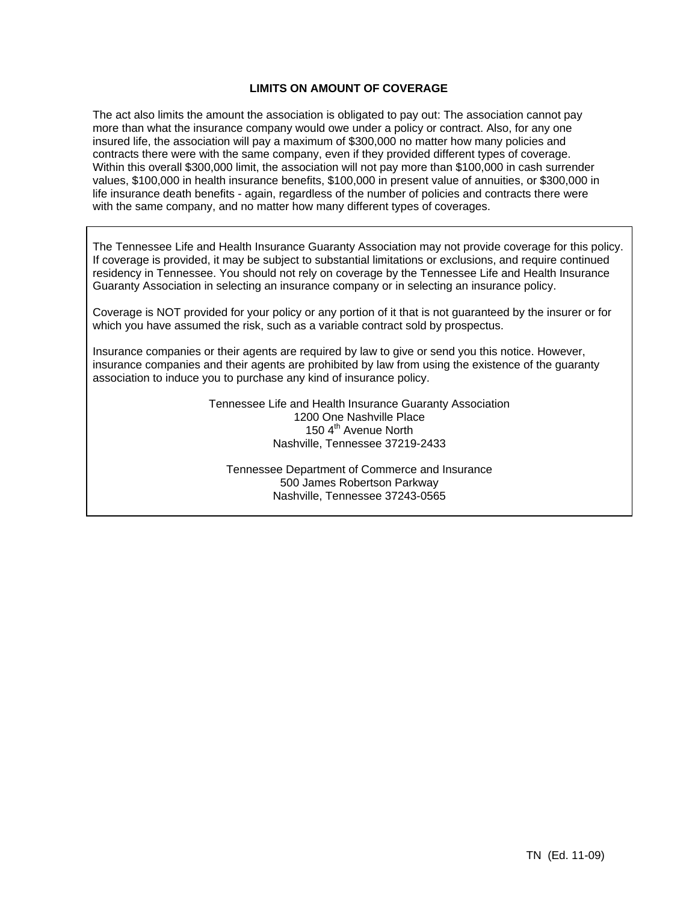# **LIMITS ON AMOUNT OF COVERAGE**

The act also limits the amount the association is obligated to pay out: The association cannot pay more than what the insurance company would owe under a policy or contract. Also, for any one insured life, the association will pay a maximum of \$300,000 no matter how many policies and contracts there were with the same company, even if they provided different types of coverage. Within this overall \$300,000 limit, the association will not pay more than \$100,000 in cash surrender values, \$100,000 in health insurance benefits, \$100,000 in present value of annuities, or \$300,000 in life insurance death benefits - again, regardless of the number of policies and contracts there were with the same company, and no matter how many different types of coverages.

The Tennessee Life and Health Insurance Guaranty Association may not provide coverage for this policy. If coverage is provided, it may be subject to substantial limitations or exclusions, and require continued residency in Tennessee. You should not rely on coverage by the Tennessee Life and Health Insurance Guaranty Association in selecting an insurance company or in selecting an insurance policy.

Coverage is NOT provided for your policy or any portion of it that is not guaranteed by the insurer or for which you have assumed the risk, such as a variable contract sold by prospectus.

Insurance companies or their agents are required by law to give or send you this notice. However, insurance companies and their agents are prohibited by law from using the existence of the guaranty association to induce you to purchase any kind of insurance policy.

> Tennessee Life and Health Insurance Guaranty Association 1200 One Nashville Place 150 4<sup>th</sup> Avenue North Nashville, Tennessee 37219-2433

Tennessee Department of Commerce and Insurance 500 James Robertson Parkway Nashville, Tennessee 37243-0565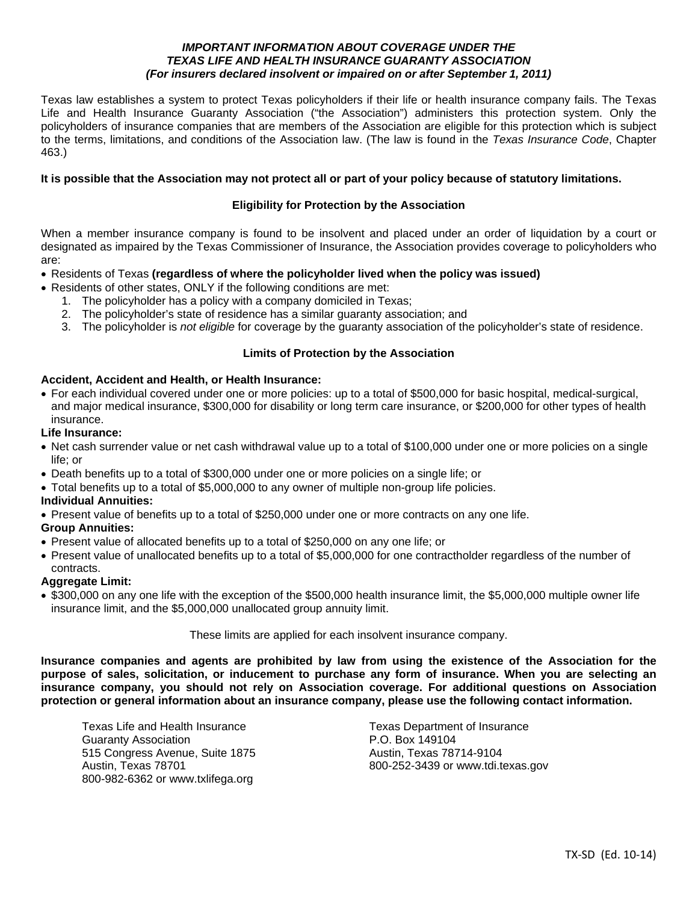## *IMPORTANT INFORMATION ABOUT COVERAGE UNDER THE TEXAS LIFE AND HEALTH INSURANCE GUARANTY ASSOCIATION (For insurers declared insolvent or impaired on or after September 1, 2011)*

Texas law establishes a system to protect Texas policyholders if their life or health insurance company fails. The Texas Life and Health Insurance Guaranty Association ("the Association") administers this protection system. Only the policyholders of insurance companies that are members of the Association are eligible for this protection which is subject to the terms, limitations, and conditions of the Association law. (The law is found in the *Texas Insurance Code*, Chapter 463.)

## **It is possible that the Association may not protect all or part of your policy because of statutory limitations.**

## **Eligibility for Protection by the Association**

When a member insurance company is found to be insolvent and placed under an order of liquidation by a court or designated as impaired by the Texas Commissioner of Insurance, the Association provides coverage to policyholders who are:

- Residents of Texas **(regardless of where the policyholder lived when the policy was issued)**
- Residents of other states, ONLY if the following conditions are met:
	- 1. The policyholder has a policy with a company domiciled in Texas;
	- 2. The policyholder's state of residence has a similar guaranty association; and
	- 3. The policyholder is *not eligible* for coverage by the guaranty association of the policyholder's state of residence.

## **Limits of Protection by the Association**

# **Accident, Accident and Health, or Health Insurance:**

 For each individual covered under one or more policies: up to a total of \$500,000 for basic hospital, medical-surgical, and major medical insurance, \$300,000 for disability or long term care insurance, or \$200,000 for other types of health insurance.

#### **Life Insurance:**

- Net cash surrender value or net cash withdrawal value up to a total of \$100,000 under one or more policies on a single life; or
- Death benefits up to a total of \$300,000 under one or more policies on a single life; or
- Total benefits up to a total of \$5,000,000 to any owner of multiple non-group life policies.

## **Individual Annuities:**

Present value of benefits up to a total of \$250,000 under one or more contracts on any one life.

## **Group Annuities:**

- Present value of allocated benefits up to a total of \$250,000 on any one life; or
- Present value of unallocated benefits up to a total of \$5,000,000 for one contractholder regardless of the number of contracts.

## **Aggregate Limit:**

• \$300,000 on any one life with the exception of the \$500,000 health insurance limit, the \$5,000,000 multiple owner life insurance limit, and the \$5,000,000 unallocated group annuity limit.

These limits are applied for each insolvent insurance company.

**Insurance companies and agents are prohibited by law from using the existence of the Association for the purpose of sales, solicitation, or inducement to purchase any form of insurance. When you are selecting an insurance company, you should not rely on Association coverage. For additional questions on Association protection or general information about an insurance company, please use the following contact information.** 

Texas Life and Health Insurance Texas Department of Insurance Guaranty Association **P.O. Box 149104** 515 Congress Avenue, Suite 1875 Austin, Texas 78714-9104 800-982-6362 or www.txlifega.org

Austin, Texas 78701 800-252-3439 or www.tdi.texas.gov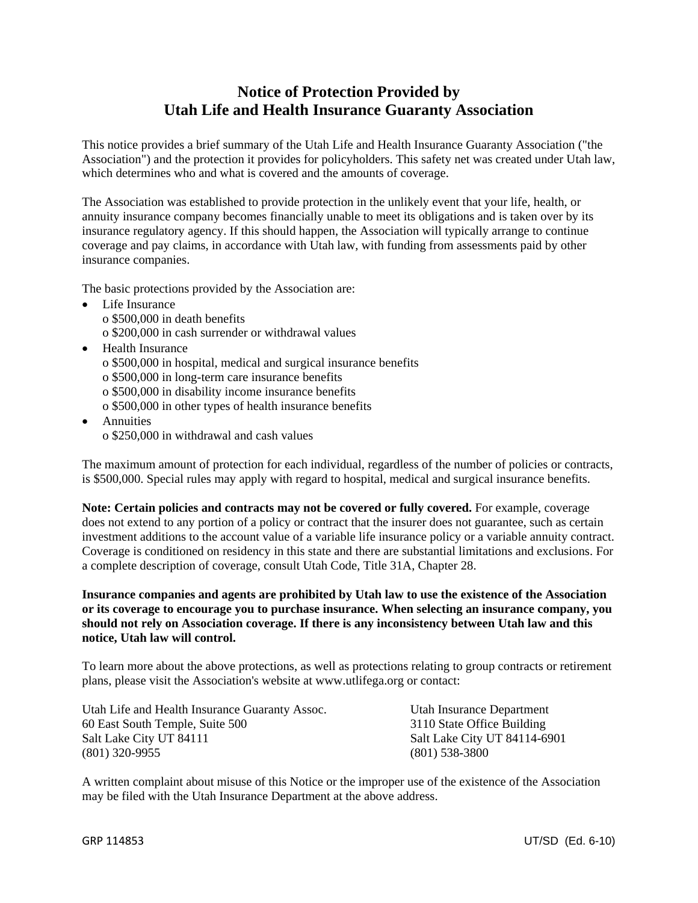# **Notice of Protection Provided by Utah Life and Health Insurance Guaranty Association**

This notice provides a brief summary of the Utah Life and Health Insurance Guaranty Association ("the Association") and the protection it provides for policyholders. This safety net was created under Utah law, which determines who and what is covered and the amounts of coverage.

The Association was established to provide protection in the unlikely event that your life, health, or annuity insurance company becomes financially unable to meet its obligations and is taken over by its insurance regulatory agency. If this should happen, the Association will typically arrange to continue coverage and pay claims, in accordance with Utah law, with funding from assessments paid by other insurance companies.

The basic protections provided by the Association are:

- Life Insurance o \$500,000 in death benefits o \$200,000 in cash surrender or withdrawal values
- Health Insurance
	- o \$500,000 in hospital, medical and surgical insurance benefits
	- o \$500,000 in long-term care insurance benefits
	- o \$500,000 in disability income insurance benefits
	- o \$500,000 in other types of health insurance benefits
- Annuities o \$250,000 in withdrawal and cash values

The maximum amount of protection for each individual, regardless of the number of policies or contracts, is \$500,000. Special rules may apply with regard to hospital, medical and surgical insurance benefits.

**Note: Certain policies and contracts may not be covered or fully covered.** For example, coverage does not extend to any portion of a policy or contract that the insurer does not guarantee, such as certain investment additions to the account value of a variable life insurance policy or a variable annuity contract. Coverage is conditioned on residency in this state and there are substantial limitations and exclusions. For a complete description of coverage, consult Utah Code, Title 31A, Chapter 28.

**Insurance companies and agents are prohibited by Utah law to use the existence of the Association or its coverage to encourage you to purchase insurance. When selecting an insurance company, you should not rely on Association coverage. If there is any inconsistency between Utah law and this notice, Utah law will control.** 

To learn more about the above protections, as well as protections relating to group contracts or retirement plans, please visit the Association's website at www.utlifega.org or contact:

Utah Life and Health Insurance Guaranty Assoc. Utah Insurance Department 60 East South Temple, Suite 500 3110 State Office Building Salt Lake City UT 84111 Salt Lake City UT 84114-6901 (801) 320-9955 (801) 538-3800

A written complaint about misuse of this Notice or the improper use of the existence of the Association may be filed with the Utah Insurance Department at the above address.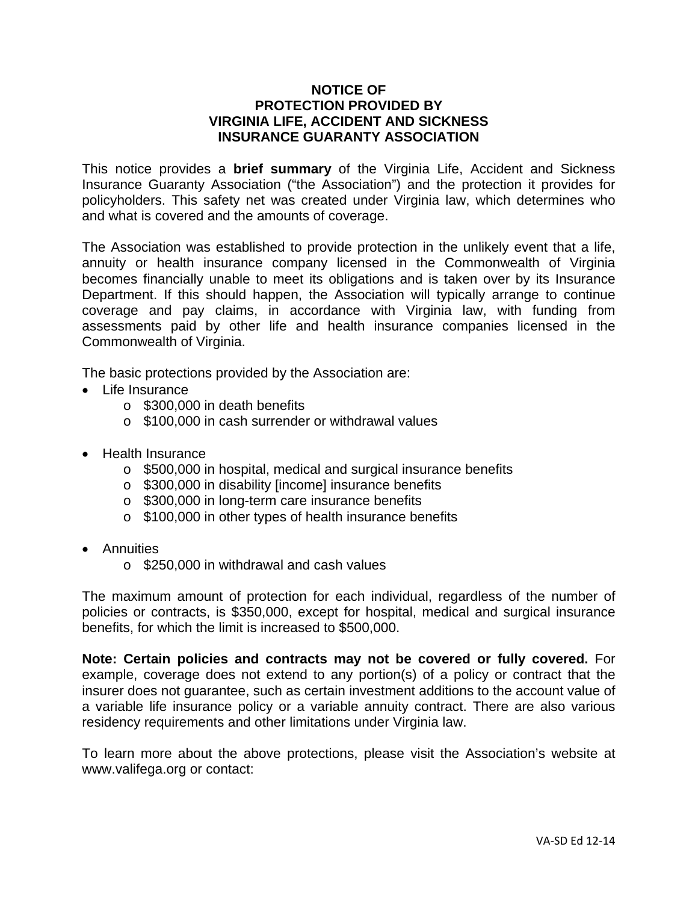# **NOTICE OF PROTECTION PROVIDED BY VIRGINIA LIFE, ACCIDENT AND SICKNESS INSURANCE GUARANTY ASSOCIATION**

This notice provides a **brief summary** of the Virginia Life, Accident and Sickness Insurance Guaranty Association ("the Association") and the protection it provides for policyholders. This safety net was created under Virginia law, which determines who and what is covered and the amounts of coverage.

The Association was established to provide protection in the unlikely event that a life, annuity or health insurance company licensed in the Commonwealth of Virginia becomes financially unable to meet its obligations and is taken over by its Insurance Department. If this should happen, the Association will typically arrange to continue coverage and pay claims, in accordance with Virginia law, with funding from assessments paid by other life and health insurance companies licensed in the Commonwealth of Virginia.

The basic protections provided by the Association are:

- Life Insurance
	- o \$300,000 in death benefits
	- o \$100,000 in cash surrender or withdrawal values
- Health Insurance
	- o \$500,000 in hospital, medical and surgical insurance benefits
	- o \$300,000 in disability [income] insurance benefits
	- o \$300,000 in long-term care insurance benefits
	- o \$100,000 in other types of health insurance benefits
- Annuities
	- o \$250,000 in withdrawal and cash values

The maximum amount of protection for each individual, regardless of the number of policies or contracts, is \$350,000, except for hospital, medical and surgical insurance benefits, for which the limit is increased to \$500,000.

**Note: Certain policies and contracts may not be covered or fully covered.** For example, coverage does not extend to any portion(s) of a policy or contract that the insurer does not guarantee, such as certain investment additions to the account value of a variable life insurance policy or a variable annuity contract. There are also various residency requirements and other limitations under Virginia law.

To learn more about the above protections, please visit the Association's website at www.valifega.org or contact: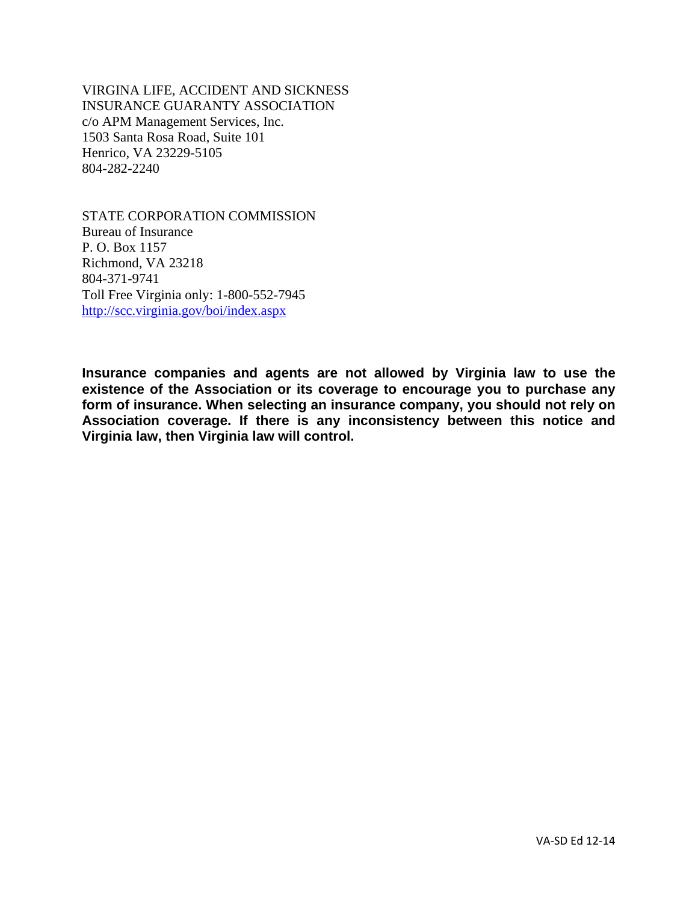VIRGINA LIFE, ACCIDENT AND SICKNESS INSURANCE GUARANTY ASSOCIATION c/o APM Management Services, Inc. 1503 Santa Rosa Road, Suite 101 Henrico, VA 23229-5105 804-282-2240

STATE CORPORATION COMMISSION Bureau of Insurance P. O. Box 1157 Richmond, VA 23218 804-371-9741 Toll Free Virginia only: 1-800-552-7945 http://scc.virginia.gov/boi/index.aspx

**Insurance companies and agents are not allowed by Virginia law to use the existence of the Association or its coverage to encourage you to purchase any form of insurance. When selecting an insurance company, you should not rely on Association coverage. If there is any inconsistency between this notice and Virginia law, then Virginia law will control.**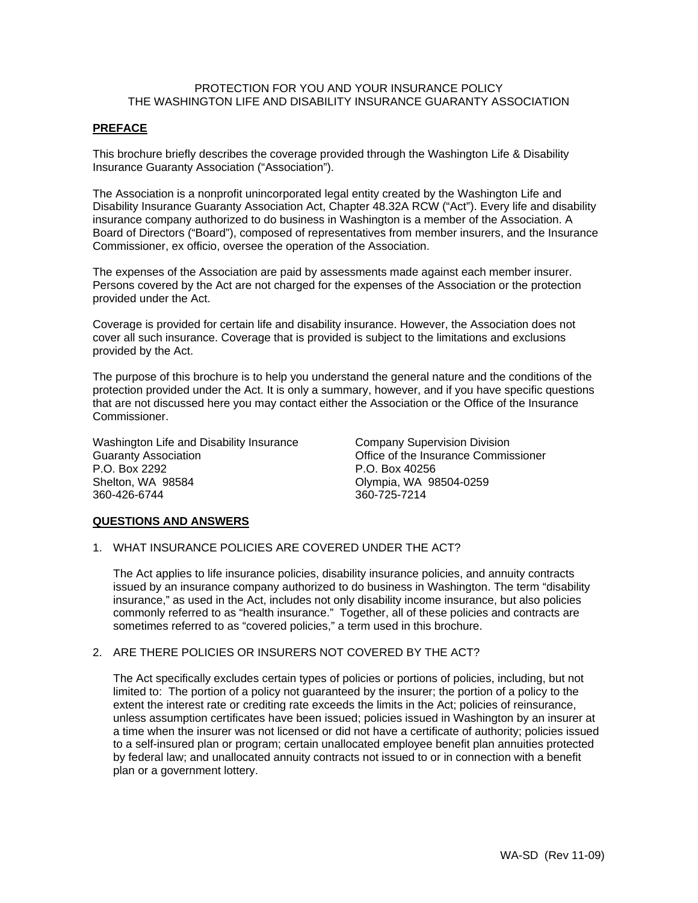# PROTECTION FOR YOU AND YOUR INSURANCE POLICY THE WASHINGTON LIFE AND DISABILITY INSURANCE GUARANTY ASSOCIATION

## **PREFACE**

This brochure briefly describes the coverage provided through the Washington Life & Disability Insurance Guaranty Association ("Association").

The Association is a nonprofit unincorporated legal entity created by the Washington Life and Disability Insurance Guaranty Association Act, Chapter 48.32A RCW ("Act"). Every life and disability insurance company authorized to do business in Washington is a member of the Association. A Board of Directors ("Board"), composed of representatives from member insurers, and the Insurance Commissioner, ex officio, oversee the operation of the Association.

The expenses of the Association are paid by assessments made against each member insurer. Persons covered by the Act are not charged for the expenses of the Association or the protection provided under the Act.

Coverage is provided for certain life and disability insurance. However, the Association does not cover all such insurance. Coverage that is provided is subject to the limitations and exclusions provided by the Act.

The purpose of this brochure is to help you understand the general nature and the conditions of the protection provided under the Act. It is only a summary, however, and if you have specific questions that are not discussed here you may contact either the Association or the Office of the Insurance Commissioner.

Washington Life and Disability Insurance Guaranty Association P.O. Box 2292 Shelton, WA 98584 360-426-6744

Company Supervision Division Office of the Insurance Commissioner P.O. Box 40256 Olympia, WA 98504-0259 360-725-7214

# **QUESTIONS AND ANSWERS**

1. WHAT INSURANCE POLICIES ARE COVERED UNDER THE ACT?

The Act applies to life insurance policies, disability insurance policies, and annuity contracts issued by an insurance company authorized to do business in Washington. The term "disability insurance," as used in the Act, includes not only disability income insurance, but also policies commonly referred to as "health insurance." Together, all of these policies and contracts are sometimes referred to as "covered policies," a term used in this brochure.

## 2. ARE THERE POLICIES OR INSURERS NOT COVERED BY THE ACT?

 The Act specifically excludes certain types of policies or portions of policies, including, but not limited to: The portion of a policy not guaranteed by the insurer; the portion of a policy to the extent the interest rate or crediting rate exceeds the limits in the Act; policies of reinsurance, unless assumption certificates have been issued; policies issued in Washington by an insurer at a time when the insurer was not licensed or did not have a certificate of authority; policies issued to a self-insured plan or program; certain unallocated employee benefit plan annuities protected by federal law; and unallocated annuity contracts not issued to or in connection with a benefit plan or a government lottery.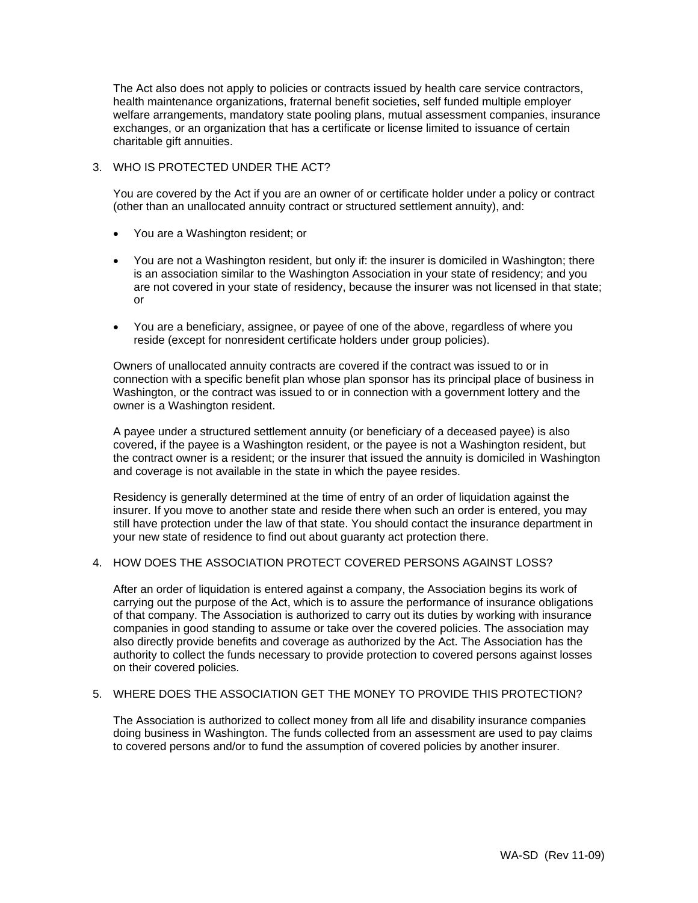The Act also does not apply to policies or contracts issued by health care service contractors, health maintenance organizations, fraternal benefit societies, self funded multiple employer welfare arrangements, mandatory state pooling plans, mutual assessment companies, insurance exchanges, or an organization that has a certificate or license limited to issuance of certain charitable gift annuities.

# 3. WHO IS PROTECTED UNDER THE ACT?

You are covered by the Act if you are an owner of or certificate holder under a policy or contract (other than an unallocated annuity contract or structured settlement annuity), and:

- You are a Washington resident; or
- You are not a Washington resident, but only if: the insurer is domiciled in Washington; there is an association similar to the Washington Association in your state of residency; and you are not covered in your state of residency, because the insurer was not licensed in that state; or
- You are a beneficiary, assignee, or payee of one of the above, regardless of where you reside (except for nonresident certificate holders under group policies).

Owners of unallocated annuity contracts are covered if the contract was issued to or in connection with a specific benefit plan whose plan sponsor has its principal place of business in Washington, or the contract was issued to or in connection with a government lottery and the owner is a Washington resident.

A payee under a structured settlement annuity (or beneficiary of a deceased payee) is also covered, if the payee is a Washington resident, or the payee is not a Washington resident, but the contract owner is a resident; or the insurer that issued the annuity is domiciled in Washington and coverage is not available in the state in which the payee resides.

Residency is generally determined at the time of entry of an order of liquidation against the insurer. If you move to another state and reside there when such an order is entered, you may still have protection under the law of that state. You should contact the insurance department in your new state of residence to find out about guaranty act protection there.

## 4. HOW DOES THE ASSOCIATION PROTECT COVERED PERSONS AGAINST LOSS?

After an order of liquidation is entered against a company, the Association begins its work of carrying out the purpose of the Act, which is to assure the performance of insurance obligations of that company. The Association is authorized to carry out its duties by working with insurance companies in good standing to assume or take over the covered policies. The association may also directly provide benefits and coverage as authorized by the Act. The Association has the authority to collect the funds necessary to provide protection to covered persons against losses on their covered policies.

# 5. WHERE DOES THE ASSOCIATION GET THE MONEY TO PROVIDE THIS PROTECTION?

The Association is authorized to collect money from all life and disability insurance companies doing business in Washington. The funds collected from an assessment are used to pay claims to covered persons and/or to fund the assumption of covered policies by another insurer.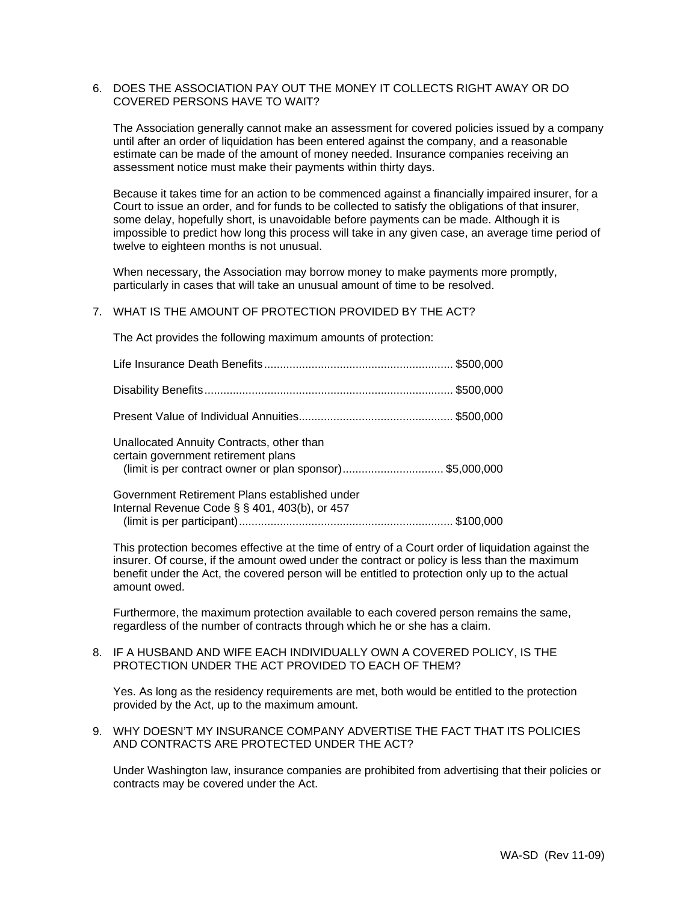## 6. DOES THE ASSOCIATION PAY OUT THE MONEY IT COLLECTS RIGHT AWAY OR DO COVERED PERSONS HAVE TO WAIT?

The Association generally cannot make an assessment for covered policies issued by a company until after an order of liquidation has been entered against the company, and a reasonable estimate can be made of the amount of money needed. Insurance companies receiving an assessment notice must make their payments within thirty days.

Because it takes time for an action to be commenced against a financially impaired insurer, for a Court to issue an order, and for funds to be collected to satisfy the obligations of that insurer, some delay, hopefully short, is unavoidable before payments can be made. Although it is impossible to predict how long this process will take in any given case, an average time period of twelve to eighteen months is not unusual.

When necessary, the Association may borrow money to make payments more promptly, particularly in cases that will take an unusual amount of time to be resolved.

# 7. WHAT IS THE AMOUNT OF PROTECTION PROVIDED BY THE ACT?

The Act provides the following maximum amounts of protection:

| Unallocated Annuity Contracts, other than<br>certain government retirement plans<br>(limit is per contract owner or plan sponsor)\$5,000,000 |  |
|----------------------------------------------------------------------------------------------------------------------------------------------|--|
| Government Retirement Plans established under<br>Internal Revenue Code $\S$ $\S$ 401, 403(b), or 457                                         |  |

(limit is per participant) .................................................................... \$100,000

This protection becomes effective at the time of entry of a Court order of liquidation against the insurer. Of course, if the amount owed under the contract or policy is less than the maximum benefit under the Act, the covered person will be entitled to protection only up to the actual amount owed.

Furthermore, the maximum protection available to each covered person remains the same, regardless of the number of contracts through which he or she has a claim.

## 8. IF A HUSBAND AND WIFE EACH INDIVIDUALLY OWN A COVERED POLICY, IS THE PROTECTION UNDER THE ACT PROVIDED TO EACH OF THEM?

Yes. As long as the residency requirements are met, both would be entitled to the protection provided by the Act, up to the maximum amount.

9. WHY DOESN'T MY INSURANCE COMPANY ADVERTISE THE FACT THAT ITS POLICIES AND CONTRACTS ARE PROTECTED UNDER THE ACT?

Under Washington law, insurance companies are prohibited from advertising that their policies or contracts may be covered under the Act.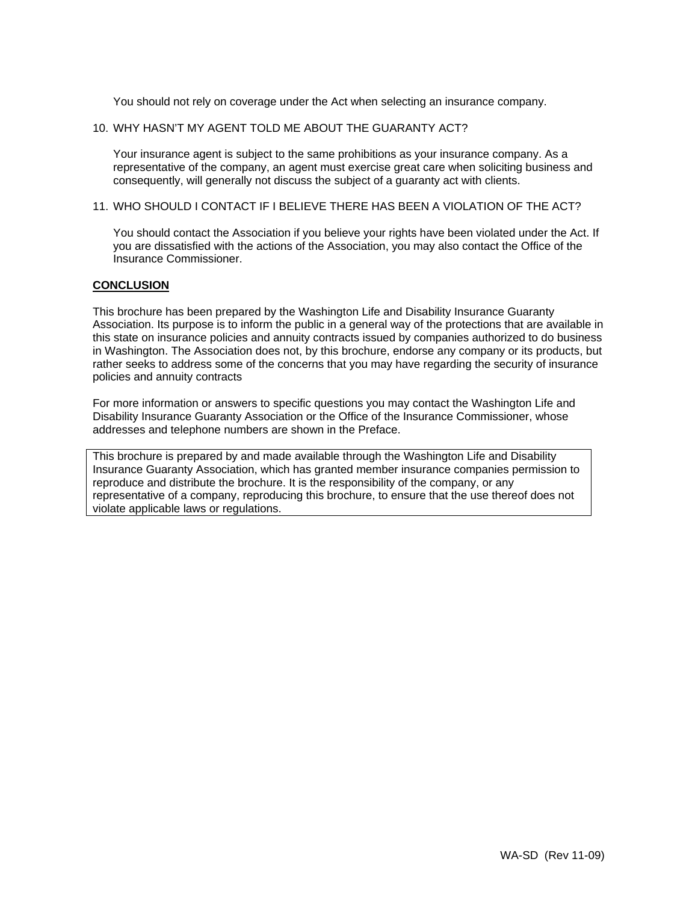You should not rely on coverage under the Act when selecting an insurance company.

# 10. WHY HASN'T MY AGENT TOLD ME ABOUT THE GUARANTY ACT?

Your insurance agent is subject to the same prohibitions as your insurance company. As a representative of the company, an agent must exercise great care when soliciting business and consequently, will generally not discuss the subject of a guaranty act with clients.

# 11. WHO SHOULD I CONTACT IF I BELIEVE THERE HAS BEEN A VIOLATION OF THE ACT?

You should contact the Association if you believe your rights have been violated under the Act. If you are dissatisfied with the actions of the Association, you may also contact the Office of the Insurance Commissioner.

## **CONCLUSION**

This brochure has been prepared by the Washington Life and Disability Insurance Guaranty Association. Its purpose is to inform the public in a general way of the protections that are available in this state on insurance policies and annuity contracts issued by companies authorized to do business in Washington. The Association does not, by this brochure, endorse any company or its products, but rather seeks to address some of the concerns that you may have regarding the security of insurance policies and annuity contracts

For more information or answers to specific questions you may contact the Washington Life and Disability Insurance Guaranty Association or the Office of the Insurance Commissioner, whose addresses and telephone numbers are shown in the Preface.

This brochure is prepared by and made available through the Washington Life and Disability Insurance Guaranty Association, which has granted member insurance companies permission to reproduce and distribute the brochure. It is the responsibility of the company, or any representative of a company, reproducing this brochure, to ensure that the use thereof does not violate applicable laws or regulations.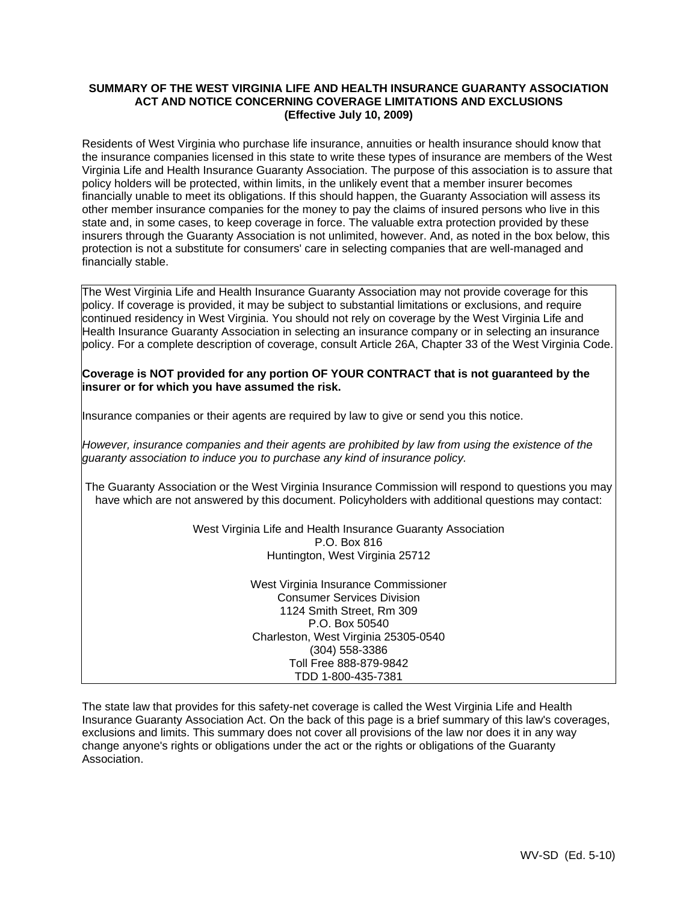# **SUMMARY OF THE WEST VIRGINIA LIFE AND HEALTH INSURANCE GUARANTY ASSOCIATION ACT AND NOTICE CONCERNING COVERAGE LIMITATIONS AND EXCLUSIONS (Effective July 10, 2009)**

Residents of West Virginia who purchase life insurance, annuities or health insurance should know that the insurance companies licensed in this state to write these types of insurance are members of the West Virginia Life and Health Insurance Guaranty Association. The purpose of this association is to assure that policy holders will be protected, within limits, in the unlikely event that a member insurer becomes financially unable to meet its obligations. If this should happen, the Guaranty Association will assess its other member insurance companies for the money to pay the claims of insured persons who live in this state and, in some cases, to keep coverage in force. The valuable extra protection provided by these insurers through the Guaranty Association is not unlimited, however. And, as noted in the box below, this protection is not a substitute for consumers' care in selecting companies that are well-managed and financially stable.

The West Virginia Life and Health Insurance Guaranty Association may not provide coverage for this policy. If coverage is provided, it may be subject to substantial limitations or exclusions, and require continued residency in West Virginia. You should not rely on coverage by the West Virginia Life and Health Insurance Guaranty Association in selecting an insurance company or in selecting an insurance policy. For a complete description of coverage, consult Article 26A, Chapter 33 of the West Virginia Code.

## **Coverage is NOT provided for any portion OF YOUR CONTRACT that is not guaranteed by the insurer or for which you have assumed the risk.**

Insurance companies or their agents are required by law to give or send you this notice.

*However, insurance companies and their agents are prohibited by law from using the existence of the guaranty association to induce you to purchase any kind of insurance policy.*

The Guaranty Association or the West Virginia Insurance Commission will respond to questions you may have which are not answered by this document. Policyholders with additional questions may contact:

> West Virginia Life and Health Insurance Guaranty Association P.O. Box 816 Huntington, West Virginia 25712

> > West Virginia Insurance Commissioner Consumer Services Division 1124 Smith Street, Rm 309 P.O. Box 50540 Charleston, West Virginia 25305-0540 (304) 558-3386 Toll Free 888-879-9842 TDD 1-800-435-7381

The state law that provides for this safety-net coverage is called the West Virginia Life and Health Insurance Guaranty Association Act. On the back of this page is a brief summary of this law's coverages, exclusions and limits. This summary does not cover all provisions of the law nor does it in any way change anyone's rights or obligations under the act or the rights or obligations of the Guaranty Association.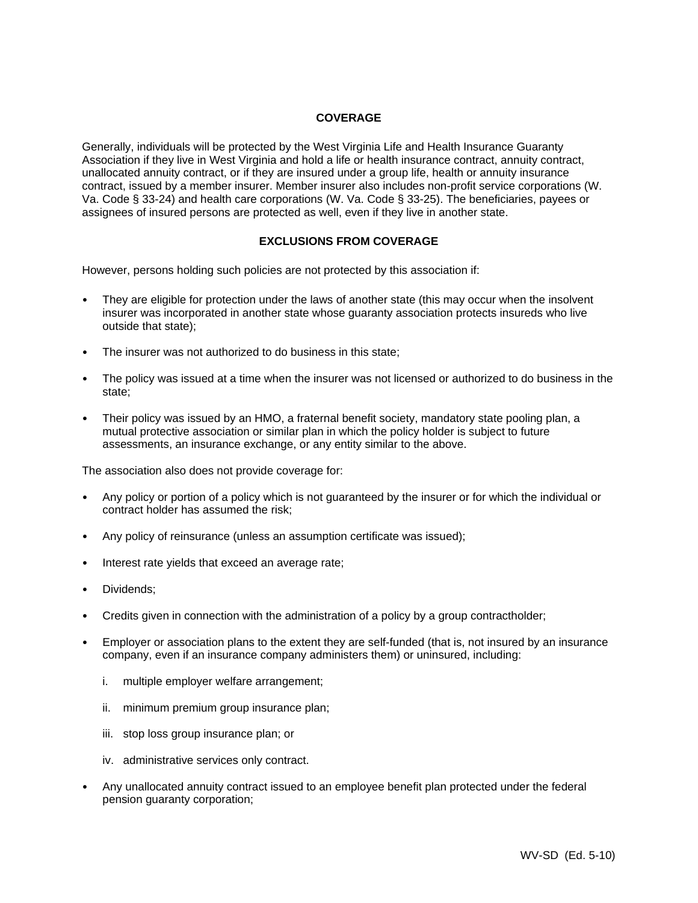## **COVERAGE**

Generally, individuals will be protected by the West Virginia Life and Health Insurance Guaranty Association if they live in West Virginia and hold a life or health insurance contract, annuity contract, unallocated annuity contract, or if they are insured under a group life, health or annuity insurance contract, issued by a member insurer. Member insurer also includes non-profit service corporations (W. Va. Code § 33-24) and health care corporations (W. Va. Code § 33-25). The beneficiaries, payees or assignees of insured persons are protected as well, even if they live in another state.

# **EXCLUSIONS FROM COVERAGE**

However, persons holding such policies are not protected by this association if:

- They are eligible for protection under the laws of another state (this may occur when the insolvent insurer was incorporated in another state whose guaranty association protects insureds who live outside that state);
- The insurer was not authorized to do business in this state;
- The policy was issued at a time when the insurer was not licensed or authorized to do business in the state;
- Their policy was issued by an HMO, a fraternal benefit society, mandatory state pooling plan, a mutual protective association or similar plan in which the policy holder is subject to future assessments, an insurance exchange, or any entity similar to the above.

The association also does not provide coverage for:

- Any policy or portion of a policy which is not guaranteed by the insurer or for which the individual or contract holder has assumed the risk;
- Any policy of reinsurance (unless an assumption certificate was issued);
- Interest rate yields that exceed an average rate;
- Dividends;
- Credits given in connection with the administration of a policy by a group contractholder;
- Employer or association plans to the extent they are self-funded (that is, not insured by an insurance company, even if an insurance company administers them) or uninsured, including:
	- i. multiple employer welfare arrangement;
	- ii. minimum premium group insurance plan;
	- iii. stop loss group insurance plan; or
	- iv. administrative services only contract.
- Any unallocated annuity contract issued to an employee benefit plan protected under the federal pension guaranty corporation;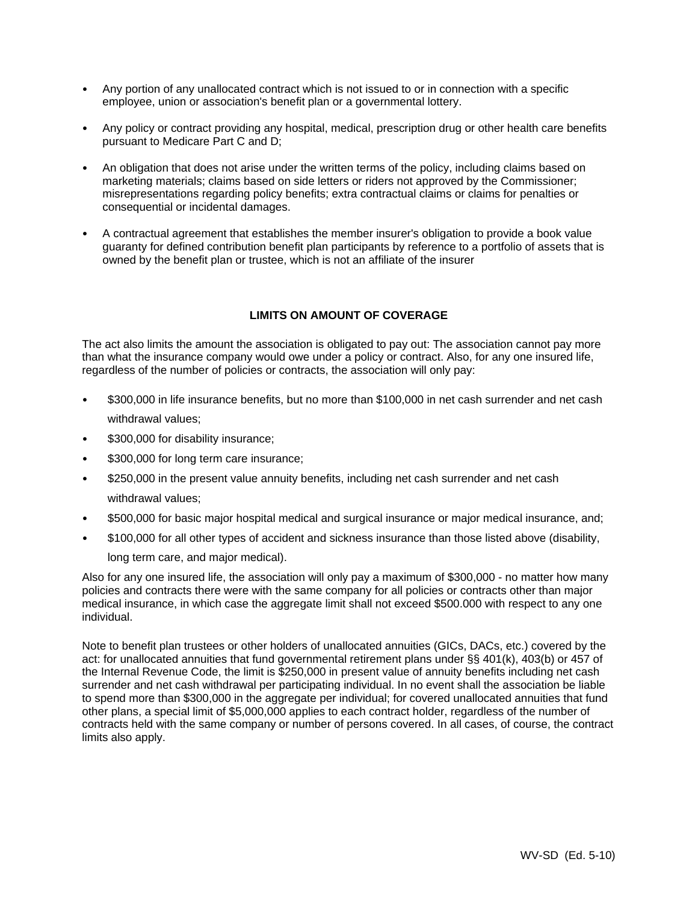- Any portion of any unallocated contract which is not issued to or in connection with a specific employee, union or association's benefit plan or a governmental lottery.
- Any policy or contract providing any hospital, medical, prescription drug or other health care benefits pursuant to Medicare Part C and D;
- An obligation that does not arise under the written terms of the policy, including claims based on marketing materials; claims based on side letters or riders not approved by the Commissioner; misrepresentations regarding policy benefits; extra contractual claims or claims for penalties or consequential or incidental damages.
- A contractual agreement that establishes the member insurer's obligation to provide a book value guaranty for defined contribution benefit plan participants by reference to a portfolio of assets that is owned by the benefit plan or trustee, which is not an affiliate of the insurer

# **LIMITS ON AMOUNT OF COVERAGE**

The act also limits the amount the association is obligated to pay out: The association cannot pay more than what the insurance company would owe under a policy or contract. Also, for any one insured life, regardless of the number of policies or contracts, the association will only pay:

- \$300,000 in life insurance benefits, but no more than \$100,000 in net cash surrender and net cash withdrawal values;
- \$300,000 for disability insurance;
- \$300,000 for long term care insurance;
- \$250,000 in the present value annuity benefits, including net cash surrender and net cash withdrawal values;
- \$500,000 for basic major hospital medical and surgical insurance or major medical insurance, and;
- \$100,000 for all other types of accident and sickness insurance than those listed above (disability,

long term care, and major medical).

Also for any one insured life, the association will only pay a maximum of \$300,000 - no matter how many policies and contracts there were with the same company for all policies or contracts other than major medical insurance, in which case the aggregate limit shall not exceed \$500.000 with respect to any one individual.

Note to benefit plan trustees or other holders of unallocated annuities (GICs, DACs, etc.) covered by the act: for unallocated annuities that fund governmental retirement plans under §§ 401(k), 403(b) or 457 of the Internal Revenue Code, the limit is \$250,000 in present value of annuity benefits including net cash surrender and net cash withdrawal per participating individual. In no event shall the association be liable to spend more than \$300,000 in the aggregate per individual; for covered unallocated annuities that fund other plans, a special limit of \$5,000,000 applies to each contract holder, regardless of the number of contracts held with the same company or number of persons covered. In all cases, of course, the contract limits also apply.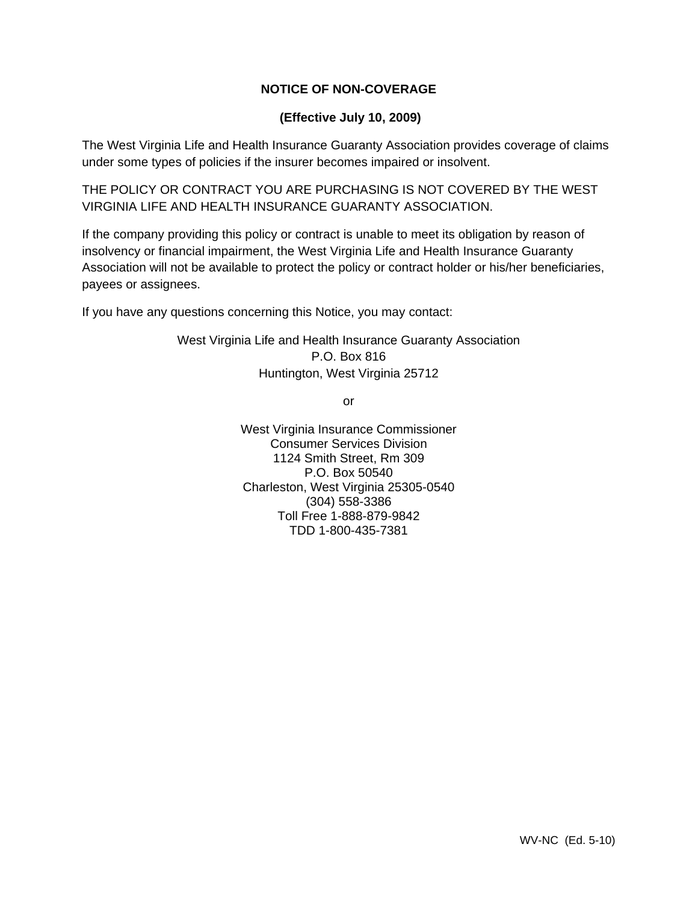# **NOTICE OF NON-COVERAGE**

# **(Effective July 10, 2009)**

The West Virginia Life and Health Insurance Guaranty Association provides coverage of claims under some types of policies if the insurer becomes impaired or insolvent.

THE POLICY OR CONTRACT YOU ARE PURCHASING IS NOT COVERED BY THE WEST VIRGINIA LIFE AND HEALTH INSURANCE GUARANTY ASSOCIATION.

If the company providing this policy or contract is unable to meet its obligation by reason of insolvency or financial impairment, the West Virginia Life and Health Insurance Guaranty Association will not be available to protect the policy or contract holder or his/her beneficiaries, payees or assignees.

If you have any questions concerning this Notice, you may contact:

West Virginia Life and Health Insurance Guaranty Association P.O. Box 816 Huntington, West Virginia 25712

or

West Virginia Insurance Commissioner Consumer Services Division 1124 Smith Street, Rm 309 P.O. Box 50540 Charleston, West Virginia 25305-0540 (304) 558-3386 Toll Free 1-888-879-9842 TDD 1-800-435-7381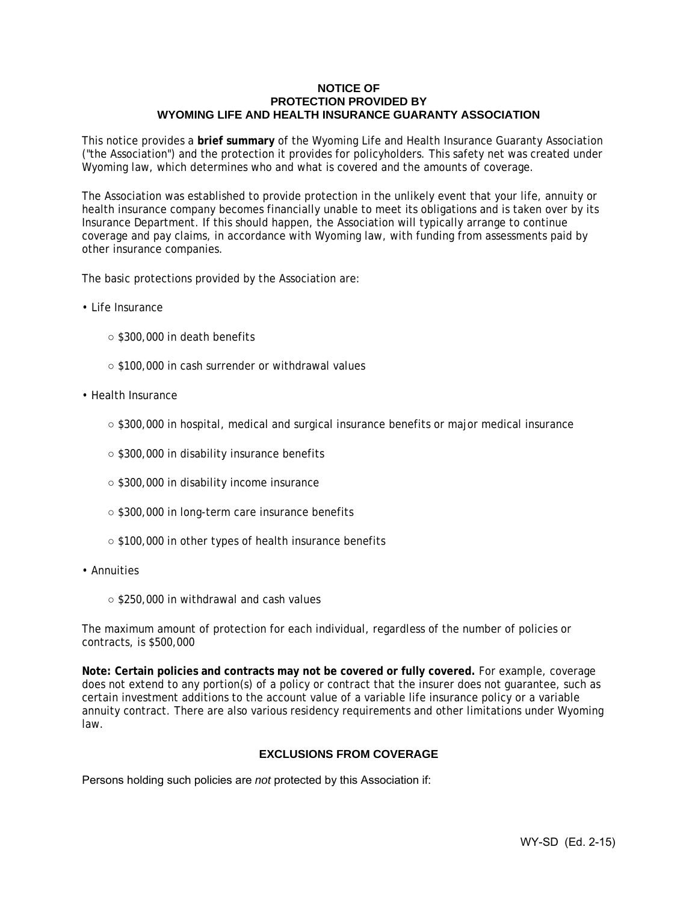#### **NOTICE OF PROTECTION PROVIDED BY WYOMING LIFE AND HEALTH INSURANCE GUARANTY ASSOCIATION**

This notice provides a **brief summary** of the Wyoming Life and Health Insurance Guaranty Association ("the Association") and the protection it provides for policyholders. This safety net was created under Wyoming law, which determines who and what is covered and the amounts of coverage.

The Association was established to provide protection in the unlikely event that your life, annuity or health insurance company becomes financially unable to meet its obligations and is taken over by its Insurance Department. If this should happen, the Association will typically arrange to continue coverage and pay claims, in accordance with Wyoming law, with funding from assessments paid by other insurance companies.

The basic protections provided by the Association are:

- Life Insurance
	- \$300,000 in death benefits
	- \$100,000 in cash surrender or withdrawal values
- Health Insurance
	- \$300,000 in hospital, medical and surgical insurance benefits or major medical insurance
	- \$300,000 in disability insurance benefits
	- \$300,000 in disability income insurance
	- \$300,000 in long-term care insurance benefits
	- \$100,000 in other types of health insurance benefits
- Annuities
	- \$250,000 in withdrawal and cash values

The maximum amount of protection for each individual, regardless of the number of policies or contracts, is \$500,000

**Note: Certain policies and contracts may not be covered or fully covered.** For example, coverage does not extend to any portion(s) of a policy or contract that the insurer does not guarantee, such as certain investment additions to the account value of a variable life insurance policy or a variable annuity contract. There are also various residency requirements and other limitations under Wyoming law.

# **EXCLUSIONS FROM COVERAGE**

Persons holding such policies are *not* protected by this Association if: